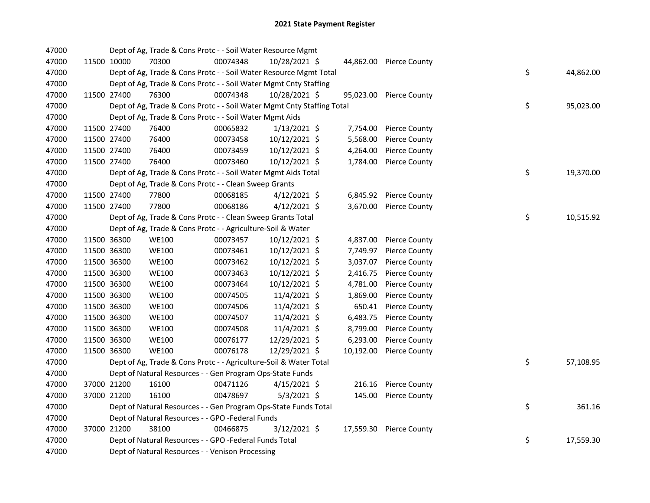| 47000 |             | Dept of Ag, Trade & Cons Protc - - Soil Water Resource Mgmt            |          |                |           |                         |    |           |
|-------|-------------|------------------------------------------------------------------------|----------|----------------|-----------|-------------------------|----|-----------|
| 47000 | 11500 10000 | 70300                                                                  | 00074348 | 10/28/2021 \$  |           | 44,862.00 Pierce County |    |           |
| 47000 |             | Dept of Ag, Trade & Cons Protc - - Soil Water Resource Mgmt Total      |          |                |           |                         | \$ | 44,862.00 |
| 47000 |             | Dept of Ag, Trade & Cons Protc - - Soil Water Mgmt Cnty Staffing       |          |                |           |                         |    |           |
| 47000 | 11500 27400 | 76300                                                                  | 00074348 | 10/28/2021 \$  |           | 95,023.00 Pierce County |    |           |
| 47000 |             | Dept of Ag, Trade & Cons Protc - - Soil Water Mgmt Cnty Staffing Total |          |                |           |                         | \$ | 95,023.00 |
| 47000 |             | Dept of Ag, Trade & Cons Protc - - Soil Water Mgmt Aids                |          |                |           |                         |    |           |
| 47000 | 11500 27400 | 76400                                                                  | 00065832 | $1/13/2021$ \$ | 7,754.00  | <b>Pierce County</b>    |    |           |
| 47000 | 11500 27400 | 76400                                                                  | 00073458 | 10/12/2021 \$  | 5,568.00  | <b>Pierce County</b>    |    |           |
| 47000 | 11500 27400 | 76400                                                                  | 00073459 | 10/12/2021 \$  | 4,264.00  | <b>Pierce County</b>    |    |           |
| 47000 | 11500 27400 | 76400                                                                  | 00073460 | 10/12/2021 \$  | 1,784.00  | <b>Pierce County</b>    |    |           |
| 47000 |             | Dept of Ag, Trade & Cons Protc - - Soil Water Mgmt Aids Total          |          |                |           |                         | \$ | 19,370.00 |
| 47000 |             | Dept of Ag, Trade & Cons Protc - - Clean Sweep Grants                  |          |                |           |                         |    |           |
| 47000 | 11500 27400 | 77800                                                                  | 00068185 | $4/12/2021$ \$ |           | 6,845.92 Pierce County  |    |           |
| 47000 | 11500 27400 | 77800                                                                  | 00068186 | $4/12/2021$ \$ | 3,670.00  | <b>Pierce County</b>    |    |           |
| 47000 |             | Dept of Ag, Trade & Cons Protc - - Clean Sweep Grants Total            |          |                |           |                         | \$ | 10,515.92 |
| 47000 |             | Dept of Ag, Trade & Cons Protc - - Agriculture-Soil & Water            |          |                |           |                         |    |           |
| 47000 | 11500 36300 | <b>WE100</b>                                                           | 00073457 | 10/12/2021 \$  | 4,837.00  | <b>Pierce County</b>    |    |           |
| 47000 | 11500 36300 | <b>WE100</b>                                                           | 00073461 | 10/12/2021 \$  | 7,749.97  | <b>Pierce County</b>    |    |           |
| 47000 | 11500 36300 | <b>WE100</b>                                                           | 00073462 | 10/12/2021 \$  | 3,037.07  | <b>Pierce County</b>    |    |           |
| 47000 | 11500 36300 | <b>WE100</b>                                                           | 00073463 | 10/12/2021 \$  | 2,416.75  | <b>Pierce County</b>    |    |           |
| 47000 | 11500 36300 | <b>WE100</b>                                                           | 00073464 | 10/12/2021 \$  | 4,781.00  | <b>Pierce County</b>    |    |           |
| 47000 | 11500 36300 | <b>WE100</b>                                                           | 00074505 | 11/4/2021 \$   | 1,869.00  | <b>Pierce County</b>    |    |           |
| 47000 | 11500 36300 | <b>WE100</b>                                                           | 00074506 | 11/4/2021 \$   | 650.41    | <b>Pierce County</b>    |    |           |
| 47000 | 11500 36300 | <b>WE100</b>                                                           | 00074507 | 11/4/2021 \$   | 6,483.75  | <b>Pierce County</b>    |    |           |
| 47000 | 11500 36300 | <b>WE100</b>                                                           | 00074508 | 11/4/2021 \$   | 8,799.00  | <b>Pierce County</b>    |    |           |
| 47000 | 11500 36300 | <b>WE100</b>                                                           | 00076177 | 12/29/2021 \$  | 6,293.00  | <b>Pierce County</b>    |    |           |
| 47000 | 11500 36300 | <b>WE100</b>                                                           | 00076178 | 12/29/2021 \$  | 10,192.00 | <b>Pierce County</b>    |    |           |
| 47000 |             | Dept of Ag, Trade & Cons Protc - - Agriculture-Soil & Water Total      |          |                |           |                         | \$ | 57,108.95 |
| 47000 |             | Dept of Natural Resources - - Gen Program Ops-State Funds              |          |                |           |                         |    |           |
| 47000 | 37000 21200 | 16100                                                                  | 00471126 | $4/15/2021$ \$ |           | 216.16 Pierce County    |    |           |
| 47000 | 37000 21200 | 16100                                                                  | 00478697 | $5/3/2021$ \$  | 145.00    | <b>Pierce County</b>    |    |           |
| 47000 |             | Dept of Natural Resources - - Gen Program Ops-State Funds Total        |          |                |           |                         | \$ | 361.16    |
| 47000 |             | Dept of Natural Resources - - GPO -Federal Funds                       |          |                |           |                         |    |           |
| 47000 | 37000 21200 | 38100                                                                  | 00466875 | 3/12/2021 \$   | 17,559.30 | Pierce County           |    |           |
| 47000 |             | Dept of Natural Resources - - GPO -Federal Funds Total                 |          |                |           |                         | \$ | 17,559.30 |
| 47000 |             | Dept of Natural Resources - - Venison Processing                       |          |                |           |                         |    |           |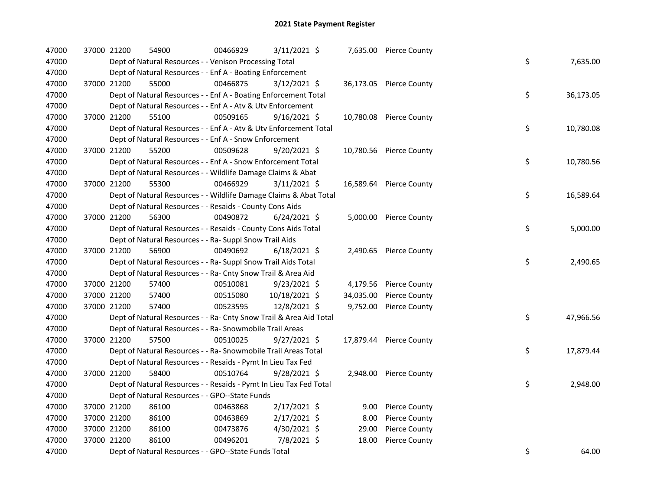| 47000 |             | 37000 21200 | 54900                                                              | 00466929 | 3/11/2021 \$   |           | 7,635.00 Pierce County  |    |           |
|-------|-------------|-------------|--------------------------------------------------------------------|----------|----------------|-----------|-------------------------|----|-----------|
| 47000 |             |             | Dept of Natural Resources - - Venison Processing Total             |          |                |           |                         | \$ | 7,635.00  |
| 47000 |             |             | Dept of Natural Resources - - Enf A - Boating Enforcement          |          |                |           |                         |    |           |
| 47000 |             | 37000 21200 | 55000                                                              | 00466875 | $3/12/2021$ \$ |           | 36,173.05 Pierce County |    |           |
| 47000 |             |             | Dept of Natural Resources - - Enf A - Boating Enforcement Total    |          |                |           |                         | \$ | 36,173.05 |
| 47000 |             |             | Dept of Natural Resources - - Enf A - Atv & Utv Enforcement        |          |                |           |                         |    |           |
| 47000 |             | 37000 21200 | 55100                                                              | 00509165 | $9/16/2021$ \$ |           | 10,780.08 Pierce County |    |           |
| 47000 |             |             | Dept of Natural Resources - - Enf A - Atv & Utv Enforcement Total  |          |                |           |                         | \$ | 10,780.08 |
| 47000 |             |             | Dept of Natural Resources - - Enf A - Snow Enforcement             |          |                |           |                         |    |           |
| 47000 |             | 37000 21200 | 55200                                                              | 00509628 | $9/20/2021$ \$ |           | 10,780.56 Pierce County |    |           |
| 47000 |             |             | Dept of Natural Resources - - Enf A - Snow Enforcement Total       |          |                |           |                         | \$ | 10,780.56 |
| 47000 |             |             | Dept of Natural Resources - - Wildlife Damage Claims & Abat        |          |                |           |                         |    |           |
| 47000 |             | 37000 21200 | 55300                                                              | 00466929 | $3/11/2021$ \$ |           | 16,589.64 Pierce County |    |           |
| 47000 |             |             | Dept of Natural Resources - - Wildlife Damage Claims & Abat Total  |          |                |           |                         | \$ | 16,589.64 |
| 47000 |             |             | Dept of Natural Resources - - Resaids - County Cons Aids           |          |                |           |                         |    |           |
| 47000 |             | 37000 21200 | 56300                                                              | 00490872 | $6/24/2021$ \$ |           | 5,000.00 Pierce County  |    |           |
| 47000 |             |             | Dept of Natural Resources - - Resaids - County Cons Aids Total     |          |                |           |                         | \$ | 5,000.00  |
| 47000 |             |             | Dept of Natural Resources - - Ra- Suppl Snow Trail Aids            |          |                |           |                         |    |           |
| 47000 |             | 37000 21200 | 56900                                                              | 00490692 | $6/18/2021$ \$ |           | 2,490.65 Pierce County  |    |           |
| 47000 |             |             | Dept of Natural Resources - - Ra- Suppl Snow Trail Aids Total      |          |                |           |                         | \$ | 2,490.65  |
| 47000 |             |             | Dept of Natural Resources - - Ra- Cnty Snow Trail & Area Aid       |          |                |           |                         |    |           |
| 47000 |             | 37000 21200 | 57400                                                              | 00510081 | $9/23/2021$ \$ | 4,179.56  | <b>Pierce County</b>    |    |           |
| 47000 |             | 37000 21200 | 57400                                                              | 00515080 | 10/18/2021 \$  | 34,035.00 | <b>Pierce County</b>    |    |           |
| 47000 |             | 37000 21200 | 57400                                                              | 00523595 | 12/8/2021 \$   | 9,752.00  | <b>Pierce County</b>    |    |           |
| 47000 |             |             | Dept of Natural Resources - - Ra- Cnty Snow Trail & Area Aid Total |          |                |           |                         | \$ | 47,966.56 |
| 47000 |             |             | Dept of Natural Resources - - Ra- Snowmobile Trail Areas           |          |                |           |                         |    |           |
| 47000 |             | 37000 21200 | 57500                                                              | 00510025 | $9/27/2021$ \$ |           | 17,879.44 Pierce County |    |           |
| 47000 |             |             | Dept of Natural Resources - - Ra- Snowmobile Trail Areas Total     |          |                |           |                         | \$ | 17,879.44 |
| 47000 |             |             | Dept of Natural Resources - - Resaids - Pymt In Lieu Tax Fed       |          |                |           |                         |    |           |
| 47000 |             | 37000 21200 | 58400                                                              | 00510764 | 9/28/2021 \$   |           | 2,948.00 Pierce County  |    |           |
| 47000 |             |             | Dept of Natural Resources - - Resaids - Pymt In Lieu Tax Fed Total |          |                |           |                         | \$ | 2,948.00  |
| 47000 |             |             | Dept of Natural Resources - - GPO--State Funds                     |          |                |           |                         |    |           |
| 47000 |             | 37000 21200 | 86100                                                              | 00463868 | 2/17/2021 \$   |           | 9.00 Pierce County      |    |           |
| 47000 | 37000 21200 |             | 86100                                                              | 00463869 | 2/17/2021 \$   | 8.00      | <b>Pierce County</b>    |    |           |
| 47000 |             | 37000 21200 | 86100                                                              | 00473876 | 4/30/2021 \$   | 29.00     | <b>Pierce County</b>    |    |           |
| 47000 |             | 37000 21200 | 86100                                                              | 00496201 | 7/8/2021 \$    | 18.00     | <b>Pierce County</b>    |    |           |
| 47000 |             |             | Dept of Natural Resources - - GPO--State Funds Total               |          |                |           |                         | \$ | 64.00     |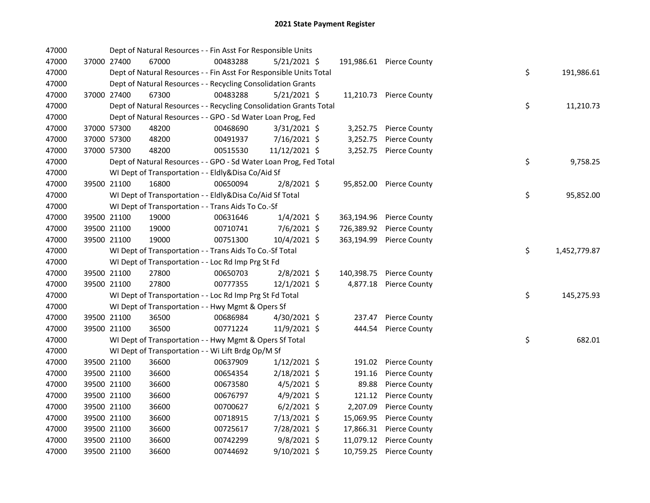| 47000 |             | Dept of Natural Resources - - Fin Asst For Responsible Units       |          |                |            |                          |    |              |
|-------|-------------|--------------------------------------------------------------------|----------|----------------|------------|--------------------------|----|--------------|
| 47000 | 37000 27400 | 67000                                                              | 00483288 | $5/21/2021$ \$ |            | 191,986.61 Pierce County |    |              |
| 47000 |             | Dept of Natural Resources - - Fin Asst For Responsible Units Total |          |                |            |                          | \$ | 191,986.61   |
| 47000 |             | Dept of Natural Resources - - Recycling Consolidation Grants       |          |                |            |                          |    |              |
| 47000 | 37000 27400 | 67300                                                              | 00483288 | $5/21/2021$ \$ |            | 11,210.73 Pierce County  |    |              |
| 47000 |             | Dept of Natural Resources - - Recycling Consolidation Grants Total |          |                |            |                          | \$ | 11,210.73    |
| 47000 |             | Dept of Natural Resources - - GPO - Sd Water Loan Prog, Fed        |          |                |            |                          |    |              |
| 47000 | 37000 57300 | 48200                                                              | 00468690 | $3/31/2021$ \$ | 3,252.75   | <b>Pierce County</b>     |    |              |
| 47000 | 37000 57300 | 48200                                                              | 00491937 | 7/16/2021 \$   | 3,252.75   | Pierce County            |    |              |
| 47000 | 37000 57300 | 48200                                                              | 00515530 | 11/12/2021 \$  | 3,252.75   | <b>Pierce County</b>     |    |              |
| 47000 |             | Dept of Natural Resources - - GPO - Sd Water Loan Prog, Fed Total  |          |                |            |                          | \$ | 9,758.25     |
| 47000 |             | WI Dept of Transportation - - Eldly&Disa Co/Aid Sf                 |          |                |            |                          |    |              |
| 47000 | 39500 21100 | 16800                                                              | 00650094 | $2/8/2021$ \$  |            | 95,852.00 Pierce County  |    |              |
| 47000 |             | WI Dept of Transportation - - Eldly&Disa Co/Aid Sf Total           |          |                |            |                          | \$ | 95,852.00    |
| 47000 |             | WI Dept of Transportation - - Trans Aids To Co.-Sf                 |          |                |            |                          |    |              |
| 47000 | 39500 21100 | 19000                                                              | 00631646 | $1/4/2021$ \$  | 363,194.96 | <b>Pierce County</b>     |    |              |
| 47000 | 39500 21100 | 19000                                                              | 00710741 | 7/6/2021 \$    | 726,389.92 | <b>Pierce County</b>     |    |              |
| 47000 | 39500 21100 | 19000                                                              | 00751300 | 10/4/2021 \$   | 363,194.99 | <b>Pierce County</b>     |    |              |
| 47000 |             | WI Dept of Transportation - - Trans Aids To Co.-Sf Total           |          |                |            |                          | \$ | 1,452,779.87 |
| 47000 |             | WI Dept of Transportation - - Loc Rd Imp Prg St Fd                 |          |                |            |                          |    |              |
| 47000 | 39500 21100 | 27800                                                              | 00650703 | $2/8/2021$ \$  | 140,398.75 | <b>Pierce County</b>     |    |              |
| 47000 | 39500 21100 | 27800                                                              | 00777355 | 12/1/2021 \$   | 4,877.18   | <b>Pierce County</b>     |    |              |
| 47000 |             | WI Dept of Transportation - - Loc Rd Imp Prg St Fd Total           |          |                |            |                          | \$ | 145,275.93   |
| 47000 |             | WI Dept of Transportation - - Hwy Mgmt & Opers Sf                  |          |                |            |                          |    |              |
| 47000 | 39500 21100 | 36500                                                              | 00686984 | 4/30/2021 \$   | 237.47     | <b>Pierce County</b>     |    |              |
| 47000 | 39500 21100 | 36500                                                              | 00771224 | 11/9/2021 \$   | 444.54     | <b>Pierce County</b>     |    |              |
| 47000 |             | WI Dept of Transportation - - Hwy Mgmt & Opers Sf Total            |          |                |            |                          | \$ | 682.01       |
| 47000 |             | WI Dept of Transportation - - Wi Lift Brdg Op/M Sf                 |          |                |            |                          |    |              |
| 47000 | 39500 21100 | 36600                                                              | 00637909 | $1/12/2021$ \$ | 191.02     | <b>Pierce County</b>     |    |              |
| 47000 | 39500 21100 | 36600                                                              | 00654354 | $2/18/2021$ \$ | 191.16     | <b>Pierce County</b>     |    |              |
| 47000 | 39500 21100 | 36600                                                              | 00673580 | $4/5/2021$ \$  | 89.88      | <b>Pierce County</b>     |    |              |
| 47000 | 39500 21100 | 36600                                                              | 00676797 | $4/9/2021$ \$  | 121.12     | <b>Pierce County</b>     |    |              |
| 47000 | 39500 21100 | 36600                                                              | 00700627 | $6/2/2021$ \$  | 2,207.09   | <b>Pierce County</b>     |    |              |
| 47000 | 39500 21100 | 36600                                                              | 00718915 | 7/13/2021 \$   | 15,069.95  | <b>Pierce County</b>     |    |              |
| 47000 | 39500 21100 | 36600                                                              | 00725617 | 7/28/2021 \$   | 17,866.31  | <b>Pierce County</b>     |    |              |
| 47000 | 39500 21100 | 36600                                                              | 00742299 | $9/8/2021$ \$  | 11,079.12  | <b>Pierce County</b>     |    |              |
| 47000 | 39500 21100 | 36600                                                              | 00744692 | $9/10/2021$ \$ | 10,759.25  | <b>Pierce County</b>     |    |              |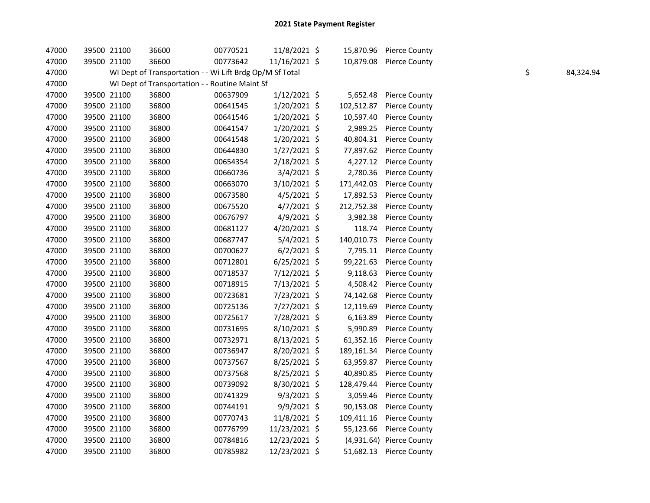| 47000 | 39500 21100 | 36600                                                    | 00770521 | 11/8/2021 \$   |            | 15,870.96 Pierce County  |    |           |
|-------|-------------|----------------------------------------------------------|----------|----------------|------------|--------------------------|----|-----------|
| 47000 | 39500 21100 | 36600                                                    | 00773642 | 11/16/2021 \$  |            | 10,879.08 Pierce County  |    |           |
| 47000 |             | WI Dept of Transportation - - Wi Lift Brdg Op/M Sf Total |          |                |            |                          | \$ | 84,324.94 |
| 47000 |             | WI Dept of Transportation - - Routine Maint Sf           |          |                |            |                          |    |           |
| 47000 | 39500 21100 | 36800                                                    | 00637909 | $1/12/2021$ \$ | 5,652.48   | <b>Pierce County</b>     |    |           |
| 47000 | 39500 21100 | 36800                                                    | 00641545 | 1/20/2021 \$   | 102,512.87 | <b>Pierce County</b>     |    |           |
| 47000 | 39500 21100 | 36800                                                    | 00641546 | 1/20/2021 \$   | 10,597.40  | <b>Pierce County</b>     |    |           |
| 47000 | 39500 21100 | 36800                                                    | 00641547 | 1/20/2021 \$   | 2,989.25   | <b>Pierce County</b>     |    |           |
| 47000 | 39500 21100 | 36800                                                    | 00641548 | 1/20/2021 \$   | 40,804.31  | <b>Pierce County</b>     |    |           |
| 47000 | 39500 21100 | 36800                                                    | 00644830 | $1/27/2021$ \$ | 77,897.62  | <b>Pierce County</b>     |    |           |
| 47000 | 39500 21100 | 36800                                                    | 00654354 | $2/18/2021$ \$ | 4,227.12   | <b>Pierce County</b>     |    |           |
| 47000 | 39500 21100 | 36800                                                    | 00660736 | 3/4/2021 \$    | 2,780.36   | <b>Pierce County</b>     |    |           |
| 47000 | 39500 21100 | 36800                                                    | 00663070 | 3/10/2021 \$   | 171,442.03 | <b>Pierce County</b>     |    |           |
| 47000 | 39500 21100 | 36800                                                    | 00673580 | $4/5/2021$ \$  | 17,892.53  | <b>Pierce County</b>     |    |           |
| 47000 | 39500 21100 | 36800                                                    | 00675520 | $4/7/2021$ \$  | 212,752.38 | <b>Pierce County</b>     |    |           |
| 47000 | 39500 21100 | 36800                                                    | 00676797 | 4/9/2021 \$    | 3,982.38   | <b>Pierce County</b>     |    |           |
| 47000 | 39500 21100 | 36800                                                    | 00681127 | 4/20/2021 \$   | 118.74     | <b>Pierce County</b>     |    |           |
| 47000 | 39500 21100 | 36800                                                    | 00687747 | $5/4/2021$ \$  | 140,010.73 | <b>Pierce County</b>     |    |           |
| 47000 | 39500 21100 | 36800                                                    | 00700627 | $6/2/2021$ \$  | 7,795.11   | <b>Pierce County</b>     |    |           |
| 47000 | 39500 21100 | 36800                                                    | 00712801 | $6/25/2021$ \$ | 99,221.63  | <b>Pierce County</b>     |    |           |
| 47000 | 39500 21100 | 36800                                                    | 00718537 | 7/12/2021 \$   | 9,118.63   | <b>Pierce County</b>     |    |           |
| 47000 | 39500 21100 | 36800                                                    | 00718915 | 7/13/2021 \$   | 4,508.42   | <b>Pierce County</b>     |    |           |
| 47000 | 39500 21100 | 36800                                                    | 00723681 | 7/23/2021 \$   | 74,142.68  | <b>Pierce County</b>     |    |           |
| 47000 | 39500 21100 | 36800                                                    | 00725136 | 7/27/2021 \$   | 12,119.69  | Pierce County            |    |           |
| 47000 | 39500 21100 | 36800                                                    | 00725617 | 7/28/2021 \$   | 6,163.89   | <b>Pierce County</b>     |    |           |
| 47000 | 39500 21100 | 36800                                                    | 00731695 | 8/10/2021 \$   | 5,990.89   | <b>Pierce County</b>     |    |           |
| 47000 | 39500 21100 | 36800                                                    | 00732971 | 8/13/2021 \$   | 61,352.16  | <b>Pierce County</b>     |    |           |
| 47000 | 39500 21100 | 36800                                                    | 00736947 | 8/20/2021 \$   | 189,161.34 | <b>Pierce County</b>     |    |           |
| 47000 | 39500 21100 | 36800                                                    | 00737567 | 8/25/2021 \$   | 63,959.87  | Pierce County            |    |           |
| 47000 | 39500 21100 | 36800                                                    | 00737568 | $8/25/2021$ \$ | 40,890.85  | <b>Pierce County</b>     |    |           |
| 47000 | 39500 21100 | 36800                                                    | 00739092 | 8/30/2021 \$   | 128,479.44 | <b>Pierce County</b>     |    |           |
| 47000 | 39500 21100 | 36800                                                    | 00741329 | $9/3/2021$ \$  | 3,059.46   | <b>Pierce County</b>     |    |           |
| 47000 | 39500 21100 | 36800                                                    | 00744191 | 9/9/2021 \$    | 90,153.08  | <b>Pierce County</b>     |    |           |
| 47000 | 39500 21100 | 36800                                                    | 00770743 | 11/8/2021 \$   | 109,411.16 | <b>Pierce County</b>     |    |           |
| 47000 | 39500 21100 | 36800                                                    | 00776799 | 11/23/2021 \$  | 55,123.66  | <b>Pierce County</b>     |    |           |
| 47000 | 39500 21100 | 36800                                                    | 00784816 | 12/23/2021 \$  |            | (4,931.64) Pierce County |    |           |
| 47000 | 39500 21100 | 36800                                                    | 00785982 | 12/23/2021 \$  |            | 51,682.13 Pierce County  |    |           |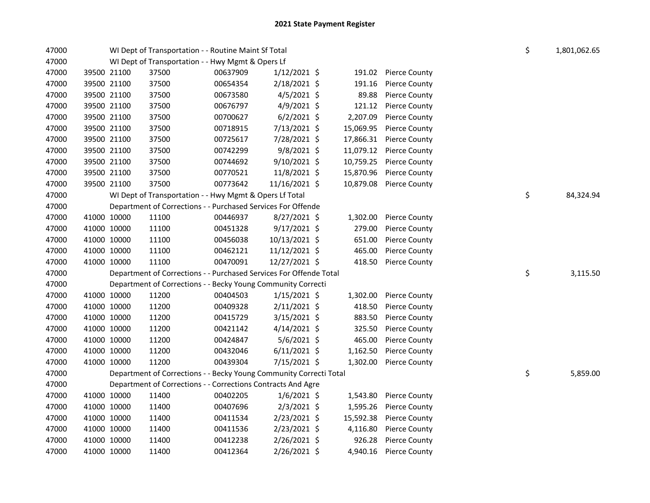| 47000 |             |             | WI Dept of Transportation - - Routine Maint Sf Total               | \$       | 1,801,062.65   |           |                      |    |           |
|-------|-------------|-------------|--------------------------------------------------------------------|----------|----------------|-----------|----------------------|----|-----------|
| 47000 |             |             | WI Dept of Transportation - - Hwy Mgmt & Opers Lf                  |          |                |           |                      |    |           |
| 47000 |             | 39500 21100 | 37500                                                              | 00637909 | $1/12/2021$ \$ | 191.02    | <b>Pierce County</b> |    |           |
| 47000 | 39500 21100 |             | 37500                                                              | 00654354 | 2/18/2021 \$   | 191.16    | <b>Pierce County</b> |    |           |
| 47000 | 39500 21100 |             | 37500                                                              | 00673580 | $4/5/2021$ \$  | 89.88     | <b>Pierce County</b> |    |           |
| 47000 | 39500 21100 |             | 37500                                                              | 00676797 | $4/9/2021$ \$  | 121.12    | <b>Pierce County</b> |    |           |
| 47000 | 39500 21100 |             | 37500                                                              | 00700627 | $6/2/2021$ \$  | 2,207.09  | <b>Pierce County</b> |    |           |
| 47000 | 39500 21100 |             | 37500                                                              | 00718915 | 7/13/2021 \$   | 15,069.95 | <b>Pierce County</b> |    |           |
| 47000 | 39500 21100 |             | 37500                                                              | 00725617 | 7/28/2021 \$   | 17,866.31 | <b>Pierce County</b> |    |           |
| 47000 | 39500 21100 |             | 37500                                                              | 00742299 | 9/8/2021 \$    | 11,079.12 | <b>Pierce County</b> |    |           |
| 47000 | 39500 21100 |             | 37500                                                              | 00744692 | 9/10/2021 \$   | 10,759.25 | <b>Pierce County</b> |    |           |
| 47000 | 39500 21100 |             | 37500                                                              | 00770521 | 11/8/2021 \$   | 15,870.96 | <b>Pierce County</b> |    |           |
| 47000 | 39500 21100 |             | 37500                                                              | 00773642 | 11/16/2021 \$  | 10,879.08 | <b>Pierce County</b> |    |           |
| 47000 |             |             | WI Dept of Transportation - - Hwy Mgmt & Opers Lf Total            |          |                |           |                      | \$ | 84,324.94 |
| 47000 |             |             | Department of Corrections - - Purchased Services For Offende       |          |                |           |                      |    |           |
| 47000 | 41000 10000 |             | 11100                                                              | 00446937 | 8/27/2021 \$   | 1,302.00  | <b>Pierce County</b> |    |           |
| 47000 | 41000 10000 |             | 11100                                                              | 00451328 | 9/17/2021 \$   | 279.00    | <b>Pierce County</b> |    |           |
| 47000 | 41000 10000 |             | 11100                                                              | 00456038 | 10/13/2021 \$  | 651.00    | <b>Pierce County</b> |    |           |
| 47000 | 41000 10000 |             | 11100                                                              | 00462121 | 11/12/2021 \$  | 465.00    | <b>Pierce County</b> |    |           |
| 47000 | 41000 10000 |             | 11100                                                              | 00470091 | 12/27/2021 \$  | 418.50    | <b>Pierce County</b> |    |           |
| 47000 |             |             | Department of Corrections - - Purchased Services For Offende Total |          |                |           |                      | \$ | 3,115.50  |
| 47000 |             |             | Department of Corrections - - Becky Young Community Correcti       |          |                |           |                      |    |           |
| 47000 | 41000 10000 |             | 11200                                                              | 00404503 | $1/15/2021$ \$ | 1,302.00  | <b>Pierce County</b> |    |           |
| 47000 | 41000 10000 |             | 11200                                                              | 00409328 | $2/11/2021$ \$ | 418.50    | <b>Pierce County</b> |    |           |
| 47000 | 41000 10000 |             | 11200                                                              | 00415729 | 3/15/2021 \$   | 883.50    | <b>Pierce County</b> |    |           |
| 47000 | 41000 10000 |             | 11200                                                              | 00421142 | $4/14/2021$ \$ | 325.50    | <b>Pierce County</b> |    |           |
| 47000 | 41000 10000 |             | 11200                                                              | 00424847 | 5/6/2021 \$    | 465.00    | <b>Pierce County</b> |    |           |
| 47000 | 41000 10000 |             | 11200                                                              | 00432046 | $6/11/2021$ \$ | 1,162.50  | <b>Pierce County</b> |    |           |
| 47000 | 41000 10000 |             | 11200                                                              | 00439304 | 7/15/2021 \$   | 1,302.00  | <b>Pierce County</b> |    |           |
| 47000 |             |             | Department of Corrections - - Becky Young Community Correcti Total |          |                |           |                      | \$ | 5,859.00  |
| 47000 |             |             | Department of Corrections - - Corrections Contracts And Agre       |          |                |           |                      |    |           |
| 47000 | 41000 10000 |             | 11400                                                              | 00402205 | $1/6/2021$ \$  | 1,543.80  | <b>Pierce County</b> |    |           |
| 47000 | 41000 10000 |             | 11400                                                              | 00407696 | $2/3/2021$ \$  | 1,595.26  | <b>Pierce County</b> |    |           |
| 47000 | 41000 10000 |             | 11400                                                              | 00411534 | 2/23/2021 \$   | 15,592.38 | <b>Pierce County</b> |    |           |
| 47000 | 41000 10000 |             | 11400                                                              | 00411536 | 2/23/2021 \$   | 4,116.80  | <b>Pierce County</b> |    |           |
| 47000 | 41000 10000 |             | 11400                                                              | 00412238 | 2/26/2021 \$   | 926.28    | <b>Pierce County</b> |    |           |
| 47000 | 41000 10000 |             | 11400                                                              | 00412364 | 2/26/2021 \$   | 4,940.16  | <b>Pierce County</b> |    |           |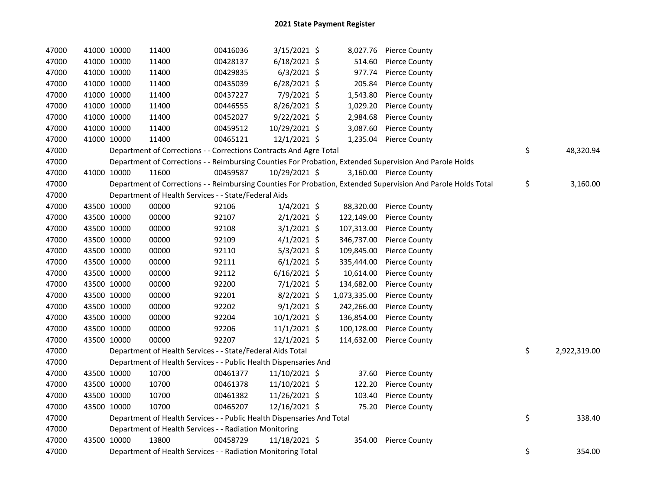| 47000 | 41000 10000 | 11400                                                                  | 00416036 | 3/15/2021 \$   |              | 8,027.76 Pierce County                                                                                        |                    |
|-------|-------------|------------------------------------------------------------------------|----------|----------------|--------------|---------------------------------------------------------------------------------------------------------------|--------------------|
| 47000 | 41000 10000 | 11400                                                                  | 00428137 | $6/18/2021$ \$ | 514.60       | <b>Pierce County</b>                                                                                          |                    |
| 47000 | 41000 10000 | 11400                                                                  | 00429835 | $6/3/2021$ \$  | 977.74       | <b>Pierce County</b>                                                                                          |                    |
| 47000 | 41000 10000 | 11400                                                                  | 00435039 | 6/28/2021 \$   | 205.84       | <b>Pierce County</b>                                                                                          |                    |
| 47000 | 41000 10000 | 11400                                                                  | 00437227 | 7/9/2021 \$    | 1,543.80     | <b>Pierce County</b>                                                                                          |                    |
| 47000 | 41000 10000 | 11400                                                                  | 00446555 | 8/26/2021 \$   | 1,029.20     | <b>Pierce County</b>                                                                                          |                    |
| 47000 | 41000 10000 | 11400                                                                  | 00452027 | $9/22/2021$ \$ | 2,984.68     | <b>Pierce County</b>                                                                                          |                    |
| 47000 | 41000 10000 | 11400                                                                  | 00459512 | 10/29/2021 \$  | 3,087.60     | <b>Pierce County</b>                                                                                          |                    |
| 47000 | 41000 10000 | 11400                                                                  | 00465121 | 12/1/2021 \$   | 1,235.04     | <b>Pierce County</b>                                                                                          |                    |
| 47000 |             | Department of Corrections - - Corrections Contracts And Agre Total     |          |                |              |                                                                                                               | \$<br>48,320.94    |
| 47000 |             |                                                                        |          |                |              | Department of Corrections - - Reimbursing Counties For Probation, Extended Supervision And Parole Holds       |                    |
| 47000 | 41000 10000 | 11600                                                                  | 00459587 | 10/29/2021 \$  |              | 3,160.00 Pierce County                                                                                        |                    |
| 47000 |             |                                                                        |          |                |              | Department of Corrections - - Reimbursing Counties For Probation, Extended Supervision And Parole Holds Total | \$<br>3,160.00     |
| 47000 |             | Department of Health Services - - State/Federal Aids                   |          |                |              |                                                                                                               |                    |
| 47000 | 43500 10000 | 00000                                                                  | 92106    | $1/4/2021$ \$  | 88,320.00    | <b>Pierce County</b>                                                                                          |                    |
| 47000 | 43500 10000 | 00000                                                                  | 92107    | $2/1/2021$ \$  | 122,149.00   | <b>Pierce County</b>                                                                                          |                    |
| 47000 | 43500 10000 | 00000                                                                  | 92108    | $3/1/2021$ \$  | 107,313.00   | <b>Pierce County</b>                                                                                          |                    |
| 47000 | 43500 10000 | 00000                                                                  | 92109    | $4/1/2021$ \$  | 346,737.00   | <b>Pierce County</b>                                                                                          |                    |
| 47000 | 43500 10000 | 00000                                                                  | 92110    | $5/3/2021$ \$  | 109,845.00   | <b>Pierce County</b>                                                                                          |                    |
| 47000 | 43500 10000 | 00000                                                                  | 92111    | $6/1/2021$ \$  | 335,444.00   | <b>Pierce County</b>                                                                                          |                    |
| 47000 | 43500 10000 | 00000                                                                  | 92112    | $6/16/2021$ \$ | 10,614.00    | <b>Pierce County</b>                                                                                          |                    |
| 47000 | 43500 10000 | 00000                                                                  | 92200    | $7/1/2021$ \$  | 134,682.00   | <b>Pierce County</b>                                                                                          |                    |
| 47000 | 43500 10000 | 00000                                                                  | 92201    | $8/2/2021$ \$  | 1,073,335.00 | <b>Pierce County</b>                                                                                          |                    |
| 47000 | 43500 10000 | 00000                                                                  | 92202    | $9/1/2021$ \$  | 242,266.00   | <b>Pierce County</b>                                                                                          |                    |
| 47000 | 43500 10000 | 00000                                                                  | 92204    | 10/1/2021 \$   | 136,854.00   | <b>Pierce County</b>                                                                                          |                    |
| 47000 | 43500 10000 | 00000                                                                  | 92206    | $11/1/2021$ \$ | 100,128.00   | <b>Pierce County</b>                                                                                          |                    |
| 47000 | 43500 10000 | 00000                                                                  | 92207    | 12/1/2021 \$   | 114,632.00   | <b>Pierce County</b>                                                                                          |                    |
| 47000 |             | Department of Health Services - - State/Federal Aids Total             |          |                |              |                                                                                                               | \$<br>2,922,319.00 |
| 47000 |             | Department of Health Services - - Public Health Dispensaries And       |          |                |              |                                                                                                               |                    |
| 47000 | 43500 10000 | 10700                                                                  | 00461377 | 11/10/2021 \$  | 37.60        | <b>Pierce County</b>                                                                                          |                    |
| 47000 | 43500 10000 | 10700                                                                  | 00461378 | 11/10/2021 \$  | 122.20       | <b>Pierce County</b>                                                                                          |                    |
| 47000 | 43500 10000 | 10700                                                                  | 00461382 | 11/26/2021 \$  | 103.40       | <b>Pierce County</b>                                                                                          |                    |
| 47000 | 43500 10000 | 10700                                                                  | 00465207 | 12/16/2021 \$  | 75.20        | <b>Pierce County</b>                                                                                          |                    |
| 47000 |             | Department of Health Services - - Public Health Dispensaries And Total |          |                |              |                                                                                                               | \$<br>338.40       |
| 47000 |             | Department of Health Services - - Radiation Monitoring                 |          |                |              |                                                                                                               |                    |
| 47000 | 43500 10000 | 13800                                                                  | 00458729 | 11/18/2021 \$  | 354.00       | <b>Pierce County</b>                                                                                          |                    |
| 47000 |             | Department of Health Services - - Radiation Monitoring Total           |          |                |              |                                                                                                               | \$<br>354.00       |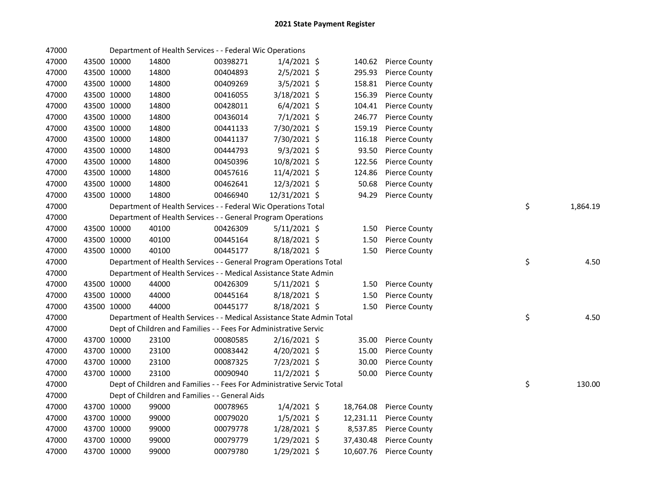| 47000 |             |             | Department of Health Services - - Federal Wic Operations               |          |                |           |                         |    |          |
|-------|-------------|-------------|------------------------------------------------------------------------|----------|----------------|-----------|-------------------------|----|----------|
| 47000 |             | 43500 10000 | 14800                                                                  | 00398271 | $1/4/2021$ \$  | 140.62    | <b>Pierce County</b>    |    |          |
| 47000 |             | 43500 10000 | 14800                                                                  | 00404893 | $2/5/2021$ \$  | 295.93    | <b>Pierce County</b>    |    |          |
| 47000 |             | 43500 10000 | 14800                                                                  | 00409269 | 3/5/2021 \$    | 158.81    | <b>Pierce County</b>    |    |          |
| 47000 | 43500 10000 |             | 14800                                                                  | 00416055 | 3/18/2021 \$   | 156.39    | <b>Pierce County</b>    |    |          |
| 47000 | 43500 10000 |             | 14800                                                                  | 00428011 | $6/4/2021$ \$  | 104.41    | <b>Pierce County</b>    |    |          |
| 47000 | 43500 10000 |             | 14800                                                                  | 00436014 | $7/1/2021$ \$  | 246.77    | <b>Pierce County</b>    |    |          |
| 47000 | 43500 10000 |             | 14800                                                                  | 00441133 | 7/30/2021 \$   | 159.19    | <b>Pierce County</b>    |    |          |
| 47000 |             | 43500 10000 | 14800                                                                  | 00441137 | 7/30/2021 \$   | 116.18    | <b>Pierce County</b>    |    |          |
| 47000 |             | 43500 10000 | 14800                                                                  | 00444793 | $9/3/2021$ \$  | 93.50     | <b>Pierce County</b>    |    |          |
| 47000 |             | 43500 10000 | 14800                                                                  | 00450396 | 10/8/2021 \$   | 122.56    | <b>Pierce County</b>    |    |          |
| 47000 |             | 43500 10000 | 14800                                                                  | 00457616 | 11/4/2021 \$   | 124.86    | <b>Pierce County</b>    |    |          |
| 47000 |             | 43500 10000 | 14800                                                                  | 00462641 | 12/3/2021 \$   | 50.68     | <b>Pierce County</b>    |    |          |
| 47000 | 43500 10000 |             | 14800                                                                  | 00466940 | 12/31/2021 \$  | 94.29     | <b>Pierce County</b>    |    |          |
| 47000 |             |             | Department of Health Services - - Federal Wic Operations Total         |          |                |           |                         | \$ | 1,864.19 |
| 47000 |             |             | Department of Health Services - - General Program Operations           |          |                |           |                         |    |          |
| 47000 | 43500 10000 |             | 40100                                                                  | 00426309 | $5/11/2021$ \$ | 1.50      | <b>Pierce County</b>    |    |          |
| 47000 |             | 43500 10000 | 40100                                                                  | 00445164 | 8/18/2021 \$   | 1.50      | <b>Pierce County</b>    |    |          |
| 47000 |             | 43500 10000 | 40100                                                                  | 00445177 | 8/18/2021 \$   | 1.50      | <b>Pierce County</b>    |    |          |
| 47000 |             |             | Department of Health Services - - General Program Operations Total     |          |                |           |                         | \$ | 4.50     |
| 47000 |             |             | Department of Health Services - - Medical Assistance State Admin       |          |                |           |                         |    |          |
| 47000 |             | 43500 10000 | 44000                                                                  | 00426309 | $5/11/2021$ \$ | 1.50      | <b>Pierce County</b>    |    |          |
| 47000 |             | 43500 10000 | 44000                                                                  | 00445164 | 8/18/2021 \$   | 1.50      | <b>Pierce County</b>    |    |          |
| 47000 |             | 43500 10000 | 44000                                                                  | 00445177 | 8/18/2021 \$   | 1.50      | <b>Pierce County</b>    |    |          |
| 47000 |             |             | Department of Health Services - - Medical Assistance State Admin Total |          |                |           |                         | \$ | 4.50     |
| 47000 |             |             | Dept of Children and Families - - Fees For Administrative Servic       |          |                |           |                         |    |          |
| 47000 |             | 43700 10000 | 23100                                                                  | 00080585 | $2/16/2021$ \$ | 35.00     | Pierce County           |    |          |
| 47000 |             | 43700 10000 | 23100                                                                  | 00083442 | $4/20/2021$ \$ | 15.00     | <b>Pierce County</b>    |    |          |
| 47000 | 43700 10000 |             | 23100                                                                  | 00087325 | 7/23/2021 \$   | 30.00     | <b>Pierce County</b>    |    |          |
| 47000 | 43700 10000 |             | 23100                                                                  | 00090940 | $11/2/2021$ \$ | 50.00     | <b>Pierce County</b>    |    |          |
| 47000 |             |             | Dept of Children and Families - - Fees For Administrative Servic Total |          |                |           |                         | \$ | 130.00   |
| 47000 |             |             | Dept of Children and Families - - General Aids                         |          |                |           |                         |    |          |
| 47000 |             | 43700 10000 | 99000                                                                  | 00078965 | $1/4/2021$ \$  |           | 18,764.08 Pierce County |    |          |
| 47000 | 43700 10000 |             | 99000                                                                  | 00079020 | $1/5/2021$ \$  |           | 12,231.11 Pierce County |    |          |
| 47000 | 43700 10000 |             | 99000                                                                  | 00079778 | 1/28/2021 \$   |           | 8,537.85 Pierce County  |    |          |
| 47000 | 43700 10000 |             | 99000                                                                  | 00079779 | 1/29/2021 \$   | 37,430.48 | <b>Pierce County</b>    |    |          |
| 47000 | 43700 10000 |             | 99000                                                                  | 00079780 | 1/29/2021 \$   | 10,607.76 | <b>Pierce County</b>    |    |          |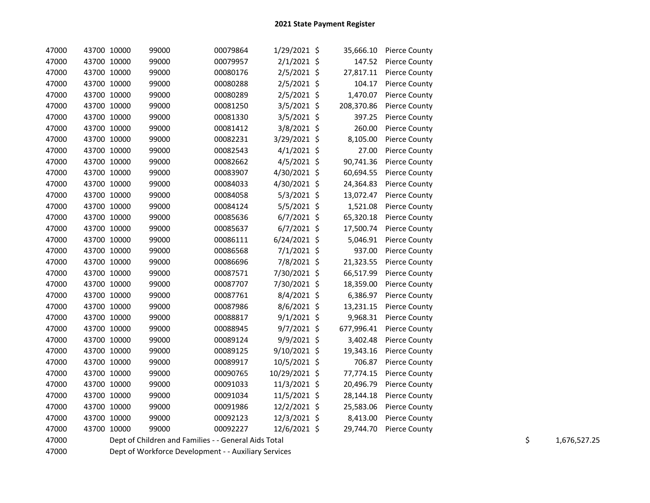| 47000 |             | 43700 10000 | 99000 | 00079864                                             | $1/29/2021$ \$ |            | 35,666.10 Pierce County |  |                    |
|-------|-------------|-------------|-------|------------------------------------------------------|----------------|------------|-------------------------|--|--------------------|
| 47000 |             | 43700 10000 | 99000 | 00079957                                             | $2/1/2021$ \$  | 147.52     | <b>Pierce County</b>    |  |                    |
| 47000 |             | 43700 10000 | 99000 | 00080176                                             | $2/5/2021$ \$  | 27,817.11  | <b>Pierce County</b>    |  |                    |
| 47000 |             | 43700 10000 | 99000 | 00080288                                             | $2/5/2021$ \$  | 104.17     | <b>Pierce County</b>    |  |                    |
| 47000 |             | 43700 10000 | 99000 | 00080289                                             | $2/5/2021$ \$  | 1,470.07   | <b>Pierce County</b>    |  |                    |
| 47000 |             | 43700 10000 | 99000 | 00081250                                             | $3/5/2021$ \$  | 208,370.86 | <b>Pierce County</b>    |  |                    |
| 47000 |             | 43700 10000 | 99000 | 00081330                                             | $3/5/2021$ \$  | 397.25     | <b>Pierce County</b>    |  |                    |
| 47000 |             | 43700 10000 | 99000 | 00081412                                             | 3/8/2021 \$    | 260.00     | <b>Pierce County</b>    |  |                    |
| 47000 |             | 43700 10000 | 99000 | 00082231                                             | 3/29/2021 \$   | 8,105.00   | <b>Pierce County</b>    |  |                    |
| 47000 |             | 43700 10000 | 99000 | 00082543                                             | $4/1/2021$ \$  | 27.00      | <b>Pierce County</b>    |  |                    |
| 47000 | 43700 10000 |             | 99000 | 00082662                                             | $4/5/2021$ \$  | 90,741.36  | <b>Pierce County</b>    |  |                    |
| 47000 |             | 43700 10000 | 99000 | 00083907                                             | 4/30/2021 \$   | 60,694.55  | <b>Pierce County</b>    |  |                    |
| 47000 |             | 43700 10000 | 99000 | 00084033                                             | 4/30/2021 \$   | 24,364.83  | <b>Pierce County</b>    |  |                    |
| 47000 |             | 43700 10000 | 99000 | 00084058                                             | $5/3/2021$ \$  | 13,072.47  | <b>Pierce County</b>    |  |                    |
| 47000 |             | 43700 10000 | 99000 | 00084124                                             | $5/5/2021$ \$  | 1,521.08   | <b>Pierce County</b>    |  |                    |
| 47000 |             | 43700 10000 | 99000 | 00085636                                             | $6/7/2021$ \$  | 65,320.18  | <b>Pierce County</b>    |  |                    |
| 47000 |             | 43700 10000 | 99000 | 00085637                                             | $6/7/2021$ \$  | 17,500.74  | <b>Pierce County</b>    |  |                    |
| 47000 |             | 43700 10000 | 99000 | 00086111                                             | $6/24/2021$ \$ | 5,046.91   | <b>Pierce County</b>    |  |                    |
| 47000 |             | 43700 10000 | 99000 | 00086568                                             | 7/1/2021 \$    | 937.00     | <b>Pierce County</b>    |  |                    |
| 47000 |             | 43700 10000 | 99000 | 00086696                                             | 7/8/2021 \$    | 21,323.55  | <b>Pierce County</b>    |  |                    |
| 47000 |             | 43700 10000 | 99000 | 00087571                                             | 7/30/2021 \$   | 66,517.99  | <b>Pierce County</b>    |  |                    |
| 47000 |             | 43700 10000 | 99000 | 00087707                                             | 7/30/2021 \$   | 18,359.00  | <b>Pierce County</b>    |  |                    |
| 47000 |             | 43700 10000 | 99000 | 00087761                                             | 8/4/2021 \$    | 6,386.97   | <b>Pierce County</b>    |  |                    |
| 47000 |             | 43700 10000 | 99000 | 00087986                                             | $8/6/2021$ \$  | 13,231.15  | <b>Pierce County</b>    |  |                    |
| 47000 |             | 43700 10000 | 99000 | 00088817                                             | $9/1/2021$ \$  | 9,968.31   | <b>Pierce County</b>    |  |                    |
| 47000 |             | 43700 10000 | 99000 | 00088945                                             | $9/7/2021$ \$  | 677,996.41 | <b>Pierce County</b>    |  |                    |
| 47000 |             | 43700 10000 | 99000 | 00089124                                             | 9/9/2021 \$    | 3,402.48   | <b>Pierce County</b>    |  |                    |
| 47000 |             | 43700 10000 | 99000 | 00089125                                             | 9/10/2021 \$   | 19,343.16  | <b>Pierce County</b>    |  |                    |
| 47000 |             | 43700 10000 | 99000 | 00089917                                             | 10/5/2021 \$   | 706.87     | <b>Pierce County</b>    |  |                    |
| 47000 |             | 43700 10000 | 99000 | 00090765                                             | 10/29/2021 \$  | 77,774.15  | <b>Pierce County</b>    |  |                    |
| 47000 |             | 43700 10000 | 99000 | 00091033                                             | 11/3/2021 \$   | 20,496.79  | <b>Pierce County</b>    |  |                    |
| 47000 |             | 43700 10000 | 99000 | 00091034                                             | 11/5/2021 \$   | 28,144.18  | <b>Pierce County</b>    |  |                    |
| 47000 |             | 43700 10000 | 99000 | 00091986                                             | 12/2/2021 \$   | 25,583.06  | <b>Pierce County</b>    |  |                    |
| 47000 | 43700 10000 |             | 99000 | 00092123                                             | 12/3/2021 \$   | 8,413.00   | <b>Pierce County</b>    |  |                    |
| 47000 |             | 43700 10000 | 99000 | 00092227                                             | 12/6/2021 \$   | 29,744.70  | <b>Pierce County</b>    |  |                    |
| 47000 |             |             |       | Dept of Children and Families - - General Aids Total |                |            |                         |  | \$<br>1,676,527.25 |

47000 Dept of Workforce Development - - Auxiliary Services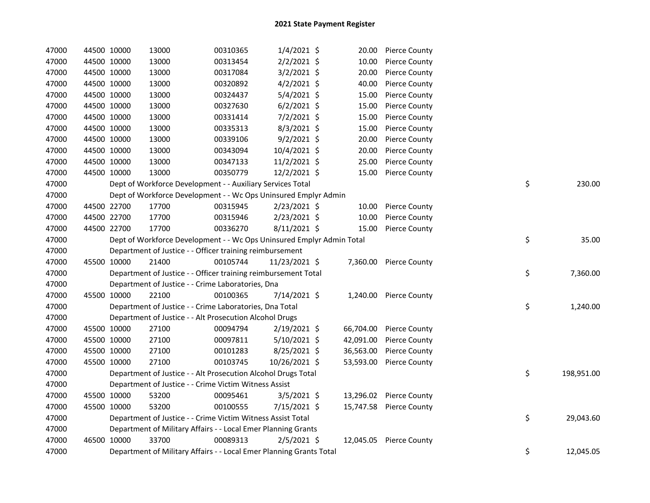| 47000 | 44500 10000 | 13000                                                                 | 00310365 | $1/4/2021$ \$  | 20.00     | <b>Pierce County</b>    |    |            |
|-------|-------------|-----------------------------------------------------------------------|----------|----------------|-----------|-------------------------|----|------------|
| 47000 | 44500 10000 | 13000                                                                 | 00313454 | $2/2/2021$ \$  | 10.00     | <b>Pierce County</b>    |    |            |
| 47000 | 44500 10000 | 13000                                                                 | 00317084 | $3/2/2021$ \$  | 20.00     | <b>Pierce County</b>    |    |            |
| 47000 | 44500 10000 | 13000                                                                 | 00320892 | $4/2/2021$ \$  | 40.00     | <b>Pierce County</b>    |    |            |
| 47000 | 44500 10000 | 13000                                                                 | 00324437 | 5/4/2021 \$    | 15.00     | Pierce County           |    |            |
| 47000 | 44500 10000 | 13000                                                                 | 00327630 | $6/2/2021$ \$  | 15.00     | <b>Pierce County</b>    |    |            |
| 47000 | 44500 10000 | 13000                                                                 | 00331414 | 7/2/2021 \$    | 15.00     | Pierce County           |    |            |
| 47000 | 44500 10000 | 13000                                                                 | 00335313 | 8/3/2021 \$    | 15.00     | <b>Pierce County</b>    |    |            |
| 47000 | 44500 10000 | 13000                                                                 | 00339106 | $9/2/2021$ \$  | 20.00     | <b>Pierce County</b>    |    |            |
| 47000 | 44500 10000 | 13000                                                                 | 00343094 | 10/4/2021 \$   | 20.00     | <b>Pierce County</b>    |    |            |
| 47000 | 44500 10000 | 13000                                                                 | 00347133 | 11/2/2021 \$   | 25.00     | <b>Pierce County</b>    |    |            |
| 47000 | 44500 10000 | 13000                                                                 | 00350779 | 12/2/2021 \$   | 15.00     | <b>Pierce County</b>    |    |            |
| 47000 |             | Dept of Workforce Development - - Auxiliary Services Total            |          |                |           |                         | \$ | 230.00     |
| 47000 |             | Dept of Workforce Development - - Wc Ops Uninsured Emplyr Admin       |          |                |           |                         |    |            |
| 47000 | 44500 22700 | 17700                                                                 | 00315945 | $2/23/2021$ \$ | 10.00     | <b>Pierce County</b>    |    |            |
| 47000 | 44500 22700 | 17700                                                                 | 00315946 | 2/23/2021 \$   | 10.00     | Pierce County           |    |            |
| 47000 | 44500 22700 | 17700                                                                 | 00336270 | $8/11/2021$ \$ | 15.00     | <b>Pierce County</b>    |    |            |
| 47000 |             | Dept of Workforce Development - - Wc Ops Uninsured Emplyr Admin Total |          |                |           |                         | \$ | 35.00      |
| 47000 |             | Department of Justice - - Officer training reimbursement              |          |                |           |                         |    |            |
| 47000 | 45500 10000 | 21400                                                                 | 00105744 | 11/23/2021 \$  |           | 7,360.00 Pierce County  |    |            |
| 47000 |             | Department of Justice - - Officer training reimbursement Total        |          |                |           |                         | \$ | 7,360.00   |
| 47000 |             | Department of Justice - - Crime Laboratories, Dna                     |          |                |           |                         |    |            |
| 47000 | 45500 10000 | 22100                                                                 | 00100365 | 7/14/2021 \$   |           | 1,240.00 Pierce County  |    |            |
| 47000 |             | Department of Justice - - Crime Laboratories, Dna Total               |          |                |           |                         | \$ | 1,240.00   |
| 47000 |             | Department of Justice - - Alt Prosecution Alcohol Drugs               |          |                |           |                         |    |            |
| 47000 | 45500 10000 | 27100                                                                 | 00094794 | $2/19/2021$ \$ | 66,704.00 | <b>Pierce County</b>    |    |            |
| 47000 | 45500 10000 | 27100                                                                 | 00097811 | $5/10/2021$ \$ | 42,091.00 | <b>Pierce County</b>    |    |            |
| 47000 | 45500 10000 | 27100                                                                 | 00101283 | $8/25/2021$ \$ | 36,563.00 | <b>Pierce County</b>    |    |            |
| 47000 | 45500 10000 | 27100                                                                 | 00103745 | 10/26/2021 \$  | 53,593.00 | <b>Pierce County</b>    |    |            |
| 47000 |             | Department of Justice - - Alt Prosecution Alcohol Drugs Total         |          |                |           |                         | \$ | 198,951.00 |
| 47000 |             | Department of Justice - - Crime Victim Witness Assist                 |          |                |           |                         |    |            |
| 47000 | 45500 10000 | 53200                                                                 | 00095461 | $3/5/2021$ \$  |           | 13,296.02 Pierce County |    |            |
| 47000 | 45500 10000 | 53200                                                                 | 00100555 | $7/15/2021$ \$ |           | 15,747.58 Pierce County |    |            |
| 47000 |             | Department of Justice - - Crime Victim Witness Assist Total           |          |                |           |                         | \$ | 29,043.60  |
| 47000 |             | Department of Military Affairs - - Local Emer Planning Grants         |          |                |           |                         |    |            |
| 47000 | 46500 10000 | 33700                                                                 | 00089313 | 2/5/2021 \$    |           | 12,045.05 Pierce County |    |            |
| 47000 |             | Department of Military Affairs - - Local Emer Planning Grants Total   |          |                |           |                         | \$ | 12,045.05  |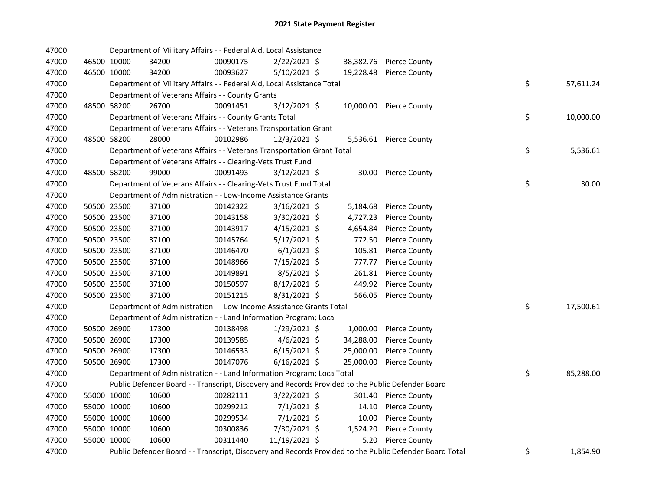| 47000 |             | Department of Military Affairs - - Federal Aid, Local Assistance       |          |                |           |                                                                                                         |                 |
|-------|-------------|------------------------------------------------------------------------|----------|----------------|-----------|---------------------------------------------------------------------------------------------------------|-----------------|
| 47000 | 46500 10000 | 34200                                                                  | 00090175 | 2/22/2021 \$   |           | 38,382.76 Pierce County                                                                                 |                 |
| 47000 | 46500 10000 | 34200                                                                  | 00093627 | 5/10/2021 \$   |           | 19,228.48 Pierce County                                                                                 |                 |
| 47000 |             | Department of Military Affairs - - Federal Aid, Local Assistance Total |          |                |           |                                                                                                         | \$<br>57,611.24 |
| 47000 |             | Department of Veterans Affairs - - County Grants                       |          |                |           |                                                                                                         |                 |
| 47000 | 48500 58200 | 26700                                                                  | 00091451 | $3/12/2021$ \$ |           | 10,000.00 Pierce County                                                                                 |                 |
| 47000 |             | Department of Veterans Affairs - - County Grants Total                 |          |                |           |                                                                                                         | \$<br>10,000.00 |
| 47000 |             | Department of Veterans Affairs - - Veterans Transportation Grant       |          |                |           |                                                                                                         |                 |
| 47000 | 48500 58200 | 28000                                                                  | 00102986 | 12/3/2021 \$   |           | 5,536.61 Pierce County                                                                                  |                 |
| 47000 |             | Department of Veterans Affairs - - Veterans Transportation Grant Total |          |                |           |                                                                                                         | \$<br>5,536.61  |
| 47000 |             | Department of Veterans Affairs - - Clearing-Vets Trust Fund            |          |                |           |                                                                                                         |                 |
| 47000 | 48500 58200 | 99000                                                                  | 00091493 | 3/12/2021 \$   |           | 30.00 Pierce County                                                                                     |                 |
| 47000 |             | Department of Veterans Affairs - - Clearing-Vets Trust Fund Total      |          |                |           |                                                                                                         | \$<br>30.00     |
| 47000 |             | Department of Administration - - Low-Income Assistance Grants          |          |                |           |                                                                                                         |                 |
| 47000 | 50500 23500 | 37100                                                                  | 00142322 | $3/16/2021$ \$ |           | 5,184.68 Pierce County                                                                                  |                 |
| 47000 | 50500 23500 | 37100                                                                  | 00143158 | 3/30/2021 \$   | 4,727.23  | <b>Pierce County</b>                                                                                    |                 |
| 47000 | 50500 23500 | 37100                                                                  | 00143917 | $4/15/2021$ \$ | 4,654.84  | <b>Pierce County</b>                                                                                    |                 |
| 47000 | 50500 23500 | 37100                                                                  | 00145764 | $5/17/2021$ \$ | 772.50    | <b>Pierce County</b>                                                                                    |                 |
| 47000 | 50500 23500 | 37100                                                                  | 00146470 | $6/1/2021$ \$  | 105.81    | <b>Pierce County</b>                                                                                    |                 |
| 47000 | 50500 23500 | 37100                                                                  | 00148966 | 7/15/2021 \$   | 777.77    | <b>Pierce County</b>                                                                                    |                 |
| 47000 | 50500 23500 | 37100                                                                  | 00149891 | 8/5/2021 \$    | 261.81    | <b>Pierce County</b>                                                                                    |                 |
| 47000 | 50500 23500 | 37100                                                                  | 00150597 | $8/17/2021$ \$ | 449.92    | <b>Pierce County</b>                                                                                    |                 |
| 47000 | 50500 23500 | 37100                                                                  | 00151215 | 8/31/2021 \$   | 566.05    | <b>Pierce County</b>                                                                                    |                 |
| 47000 |             | Department of Administration - - Low-Income Assistance Grants Total    |          |                |           |                                                                                                         | \$<br>17,500.61 |
| 47000 |             | Department of Administration - - Land Information Program; Loca        |          |                |           |                                                                                                         |                 |
| 47000 | 50500 26900 | 17300                                                                  | 00138498 | $1/29/2021$ \$ | 1,000.00  | <b>Pierce County</b>                                                                                    |                 |
| 47000 | 50500 26900 | 17300                                                                  | 00139585 | $4/6/2021$ \$  | 34,288.00 | <b>Pierce County</b>                                                                                    |                 |
| 47000 | 50500 26900 | 17300                                                                  | 00146533 | $6/15/2021$ \$ | 25,000.00 | <b>Pierce County</b>                                                                                    |                 |
| 47000 | 50500 26900 | 17300                                                                  | 00147076 | $6/16/2021$ \$ | 25,000.00 | <b>Pierce County</b>                                                                                    |                 |
| 47000 |             | Department of Administration - - Land Information Program; Loca Total  |          |                |           |                                                                                                         | \$<br>85,288.00 |
| 47000 |             |                                                                        |          |                |           | Public Defender Board - - Transcript, Discovery and Records Provided to the Public Defender Board       |                 |
| 47000 | 55000 10000 | 10600                                                                  | 00282111 | $3/22/2021$ \$ |           | 301.40 Pierce County                                                                                    |                 |
| 47000 | 55000 10000 | 10600                                                                  | 00299212 | $7/1/2021$ \$  | 14.10     | <b>Pierce County</b>                                                                                    |                 |
| 47000 | 55000 10000 | 10600                                                                  | 00299534 | $7/1/2021$ \$  | 10.00     | <b>Pierce County</b>                                                                                    |                 |
| 47000 | 55000 10000 | 10600                                                                  | 00300836 | 7/30/2021 \$   | 1,524.20  | <b>Pierce County</b>                                                                                    |                 |
| 47000 | 55000 10000 | 10600                                                                  | 00311440 | 11/19/2021 \$  | 5.20      | Pierce County                                                                                           |                 |
| 47000 |             |                                                                        |          |                |           | Public Defender Board - - Transcript, Discovery and Records Provided to the Public Defender Board Total | \$<br>1,854.90  |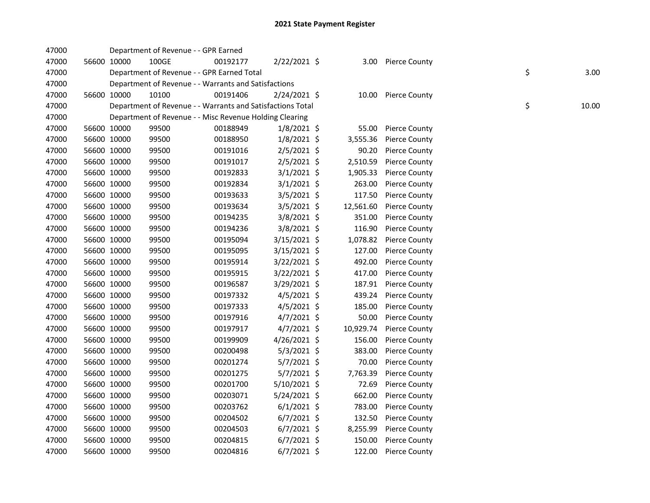| 47000 |             |             | Department of Revenue - - GPR Earned |                                                            |                |           |                      |    |       |
|-------|-------------|-------------|--------------------------------------|------------------------------------------------------------|----------------|-----------|----------------------|----|-------|
| 47000 |             | 56600 10000 | 100GE                                | 00192177                                                   | 2/22/2021 \$   |           | 3.00 Pierce County   |    |       |
| 47000 |             |             |                                      | Department of Revenue - - GPR Earned Total                 |                |           |                      | \$ | 3.00  |
| 47000 |             |             |                                      | Department of Revenue - - Warrants and Satisfactions       |                |           |                      |    |       |
| 47000 |             | 56600 10000 | 10100                                | 00191406                                                   | 2/24/2021 \$   |           | 10.00 Pierce County  |    |       |
| 47000 |             |             |                                      | Department of Revenue - - Warrants and Satisfactions Total |                |           |                      | \$ | 10.00 |
| 47000 |             |             |                                      | Department of Revenue - - Misc Revenue Holding Clearing    |                |           |                      |    |       |
| 47000 |             | 56600 10000 | 99500                                | 00188949                                                   | $1/8/2021$ \$  | 55.00     | <b>Pierce County</b> |    |       |
| 47000 |             | 56600 10000 | 99500                                | 00188950                                                   | $1/8/2021$ \$  | 3,555.36  | <b>Pierce County</b> |    |       |
| 47000 |             | 56600 10000 | 99500                                | 00191016                                                   | $2/5/2021$ \$  | 90.20     | <b>Pierce County</b> |    |       |
| 47000 |             | 56600 10000 | 99500                                | 00191017                                                   | $2/5/2021$ \$  | 2,510.59  | <b>Pierce County</b> |    |       |
| 47000 |             | 56600 10000 | 99500                                | 00192833                                                   | $3/1/2021$ \$  | 1,905.33  | Pierce County        |    |       |
| 47000 |             | 56600 10000 | 99500                                | 00192834                                                   | $3/1/2021$ \$  | 263.00    | Pierce County        |    |       |
| 47000 |             | 56600 10000 | 99500                                | 00193633                                                   | $3/5/2021$ \$  | 117.50    | <b>Pierce County</b> |    |       |
| 47000 |             | 56600 10000 | 99500                                | 00193634                                                   | $3/5/2021$ \$  | 12,561.60 | <b>Pierce County</b> |    |       |
| 47000 |             | 56600 10000 | 99500                                | 00194235                                                   | 3/8/2021 \$    | 351.00    | Pierce County        |    |       |
| 47000 |             | 56600 10000 | 99500                                | 00194236                                                   | $3/8/2021$ \$  | 116.90    | <b>Pierce County</b> |    |       |
| 47000 |             | 56600 10000 | 99500                                | 00195094                                                   | $3/15/2021$ \$ | 1,078.82  | <b>Pierce County</b> |    |       |
| 47000 |             | 56600 10000 | 99500                                | 00195095                                                   | $3/15/2021$ \$ | 127.00    | <b>Pierce County</b> |    |       |
| 47000 |             | 56600 10000 | 99500                                | 00195914                                                   | 3/22/2021 \$   | 492.00    | Pierce County        |    |       |
| 47000 |             | 56600 10000 | 99500                                | 00195915                                                   | 3/22/2021 \$   | 417.00    | <b>Pierce County</b> |    |       |
| 47000 |             | 56600 10000 | 99500                                | 00196587                                                   | 3/29/2021 \$   | 187.91    | <b>Pierce County</b> |    |       |
| 47000 |             | 56600 10000 | 99500                                | 00197332                                                   | $4/5/2021$ \$  | 439.24    | <b>Pierce County</b> |    |       |
| 47000 |             | 56600 10000 | 99500                                | 00197333                                                   | $4/5/2021$ \$  | 185.00    | Pierce County        |    |       |
| 47000 |             | 56600 10000 | 99500                                | 00197916                                                   | $4/7/2021$ \$  | 50.00     | Pierce County        |    |       |
| 47000 |             | 56600 10000 | 99500                                | 00197917                                                   | $4/7/2021$ \$  | 10,929.74 | <b>Pierce County</b> |    |       |
| 47000 |             | 56600 10000 | 99500                                | 00199909                                                   | 4/26/2021 \$   | 156.00    | Pierce County        |    |       |
| 47000 |             | 56600 10000 | 99500                                | 00200498                                                   | 5/3/2021 \$    | 383.00    | <b>Pierce County</b> |    |       |
| 47000 |             | 56600 10000 | 99500                                | 00201274                                                   | $5/7/2021$ \$  | 70.00     | Pierce County        |    |       |
| 47000 |             | 56600 10000 | 99500                                | 00201275                                                   | $5/7/2021$ \$  | 7,763.39  | <b>Pierce County</b> |    |       |
| 47000 |             | 56600 10000 | 99500                                | 00201700                                                   | 5/10/2021 \$   | 72.69     | Pierce County        |    |       |
| 47000 |             | 56600 10000 | 99500                                | 00203071                                                   | 5/24/2021 \$   | 662.00    | <b>Pierce County</b> |    |       |
| 47000 |             | 56600 10000 | 99500                                | 00203762                                                   | $6/1/2021$ \$  | 783.00    | <b>Pierce County</b> |    |       |
| 47000 |             | 56600 10000 | 99500                                | 00204502                                                   | $6/7/2021$ \$  | 132.50    | <b>Pierce County</b> |    |       |
| 47000 |             | 56600 10000 | 99500                                | 00204503                                                   | $6/7/2021$ \$  | 8,255.99  | Pierce County        |    |       |
| 47000 |             | 56600 10000 | 99500                                | 00204815                                                   | $6/7/2021$ \$  | 150.00    | <b>Pierce County</b> |    |       |
| 47000 | 56600 10000 |             | 99500                                | 00204816                                                   | $6/7/2021$ \$  | 122.00    | <b>Pierce County</b> |    |       |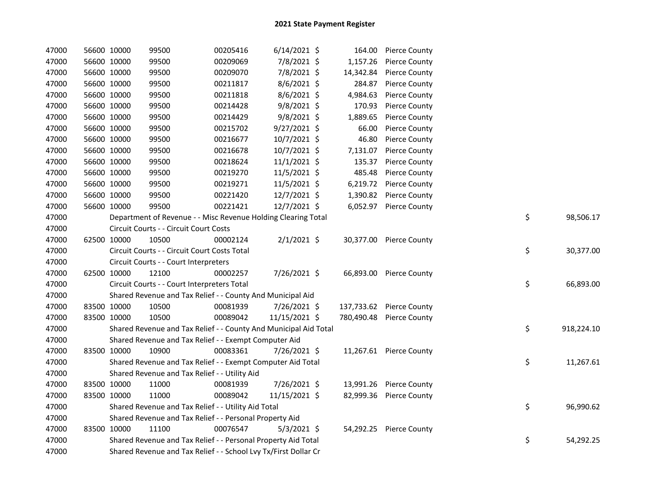| 47000 | 56600 10000 |             | 99500                                                            | 00205416 | $6/14/2021$ \$ |           | 164.00 Pierce County     |    |            |
|-------|-------------|-------------|------------------------------------------------------------------|----------|----------------|-----------|--------------------------|----|------------|
| 47000 |             | 56600 10000 | 99500                                                            | 00209069 | 7/8/2021 \$    | 1,157.26  | <b>Pierce County</b>     |    |            |
| 47000 |             | 56600 10000 | 99500                                                            | 00209070 | 7/8/2021 \$    | 14,342.84 | <b>Pierce County</b>     |    |            |
| 47000 |             | 56600 10000 | 99500                                                            | 00211817 | $8/6/2021$ \$  | 284.87    | <b>Pierce County</b>     |    |            |
| 47000 |             | 56600 10000 | 99500                                                            | 00211818 | $8/6/2021$ \$  | 4,984.63  | <b>Pierce County</b>     |    |            |
| 47000 |             | 56600 10000 | 99500                                                            | 00214428 | 9/8/2021 \$    | 170.93    | <b>Pierce County</b>     |    |            |
| 47000 |             | 56600 10000 | 99500                                                            | 00214429 | $9/8/2021$ \$  | 1,889.65  | <b>Pierce County</b>     |    |            |
| 47000 |             | 56600 10000 | 99500                                                            | 00215702 | 9/27/2021 \$   | 66.00     | <b>Pierce County</b>     |    |            |
| 47000 |             | 56600 10000 | 99500                                                            | 00216677 | 10/7/2021 \$   | 46.80     | <b>Pierce County</b>     |    |            |
| 47000 |             | 56600 10000 | 99500                                                            | 00216678 | 10/7/2021 \$   | 7,131.07  | <b>Pierce County</b>     |    |            |
| 47000 |             | 56600 10000 | 99500                                                            | 00218624 | $11/1/2021$ \$ | 135.37    | <b>Pierce County</b>     |    |            |
| 47000 |             | 56600 10000 | 99500                                                            | 00219270 | 11/5/2021 \$   | 485.48    | <b>Pierce County</b>     |    |            |
| 47000 |             | 56600 10000 | 99500                                                            | 00219271 | 11/5/2021 \$   |           | 6,219.72 Pierce County   |    |            |
| 47000 |             | 56600 10000 | 99500                                                            | 00221420 | 12/7/2021 \$   | 1,390.82  | <b>Pierce County</b>     |    |            |
| 47000 |             | 56600 10000 | 99500                                                            | 00221421 | 12/7/2021 \$   |           | 6,052.97 Pierce County   |    |            |
| 47000 |             |             | Department of Revenue - - Misc Revenue Holding Clearing Total    |          |                |           |                          | \$ | 98,506.17  |
| 47000 |             |             | Circuit Courts - - Circuit Court Costs                           |          |                |           |                          |    |            |
| 47000 | 62500 10000 |             | 10500                                                            | 00002124 | $2/1/2021$ \$  |           | 30,377.00 Pierce County  |    |            |
| 47000 |             |             | Circuit Courts - - Circuit Court Costs Total                     |          |                |           |                          | \$ | 30,377.00  |
| 47000 |             |             | Circuit Courts - - Court Interpreters                            |          |                |           |                          |    |            |
| 47000 |             | 62500 10000 | 12100                                                            | 00002257 | 7/26/2021 \$   |           | 66,893.00 Pierce County  |    |            |
| 47000 |             |             | Circuit Courts - - Court Interpreters Total                      |          |                |           |                          | \$ | 66,893.00  |
| 47000 |             |             | Shared Revenue and Tax Relief - - County And Municipal Aid       |          |                |           |                          |    |            |
| 47000 |             | 83500 10000 | 10500                                                            | 00081939 | 7/26/2021 \$   |           | 137,733.62 Pierce County |    |            |
| 47000 |             | 83500 10000 | 10500                                                            | 00089042 | 11/15/2021 \$  |           | 780,490.48 Pierce County |    |            |
| 47000 |             |             | Shared Revenue and Tax Relief - - County And Municipal Aid Total |          |                |           |                          | \$ | 918,224.10 |
| 47000 |             |             | Shared Revenue and Tax Relief - - Exempt Computer Aid            |          |                |           |                          |    |            |
| 47000 |             | 83500 10000 | 10900                                                            | 00083361 | 7/26/2021 \$   |           | 11,267.61 Pierce County  |    |            |
| 47000 |             |             | Shared Revenue and Tax Relief - - Exempt Computer Aid Total      |          |                |           |                          | \$ | 11,267.61  |
| 47000 |             |             | Shared Revenue and Tax Relief - - Utility Aid                    |          |                |           |                          |    |            |
| 47000 |             | 83500 10000 | 11000                                                            | 00081939 | 7/26/2021 \$   |           | 13,991.26 Pierce County  |    |            |
| 47000 |             | 83500 10000 | 11000                                                            | 00089042 | 11/15/2021 \$  |           | 82,999.36 Pierce County  |    |            |
| 47000 |             |             | Shared Revenue and Tax Relief - - Utility Aid Total              |          |                |           |                          | \$ | 96,990.62  |
| 47000 |             |             | Shared Revenue and Tax Relief - - Personal Property Aid          |          |                |           |                          |    |            |
| 47000 |             | 83500 10000 | 11100                                                            | 00076547 | $5/3/2021$ \$  |           | 54,292.25 Pierce County  |    |            |
| 47000 |             |             | Shared Revenue and Tax Relief - - Personal Property Aid Total    |          |                |           |                          | \$ | 54,292.25  |
| 47000 |             |             | Shared Revenue and Tax Relief - - School Lvy Tx/First Dollar Cr  |          |                |           |                          |    |            |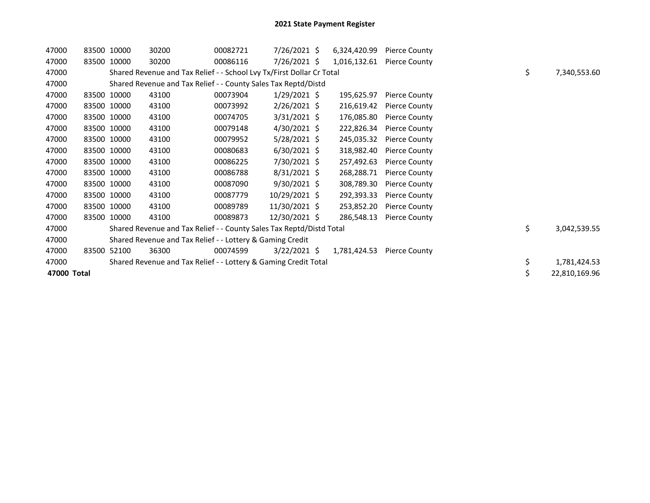| 47000       |             | 83500 10000 | 30200                                                                 | 00082721 | 7/26/2021 \$   | 6,324,420.99 | <b>Pierce County</b> |    |               |
|-------------|-------------|-------------|-----------------------------------------------------------------------|----------|----------------|--------------|----------------------|----|---------------|
| 47000       |             | 83500 10000 | 30200                                                                 | 00086116 | $7/26/2021$ \$ | 1,016,132.61 | Pierce County        |    |               |
| 47000       |             |             | Shared Revenue and Tax Relief - - School Lvy Tx/First Dollar Cr Total |          |                |              |                      | \$ | 7,340,553.60  |
| 47000       |             |             | Shared Revenue and Tax Relief - - County Sales Tax Reptd/Distd        |          |                |              |                      |    |               |
| 47000       |             | 83500 10000 | 43100                                                                 | 00073904 | $1/29/2021$ \$ | 195,625.97   | <b>Pierce County</b> |    |               |
| 47000       | 83500 10000 |             | 43100                                                                 | 00073992 | $2/26/2021$ \$ | 216,619.42   | <b>Pierce County</b> |    |               |
| 47000       |             | 83500 10000 | 43100                                                                 | 00074705 | $3/31/2021$ \$ | 176,085.80   | <b>Pierce County</b> |    |               |
| 47000       |             | 83500 10000 | 43100                                                                 | 00079148 | $4/30/2021$ \$ | 222,826.34   | <b>Pierce County</b> |    |               |
| 47000       |             | 83500 10000 | 43100                                                                 | 00079952 | $5/28/2021$ \$ | 245,035.32   | <b>Pierce County</b> |    |               |
| 47000       |             | 83500 10000 | 43100                                                                 | 00080683 | $6/30/2021$ \$ | 318,982.40   | <b>Pierce County</b> |    |               |
| 47000       |             | 83500 10000 | 43100                                                                 | 00086225 | 7/30/2021 \$   | 257,492.63   | <b>Pierce County</b> |    |               |
| 47000       |             | 83500 10000 | 43100                                                                 | 00086788 | $8/31/2021$ \$ | 268,288.71   | <b>Pierce County</b> |    |               |
| 47000       |             | 83500 10000 | 43100                                                                 | 00087090 | $9/30/2021$ \$ | 308,789.30   | <b>Pierce County</b> |    |               |
| 47000       |             | 83500 10000 | 43100                                                                 | 00087779 | 10/29/2021 \$  | 292,393.33   | <b>Pierce County</b> |    |               |
| 47000       | 83500 10000 |             | 43100                                                                 | 00089789 | 11/30/2021 \$  | 253,852.20   | <b>Pierce County</b> |    |               |
| 47000       |             | 83500 10000 | 43100                                                                 | 00089873 | 12/30/2021 \$  | 286,548.13   | <b>Pierce County</b> |    |               |
| 47000       |             |             | Shared Revenue and Tax Relief - - County Sales Tax Reptd/Distd Total  |          |                |              |                      | \$ | 3,042,539.55  |
| 47000       |             |             | Shared Revenue and Tax Relief - - Lottery & Gaming Credit             |          |                |              |                      |    |               |
| 47000       |             | 83500 52100 | 36300                                                                 | 00074599 | $3/22/2021$ \$ | 1,781,424.53 | <b>Pierce County</b> |    |               |
| 47000       |             |             | Shared Revenue and Tax Relief - - Lottery & Gaming Credit Total       |          |                |              |                      | \$ | 1,781,424.53  |
| 47000 Total |             |             |                                                                       |          |                |              |                      | \$ | 22,810,169.96 |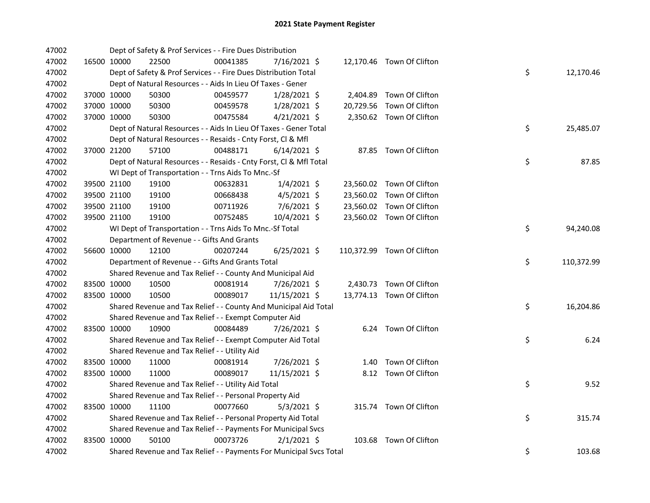| 47002 |             | Dept of Safety & Prof Services - - Fire Dues Distribution           |          |                |  |                            |    |            |
|-------|-------------|---------------------------------------------------------------------|----------|----------------|--|----------------------------|----|------------|
| 47002 | 16500 10000 | 22500                                                               | 00041385 | 7/16/2021 \$   |  | 12,170.46 Town Of Clifton  |    |            |
| 47002 |             | Dept of Safety & Prof Services - - Fire Dues Distribution Total     |          |                |  |                            | \$ | 12,170.46  |
| 47002 |             | Dept of Natural Resources - - Aids In Lieu Of Taxes - Gener         |          |                |  |                            |    |            |
| 47002 | 37000 10000 | 50300                                                               | 00459577 | 1/28/2021 \$   |  | 2,404.89 Town Of Clifton   |    |            |
| 47002 | 37000 10000 | 50300                                                               | 00459578 | 1/28/2021 \$   |  | 20,729.56 Town Of Clifton  |    |            |
| 47002 | 37000 10000 | 50300                                                               | 00475584 | $4/21/2021$ \$ |  | 2,350.62 Town Of Clifton   |    |            |
| 47002 |             | Dept of Natural Resources - - Aids In Lieu Of Taxes - Gener Total   |          |                |  |                            | \$ | 25,485.07  |
| 47002 |             | Dept of Natural Resources - - Resaids - Cnty Forst, Cl & Mfl        |          |                |  |                            |    |            |
| 47002 | 37000 21200 | 57100                                                               | 00488171 | $6/14/2021$ \$ |  | 87.85 Town Of Clifton      |    |            |
| 47002 |             | Dept of Natural Resources - - Resaids - Cnty Forst, Cl & Mfl Total  |          |                |  |                            | \$ | 87.85      |
| 47002 |             | WI Dept of Transportation - - Trns Aids To Mnc.-Sf                  |          |                |  |                            |    |            |
| 47002 | 39500 21100 | 19100                                                               | 00632831 | $1/4/2021$ \$  |  | 23,560.02 Town Of Clifton  |    |            |
| 47002 | 39500 21100 | 19100                                                               | 00668438 | $4/5/2021$ \$  |  | 23,560.02 Town Of Clifton  |    |            |
| 47002 | 39500 21100 | 19100                                                               | 00711926 | $7/6/2021$ \$  |  | 23,560.02 Town Of Clifton  |    |            |
| 47002 | 39500 21100 | 19100                                                               | 00752485 | 10/4/2021 \$   |  | 23,560.02 Town Of Clifton  |    |            |
| 47002 |             | WI Dept of Transportation - - Trns Aids To Mnc.-Sf Total            |          |                |  |                            | \$ | 94,240.08  |
| 47002 |             | Department of Revenue - - Gifts And Grants                          |          |                |  |                            |    |            |
| 47002 | 56600 10000 | 12100                                                               | 00207244 | $6/25/2021$ \$ |  | 110,372.99 Town Of Clifton |    |            |
| 47002 |             | Department of Revenue - - Gifts And Grants Total                    |          |                |  |                            | \$ | 110,372.99 |
| 47002 |             | Shared Revenue and Tax Relief - - County And Municipal Aid          |          |                |  |                            |    |            |
| 47002 | 83500 10000 | 10500                                                               | 00081914 | 7/26/2021 \$   |  | 2,430.73 Town Of Clifton   |    |            |
| 47002 | 83500 10000 | 10500                                                               | 00089017 | 11/15/2021 \$  |  | 13,774.13 Town Of Clifton  |    |            |
| 47002 |             | Shared Revenue and Tax Relief - - County And Municipal Aid Total    |          |                |  |                            | \$ | 16,204.86  |
| 47002 |             | Shared Revenue and Tax Relief - - Exempt Computer Aid               |          |                |  |                            |    |            |
| 47002 | 83500 10000 | 10900                                                               | 00084489 | 7/26/2021 \$   |  | 6.24 Town Of Clifton       |    |            |
| 47002 |             | Shared Revenue and Tax Relief - - Exempt Computer Aid Total         |          |                |  |                            | \$ | 6.24       |
| 47002 |             | Shared Revenue and Tax Relief - - Utility Aid                       |          |                |  |                            |    |            |
| 47002 | 83500 10000 | 11000                                                               | 00081914 | 7/26/2021 \$   |  | 1.40 Town Of Clifton       |    |            |
| 47002 | 83500 10000 | 11000                                                               | 00089017 | 11/15/2021 \$  |  | 8.12 Town Of Clifton       |    |            |
| 47002 |             | Shared Revenue and Tax Relief - - Utility Aid Total                 |          |                |  |                            | \$ | 9.52       |
| 47002 |             | Shared Revenue and Tax Relief - - Personal Property Aid             |          |                |  |                            |    |            |
| 47002 | 83500 10000 | 11100                                                               | 00077660 | $5/3/2021$ \$  |  | 315.74 Town Of Clifton     |    |            |
| 47002 |             | Shared Revenue and Tax Relief - - Personal Property Aid Total       |          |                |  |                            | \$ | 315.74     |
| 47002 |             | Shared Revenue and Tax Relief - - Payments For Municipal Svcs       |          |                |  |                            |    |            |
| 47002 | 83500 10000 | 50100                                                               | 00073726 | $2/1/2021$ \$  |  | 103.68 Town Of Clifton     |    |            |
| 47002 |             | Shared Revenue and Tax Relief - - Payments For Municipal Svcs Total |          |                |  |                            | \$ | 103.68     |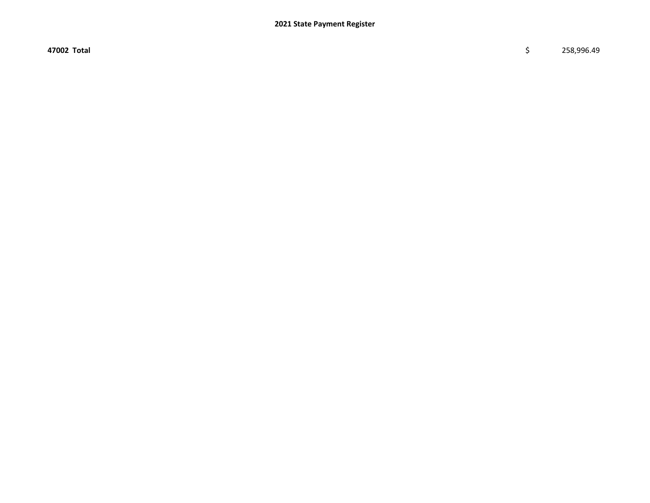47002 Total \$ 258,996.49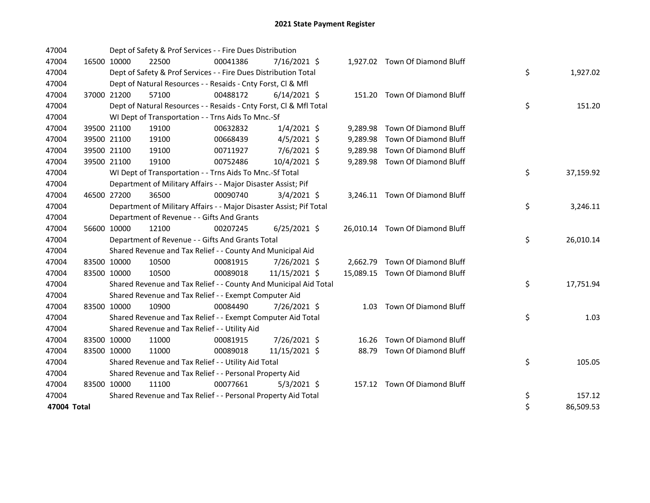| 47004       |             | Dept of Safety & Prof Services - - Fire Dues Distribution           |          |                |  |                                 |    |           |
|-------------|-------------|---------------------------------------------------------------------|----------|----------------|--|---------------------------------|----|-----------|
| 47004       | 16500 10000 | 22500                                                               | 00041386 | 7/16/2021 \$   |  | 1,927.02 Town Of Diamond Bluff  |    |           |
| 47004       |             | Dept of Safety & Prof Services - - Fire Dues Distribution Total     |          |                |  |                                 | \$ | 1,927.02  |
| 47004       |             | Dept of Natural Resources - - Resaids - Cnty Forst, Cl & Mfl        |          |                |  |                                 |    |           |
| 47004       | 37000 21200 | 57100                                                               | 00488172 | $6/14/2021$ \$ |  | 151.20 Town Of Diamond Bluff    |    |           |
| 47004       |             | Dept of Natural Resources - - Resaids - Cnty Forst, CI & Mfl Total  |          |                |  |                                 | \$ | 151.20    |
| 47004       |             | WI Dept of Transportation - - Trns Aids To Mnc.-Sf                  |          |                |  |                                 |    |           |
| 47004       | 39500 21100 | 19100                                                               | 00632832 | $1/4/2021$ \$  |  | 9,289.98 Town Of Diamond Bluff  |    |           |
| 47004       | 39500 21100 | 19100                                                               | 00668439 | $4/5/2021$ \$  |  | 9,289.98 Town Of Diamond Bluff  |    |           |
| 47004       | 39500 21100 | 19100                                                               | 00711927 | 7/6/2021 \$    |  | 9,289.98 Town Of Diamond Bluff  |    |           |
| 47004       | 39500 21100 | 19100                                                               | 00752486 | 10/4/2021 \$   |  | 9,289.98 Town Of Diamond Bluff  |    |           |
| 47004       |             | WI Dept of Transportation - - Trns Aids To Mnc.-Sf Total            |          |                |  |                                 | \$ | 37,159.92 |
| 47004       |             | Department of Military Affairs - - Major Disaster Assist; Pif       |          |                |  |                                 |    |           |
| 47004       | 46500 27200 | 36500                                                               | 00090740 | $3/4/2021$ \$  |  | 3,246.11 Town Of Diamond Bluff  |    |           |
| 47004       |             | Department of Military Affairs - - Major Disaster Assist; Pif Total |          |                |  |                                 | \$ | 3,246.11  |
| 47004       |             | Department of Revenue - - Gifts And Grants                          |          |                |  |                                 |    |           |
| 47004       | 56600 10000 | 12100                                                               | 00207245 | $6/25/2021$ \$ |  | 26,010.14 Town Of Diamond Bluff |    |           |
| 47004       |             | Department of Revenue - - Gifts And Grants Total                    |          |                |  |                                 | \$ | 26,010.14 |
| 47004       |             | Shared Revenue and Tax Relief - - County And Municipal Aid          |          |                |  |                                 |    |           |
| 47004       | 83500 10000 | 10500                                                               | 00081915 | 7/26/2021 \$   |  | 2,662.79 Town Of Diamond Bluff  |    |           |
| 47004       | 83500 10000 | 10500                                                               | 00089018 | 11/15/2021 \$  |  | 15,089.15 Town Of Diamond Bluff |    |           |
| 47004       |             | Shared Revenue and Tax Relief - - County And Municipal Aid Total    |          |                |  |                                 | \$ | 17,751.94 |
| 47004       |             | Shared Revenue and Tax Relief - - Exempt Computer Aid               |          |                |  |                                 |    |           |
| 47004       | 83500 10000 | 10900                                                               | 00084490 | 7/26/2021 \$   |  | 1.03 Town Of Diamond Bluff      |    |           |
| 47004       |             | Shared Revenue and Tax Relief - - Exempt Computer Aid Total         |          |                |  |                                 | \$ | 1.03      |
| 47004       |             | Shared Revenue and Tax Relief - - Utility Aid                       |          |                |  |                                 |    |           |
| 47004       | 83500 10000 | 11000                                                               | 00081915 | 7/26/2021 \$   |  | 16.26 Town Of Diamond Bluff     |    |           |
| 47004       | 83500 10000 | 11000                                                               | 00089018 | 11/15/2021 \$  |  | 88.79 Town Of Diamond Bluff     |    |           |
| 47004       |             | Shared Revenue and Tax Relief - - Utility Aid Total                 |          |                |  |                                 | \$ | 105.05    |
| 47004       |             | Shared Revenue and Tax Relief - - Personal Property Aid             |          |                |  |                                 |    |           |
| 47004       | 83500 10000 | 11100                                                               | 00077661 | $5/3/2021$ \$  |  | 157.12 Town Of Diamond Bluff    |    |           |
| 47004       |             | Shared Revenue and Tax Relief - - Personal Property Aid Total       |          |                |  |                                 | \$ | 157.12    |
| 47004 Total |             |                                                                     |          |                |  |                                 | \$ | 86,509.53 |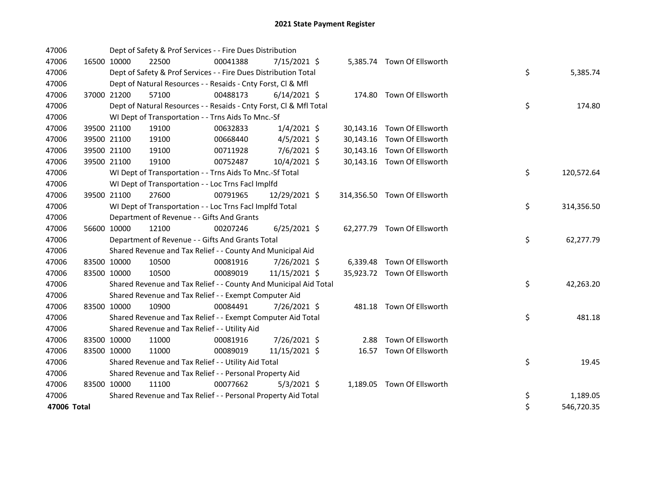| 47006       |             |             | Dept of Safety & Prof Services - - Fire Dues Distribution          |          |                |      |                              |    |            |
|-------------|-------------|-------------|--------------------------------------------------------------------|----------|----------------|------|------------------------------|----|------------|
| 47006       |             | 16500 10000 | 22500                                                              | 00041388 | 7/15/2021 \$   |      | 5,385.74 Town Of Ellsworth   |    |            |
| 47006       |             |             | Dept of Safety & Prof Services - - Fire Dues Distribution Total    |          |                |      |                              | \$ | 5,385.74   |
| 47006       |             |             | Dept of Natural Resources - - Resaids - Cnty Forst, Cl & Mfl       |          |                |      |                              |    |            |
| 47006       |             | 37000 21200 | 57100                                                              | 00488173 | $6/14/2021$ \$ |      | 174.80 Town Of Ellsworth     |    |            |
| 47006       |             |             | Dept of Natural Resources - - Resaids - Cnty Forst, CI & Mfl Total |          |                |      |                              | \$ | 174.80     |
| 47006       |             |             | WI Dept of Transportation - - Trns Aids To Mnc.-Sf                 |          |                |      |                              |    |            |
| 47006       |             | 39500 21100 | 19100                                                              | 00632833 | $1/4/2021$ \$  |      | 30,143.16 Town Of Ellsworth  |    |            |
| 47006       |             | 39500 21100 | 19100                                                              | 00668440 | $4/5/2021$ \$  |      | 30,143.16 Town Of Ellsworth  |    |            |
| 47006       |             | 39500 21100 | 19100                                                              | 00711928 | 7/6/2021 \$    |      | 30,143.16 Town Of Ellsworth  |    |            |
| 47006       |             | 39500 21100 | 19100                                                              | 00752487 | 10/4/2021 \$   |      | 30,143.16 Town Of Ellsworth  |    |            |
| 47006       |             |             | WI Dept of Transportation - - Trns Aids To Mnc.-Sf Total           |          |                |      |                              | \$ | 120,572.64 |
| 47006       |             |             | WI Dept of Transportation - - Loc Trns Facl Implfd                 |          |                |      |                              |    |            |
| 47006       |             | 39500 21100 | 27600                                                              | 00791965 | 12/29/2021 \$  |      | 314,356.50 Town Of Ellsworth |    |            |
| 47006       |             |             | WI Dept of Transportation - - Loc Trns Facl Implfd Total           |          |                |      |                              | \$ | 314,356.50 |
| 47006       |             |             | Department of Revenue - - Gifts And Grants                         |          |                |      |                              |    |            |
| 47006       | 56600 10000 |             | 12100                                                              | 00207246 | $6/25/2021$ \$ |      | 62,277.79 Town Of Ellsworth  |    |            |
| 47006       |             |             | Department of Revenue - - Gifts And Grants Total                   |          |                |      |                              | \$ | 62,277.79  |
| 47006       |             |             | Shared Revenue and Tax Relief - - County And Municipal Aid         |          |                |      |                              |    |            |
| 47006       |             | 83500 10000 | 10500                                                              | 00081916 | 7/26/2021 \$   |      | 6,339.48 Town Of Ellsworth   |    |            |
| 47006       | 83500 10000 |             | 10500                                                              | 00089019 | 11/15/2021 \$  |      | 35,923.72 Town Of Ellsworth  |    |            |
| 47006       |             |             | Shared Revenue and Tax Relief - - County And Municipal Aid Total   |          |                |      |                              | \$ | 42,263.20  |
| 47006       |             |             | Shared Revenue and Tax Relief - - Exempt Computer Aid              |          |                |      |                              |    |            |
| 47006       | 83500 10000 |             | 10900                                                              | 00084491 | 7/26/2021 \$   |      | 481.18 Town Of Ellsworth     |    |            |
| 47006       |             |             | Shared Revenue and Tax Relief - - Exempt Computer Aid Total        |          |                |      |                              | \$ | 481.18     |
| 47006       |             |             | Shared Revenue and Tax Relief - - Utility Aid                      |          |                |      |                              |    |            |
| 47006       | 83500 10000 |             | 11000                                                              | 00081916 | 7/26/2021 \$   | 2.88 | Town Of Ellsworth            |    |            |
| 47006       | 83500 10000 |             | 11000                                                              | 00089019 | 11/15/2021 \$  |      | 16.57 Town Of Ellsworth      |    |            |
| 47006       |             |             | Shared Revenue and Tax Relief - - Utility Aid Total                |          |                |      |                              | \$ | 19.45      |
| 47006       |             |             | Shared Revenue and Tax Relief - - Personal Property Aid            |          |                |      |                              |    |            |
| 47006       | 83500 10000 |             | 11100                                                              | 00077662 | $5/3/2021$ \$  |      | 1,189.05 Town Of Ellsworth   |    |            |
| 47006       |             |             | Shared Revenue and Tax Relief - - Personal Property Aid Total      |          |                |      |                              | \$ | 1,189.05   |
| 47006 Total |             |             |                                                                    |          |                |      |                              | \$ | 546,720.35 |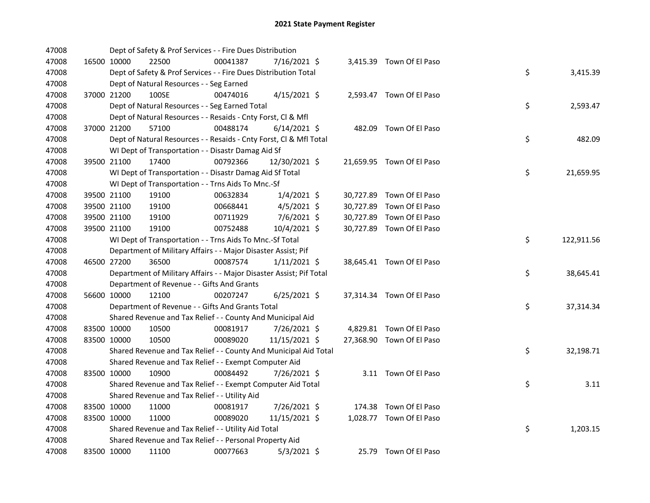| 47008 |             | Dept of Safety & Prof Services - - Fire Dues Distribution           |          |                |  |                           |    |            |
|-------|-------------|---------------------------------------------------------------------|----------|----------------|--|---------------------------|----|------------|
| 47008 | 16500 10000 | 22500                                                               | 00041387 | 7/16/2021 \$   |  | 3,415.39 Town Of El Paso  |    |            |
| 47008 |             | Dept of Safety & Prof Services - - Fire Dues Distribution Total     |          |                |  |                           | \$ | 3,415.39   |
| 47008 |             | Dept of Natural Resources - - Seg Earned                            |          |                |  |                           |    |            |
| 47008 | 37000 21200 | 100SE                                                               | 00474016 | $4/15/2021$ \$ |  | 2,593.47 Town Of El Paso  |    |            |
| 47008 |             | Dept of Natural Resources - - Seg Earned Total                      |          |                |  |                           | \$ | 2,593.47   |
| 47008 |             | Dept of Natural Resources - - Resaids - Cnty Forst, Cl & Mfl        |          |                |  |                           |    |            |
| 47008 | 37000 21200 | 57100                                                               | 00488174 | $6/14/2021$ \$ |  | 482.09 Town Of El Paso    |    |            |
| 47008 |             | Dept of Natural Resources - - Resaids - Cnty Forst, Cl & Mfl Total  |          |                |  |                           | \$ | 482.09     |
| 47008 |             | WI Dept of Transportation - - Disastr Damag Aid Sf                  |          |                |  |                           |    |            |
| 47008 | 39500 21100 | 17400                                                               | 00792366 | 12/30/2021 \$  |  | 21,659.95 Town Of El Paso |    |            |
| 47008 |             | WI Dept of Transportation - - Disastr Damag Aid Sf Total            |          |                |  |                           | \$ | 21,659.95  |
| 47008 |             | WI Dept of Transportation - - Trns Aids To Mnc.-Sf                  |          |                |  |                           |    |            |
| 47008 | 39500 21100 | 19100                                                               | 00632834 | $1/4/2021$ \$  |  | 30,727.89 Town Of El Paso |    |            |
| 47008 | 39500 21100 | 19100                                                               | 00668441 | $4/5/2021$ \$  |  | 30,727.89 Town Of El Paso |    |            |
| 47008 | 39500 21100 | 19100                                                               | 00711929 | 7/6/2021 \$    |  | 30,727.89 Town Of El Paso |    |            |
| 47008 | 39500 21100 | 19100                                                               | 00752488 | 10/4/2021 \$   |  | 30,727.89 Town Of El Paso |    |            |
| 47008 |             | WI Dept of Transportation - - Trns Aids To Mnc.-Sf Total            |          |                |  |                           | \$ | 122,911.56 |
| 47008 |             | Department of Military Affairs - - Major Disaster Assist; Pif       |          |                |  |                           |    |            |
| 47008 | 46500 27200 | 36500                                                               | 00087574 | $1/11/2021$ \$ |  | 38,645.41 Town Of El Paso |    |            |
| 47008 |             | Department of Military Affairs - - Major Disaster Assist; Pif Total |          |                |  |                           | \$ | 38,645.41  |
| 47008 |             | Department of Revenue - - Gifts And Grants                          |          |                |  |                           |    |            |
| 47008 | 56600 10000 | 12100                                                               | 00207247 | $6/25/2021$ \$ |  | 37,314.34 Town Of El Paso |    |            |
| 47008 |             | Department of Revenue - - Gifts And Grants Total                    |          |                |  |                           | \$ | 37,314.34  |
| 47008 |             | Shared Revenue and Tax Relief - - County And Municipal Aid          |          |                |  |                           |    |            |
| 47008 | 83500 10000 | 10500                                                               | 00081917 | 7/26/2021 \$   |  | 4,829.81 Town Of El Paso  |    |            |
| 47008 | 83500 10000 | 10500                                                               | 00089020 | 11/15/2021 \$  |  | 27,368.90 Town Of El Paso |    |            |
| 47008 |             | Shared Revenue and Tax Relief - - County And Municipal Aid Total    |          |                |  |                           | \$ | 32,198.71  |
| 47008 |             | Shared Revenue and Tax Relief - - Exempt Computer Aid               |          |                |  |                           |    |            |
| 47008 | 83500 10000 | 10900                                                               | 00084492 | 7/26/2021 \$   |  | 3.11 Town Of El Paso      |    |            |
| 47008 |             | Shared Revenue and Tax Relief - - Exempt Computer Aid Total         |          |                |  |                           | \$ | 3.11       |
| 47008 |             | Shared Revenue and Tax Relief - - Utility Aid                       |          |                |  |                           |    |            |
| 47008 | 83500 10000 | 11000                                                               | 00081917 | 7/26/2021 \$   |  | 174.38 Town Of El Paso    |    |            |
| 47008 | 83500 10000 | 11000                                                               | 00089020 | 11/15/2021 \$  |  | 1,028.77 Town Of El Paso  |    |            |
| 47008 |             | Shared Revenue and Tax Relief - - Utility Aid Total                 |          |                |  |                           | \$ | 1,203.15   |
| 47008 |             | Shared Revenue and Tax Relief - - Personal Property Aid             |          |                |  |                           |    |            |
| 47008 | 83500 10000 | 11100                                                               | 00077663 | $5/3/2021$ \$  |  | 25.79 Town Of El Paso     |    |            |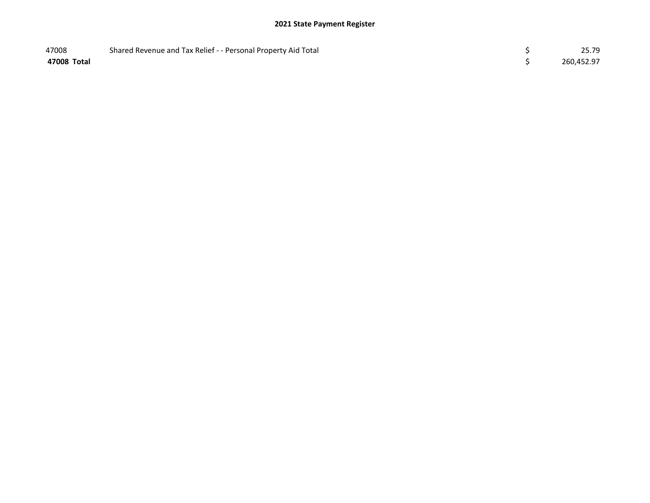## 2021 State Payment Register

| 47008       | Shared Revenue and Tax Relief - - Personal Property Aid Total | 25.79      |
|-------------|---------------------------------------------------------------|------------|
| 47008 Total |                                                               | 260,452.97 |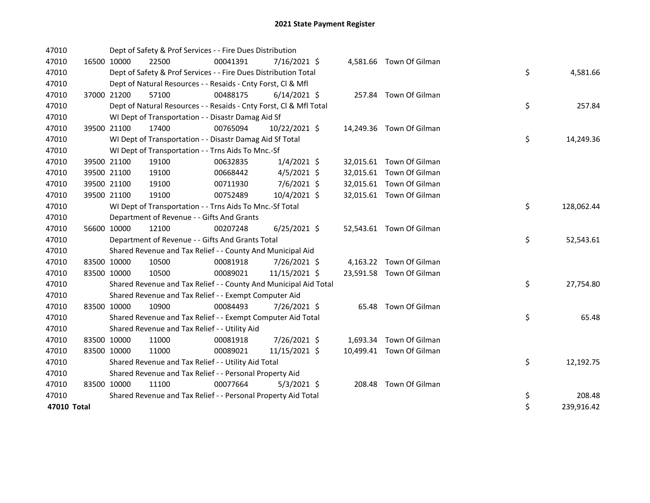| 47010       |             |             | Dept of Safety & Prof Services - - Fire Dues Distribution          |          |                |  |                          |    |            |
|-------------|-------------|-------------|--------------------------------------------------------------------|----------|----------------|--|--------------------------|----|------------|
| 47010       | 16500 10000 |             | 22500                                                              | 00041391 | 7/16/2021 \$   |  | 4,581.66 Town Of Gilman  |    |            |
| 47010       |             |             | Dept of Safety & Prof Services - - Fire Dues Distribution Total    |          |                |  |                          | \$ | 4,581.66   |
| 47010       |             |             | Dept of Natural Resources - - Resaids - Cnty Forst, Cl & Mfl       |          |                |  |                          |    |            |
| 47010       |             | 37000 21200 | 57100                                                              | 00488175 | $6/14/2021$ \$ |  | 257.84 Town Of Gilman    |    |            |
| 47010       |             |             | Dept of Natural Resources - - Resaids - Cnty Forst, CI & Mfl Total |          |                |  |                          | \$ | 257.84     |
| 47010       |             |             | WI Dept of Transportation - - Disastr Damag Aid Sf                 |          |                |  |                          |    |            |
| 47010       |             | 39500 21100 | 17400                                                              | 00765094 | 10/22/2021 \$  |  | 14,249.36 Town Of Gilman |    |            |
| 47010       |             |             | WI Dept of Transportation - - Disastr Damag Aid Sf Total           |          |                |  |                          | \$ | 14,249.36  |
| 47010       |             |             | WI Dept of Transportation - - Trns Aids To Mnc.-Sf                 |          |                |  |                          |    |            |
| 47010       |             | 39500 21100 | 19100                                                              | 00632835 | $1/4/2021$ \$  |  | 32,015.61 Town Of Gilman |    |            |
| 47010       |             | 39500 21100 | 19100                                                              | 00668442 | $4/5/2021$ \$  |  | 32,015.61 Town Of Gilman |    |            |
| 47010       |             | 39500 21100 | 19100                                                              | 00711930 | $7/6/2021$ \$  |  | 32,015.61 Town Of Gilman |    |            |
| 47010       |             | 39500 21100 | 19100                                                              | 00752489 | 10/4/2021 \$   |  | 32,015.61 Town Of Gilman |    |            |
| 47010       |             |             | WI Dept of Transportation - - Trns Aids To Mnc.-Sf Total           |          |                |  |                          | \$ | 128,062.44 |
| 47010       |             |             | Department of Revenue - - Gifts And Grants                         |          |                |  |                          |    |            |
| 47010       | 56600 10000 |             | 12100                                                              | 00207248 | $6/25/2021$ \$ |  | 52,543.61 Town Of Gilman |    |            |
| 47010       |             |             | Department of Revenue - - Gifts And Grants Total                   |          |                |  |                          | \$ | 52,543.61  |
| 47010       |             |             | Shared Revenue and Tax Relief - - County And Municipal Aid         |          |                |  |                          |    |            |
| 47010       |             | 83500 10000 | 10500                                                              | 00081918 | 7/26/2021 \$   |  | 4,163.22 Town Of Gilman  |    |            |
| 47010       |             | 83500 10000 | 10500                                                              | 00089021 | 11/15/2021 \$  |  | 23,591.58 Town Of Gilman |    |            |
| 47010       |             |             | Shared Revenue and Tax Relief - - County And Municipal Aid Total   |          |                |  |                          | \$ | 27,754.80  |
| 47010       |             |             | Shared Revenue and Tax Relief - - Exempt Computer Aid              |          |                |  |                          |    |            |
| 47010       | 83500 10000 |             | 10900                                                              | 00084493 | 7/26/2021 \$   |  | 65.48 Town Of Gilman     |    |            |
| 47010       |             |             | Shared Revenue and Tax Relief - - Exempt Computer Aid Total        |          |                |  |                          | \$ | 65.48      |
| 47010       |             |             | Shared Revenue and Tax Relief - - Utility Aid                      |          |                |  |                          |    |            |
| 47010       | 83500 10000 |             | 11000                                                              | 00081918 | 7/26/2021 \$   |  | 1,693.34 Town Of Gilman  |    |            |
| 47010       | 83500 10000 |             | 11000                                                              | 00089021 | 11/15/2021 \$  |  | 10,499.41 Town Of Gilman |    |            |
| 47010       |             |             | Shared Revenue and Tax Relief - - Utility Aid Total                |          |                |  |                          | \$ | 12,192.75  |
| 47010       |             |             | Shared Revenue and Tax Relief - - Personal Property Aid            |          |                |  |                          |    |            |
| 47010       | 83500 10000 |             | 11100                                                              | 00077664 | $5/3/2021$ \$  |  | 208.48 Town Of Gilman    |    |            |
| 47010       |             |             | Shared Revenue and Tax Relief - - Personal Property Aid Total      |          |                |  |                          | \$ | 208.48     |
| 47010 Total |             |             |                                                                    |          |                |  |                          | \$ | 239,916.42 |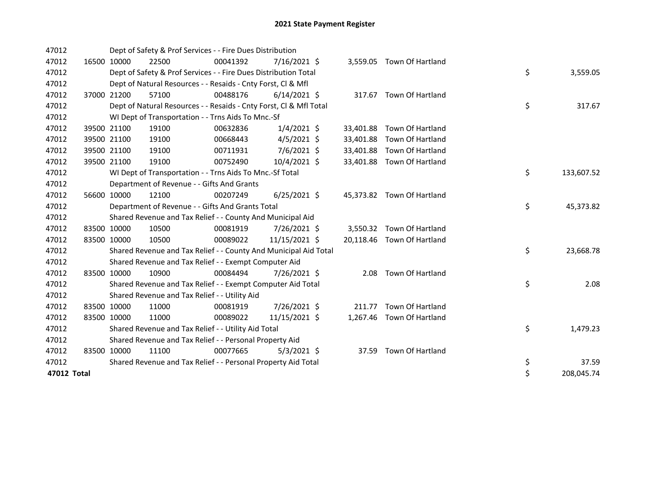| 47012       |             | Dept of Safety & Prof Services - - Fire Dues Distribution          |          |                |           |                            |    |            |
|-------------|-------------|--------------------------------------------------------------------|----------|----------------|-----------|----------------------------|----|------------|
| 47012       | 16500 10000 | 22500                                                              | 00041392 | $7/16/2021$ \$ |           | 3,559.05 Town Of Hartland  |    |            |
| 47012       |             | Dept of Safety & Prof Services - - Fire Dues Distribution Total    |          |                |           |                            | \$ | 3,559.05   |
| 47012       |             | Dept of Natural Resources - - Resaids - Cnty Forst, Cl & Mfl       |          |                |           |                            |    |            |
| 47012       | 37000 21200 | 57100                                                              | 00488176 | $6/14/2021$ \$ |           | 317.67 Town Of Hartland    |    |            |
| 47012       |             | Dept of Natural Resources - - Resaids - Cnty Forst, CI & Mfl Total |          |                |           |                            | \$ | 317.67     |
| 47012       |             | WI Dept of Transportation - - Trns Aids To Mnc.-Sf                 |          |                |           |                            |    |            |
| 47012       | 39500 21100 | 19100                                                              | 00632836 | $1/4/2021$ \$  |           | 33,401.88 Town Of Hartland |    |            |
| 47012       | 39500 21100 | 19100                                                              | 00668443 | $4/5/2021$ \$  | 33,401.88 | Town Of Hartland           |    |            |
| 47012       | 39500 21100 | 19100                                                              | 00711931 | 7/6/2021 \$    | 33,401.88 | Town Of Hartland           |    |            |
| 47012       | 39500 21100 | 19100                                                              | 00752490 | 10/4/2021 \$   | 33,401.88 | Town Of Hartland           |    |            |
| 47012       |             | WI Dept of Transportation - - Trns Aids To Mnc.-Sf Total           |          |                |           |                            | \$ | 133,607.52 |
| 47012       |             | Department of Revenue - - Gifts And Grants                         |          |                |           |                            |    |            |
| 47012       | 56600 10000 | 12100                                                              | 00207249 | $6/25/2021$ \$ |           | 45,373.82 Town Of Hartland |    |            |
| 47012       |             | Department of Revenue - - Gifts And Grants Total                   |          |                |           |                            | \$ | 45,373.82  |
| 47012       |             | Shared Revenue and Tax Relief - - County And Municipal Aid         |          |                |           |                            |    |            |
| 47012       | 83500 10000 | 10500                                                              | 00081919 | 7/26/2021 \$   |           | 3,550.32 Town Of Hartland  |    |            |
| 47012       | 83500 10000 | 10500                                                              | 00089022 | 11/15/2021 \$  |           | 20,118.46 Town Of Hartland |    |            |
| 47012       |             | Shared Revenue and Tax Relief - - County And Municipal Aid Total   |          |                |           |                            | \$ | 23,668.78  |
| 47012       |             | Shared Revenue and Tax Relief - - Exempt Computer Aid              |          |                |           |                            |    |            |
| 47012       | 83500 10000 | 10900                                                              | 00084494 | 7/26/2021 \$   |           | 2.08 Town Of Hartland      |    |            |
| 47012       |             | Shared Revenue and Tax Relief - - Exempt Computer Aid Total        |          |                |           |                            | \$ | 2.08       |
| 47012       |             | Shared Revenue and Tax Relief - - Utility Aid                      |          |                |           |                            |    |            |
| 47012       | 83500 10000 | 11000                                                              | 00081919 | 7/26/2021 \$   | 211.77    | Town Of Hartland           |    |            |
| 47012       | 83500 10000 | 11000                                                              | 00089022 | 11/15/2021 \$  |           | 1,267.46 Town Of Hartland  |    |            |
| 47012       |             | Shared Revenue and Tax Relief - - Utility Aid Total                |          |                |           |                            | \$ | 1,479.23   |
| 47012       |             | Shared Revenue and Tax Relief - - Personal Property Aid            |          |                |           |                            |    |            |
| 47012       | 83500 10000 | 11100                                                              | 00077665 | $5/3/2021$ \$  |           | 37.59 Town Of Hartland     |    |            |
| 47012       |             | Shared Revenue and Tax Relief - - Personal Property Aid Total      |          |                |           |                            | \$ | 37.59      |
| 47012 Total |             |                                                                    |          |                |           |                            | \$ | 208,045.74 |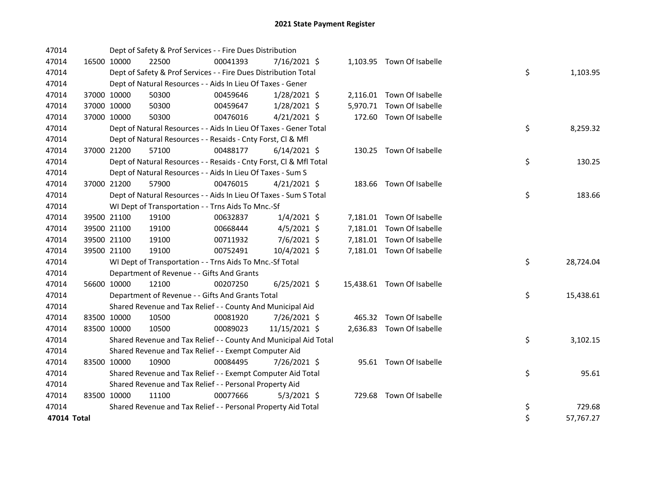| 47014       |             | Dept of Safety & Prof Services - - Fire Dues Distribution          |          |                |  |                            |    |           |
|-------------|-------------|--------------------------------------------------------------------|----------|----------------|--|----------------------------|----|-----------|
| 47014       | 16500 10000 | 22500                                                              | 00041393 | 7/16/2021 \$   |  | 1,103.95 Town Of Isabelle  |    |           |
| 47014       |             | Dept of Safety & Prof Services - - Fire Dues Distribution Total    |          |                |  |                            | \$ | 1,103.95  |
| 47014       |             | Dept of Natural Resources - - Aids In Lieu Of Taxes - Gener        |          |                |  |                            |    |           |
| 47014       | 37000 10000 | 50300                                                              | 00459646 | 1/28/2021 \$   |  | 2,116.01 Town Of Isabelle  |    |           |
| 47014       | 37000 10000 | 50300                                                              | 00459647 | $1/28/2021$ \$ |  | 5,970.71 Town Of Isabelle  |    |           |
| 47014       | 37000 10000 | 50300                                                              | 00476016 | $4/21/2021$ \$ |  | 172.60 Town Of Isabelle    |    |           |
| 47014       |             | Dept of Natural Resources - - Aids In Lieu Of Taxes - Gener Total  |          |                |  |                            | \$ | 8,259.32  |
| 47014       |             | Dept of Natural Resources - - Resaids - Cnty Forst, Cl & Mfl       |          |                |  |                            |    |           |
| 47014       | 37000 21200 | 57100                                                              | 00488177 | $6/14/2021$ \$ |  | 130.25 Town Of Isabelle    |    |           |
| 47014       |             | Dept of Natural Resources - - Resaids - Cnty Forst, Cl & Mfl Total |          |                |  |                            | \$ | 130.25    |
| 47014       |             | Dept of Natural Resources - - Aids In Lieu Of Taxes - Sum S        |          |                |  |                            |    |           |
| 47014       | 37000 21200 | 57900                                                              | 00476015 | $4/21/2021$ \$ |  | 183.66 Town Of Isabelle    |    |           |
| 47014       |             | Dept of Natural Resources - - Aids In Lieu Of Taxes - Sum S Total  |          |                |  |                            | \$ | 183.66    |
| 47014       |             | WI Dept of Transportation - - Trns Aids To Mnc.-Sf                 |          |                |  |                            |    |           |
| 47014       | 39500 21100 | 19100                                                              | 00632837 | $1/4/2021$ \$  |  | 7,181.01 Town Of Isabelle  |    |           |
| 47014       | 39500 21100 | 19100                                                              | 00668444 | $4/5/2021$ \$  |  | 7,181.01 Town Of Isabelle  |    |           |
| 47014       | 39500 21100 | 19100                                                              | 00711932 | 7/6/2021 \$    |  | 7,181.01 Town Of Isabelle  |    |           |
| 47014       | 39500 21100 | 19100                                                              | 00752491 | 10/4/2021 \$   |  | 7,181.01 Town Of Isabelle  |    |           |
| 47014       |             | WI Dept of Transportation - - Trns Aids To Mnc.-Sf Total           |          |                |  |                            | \$ | 28,724.04 |
| 47014       |             | Department of Revenue - - Gifts And Grants                         |          |                |  |                            |    |           |
| 47014       | 56600 10000 | 12100                                                              | 00207250 | $6/25/2021$ \$ |  | 15,438.61 Town Of Isabelle |    |           |
| 47014       |             | Department of Revenue - - Gifts And Grants Total                   |          |                |  |                            | \$ | 15,438.61 |
| 47014       |             | Shared Revenue and Tax Relief - - County And Municipal Aid         |          |                |  |                            |    |           |
| 47014       | 83500 10000 | 10500                                                              | 00081920 | 7/26/2021 \$   |  | 465.32 Town Of Isabelle    |    |           |
| 47014       | 83500 10000 | 10500                                                              | 00089023 | 11/15/2021 \$  |  | 2,636.83 Town Of Isabelle  |    |           |
| 47014       |             | Shared Revenue and Tax Relief - - County And Municipal Aid Total   |          |                |  |                            | \$ | 3,102.15  |
| 47014       |             | Shared Revenue and Tax Relief - - Exempt Computer Aid              |          |                |  |                            |    |           |
| 47014       | 83500 10000 | 10900                                                              | 00084495 | 7/26/2021 \$   |  | 95.61 Town Of Isabelle     |    |           |
| 47014       |             | Shared Revenue and Tax Relief - - Exempt Computer Aid Total        |          |                |  |                            | \$ | 95.61     |
| 47014       |             | Shared Revenue and Tax Relief - - Personal Property Aid            |          |                |  |                            |    |           |
| 47014       | 83500 10000 | 11100                                                              | 00077666 | $5/3/2021$ \$  |  | 729.68 Town Of Isabelle    |    |           |
| 47014       |             | Shared Revenue and Tax Relief - - Personal Property Aid Total      |          |                |  |                            | \$ | 729.68    |
| 47014 Total |             |                                                                    |          |                |  |                            | \$ | 57,767.27 |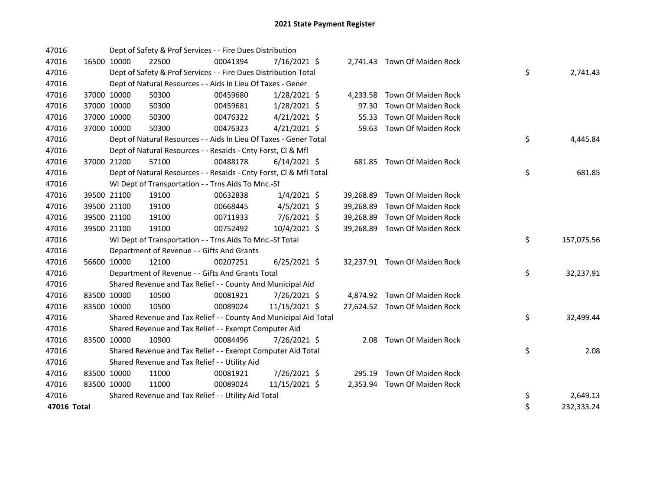| 47016       |             | Dept of Safety & Prof Services - - Fire Dues Distribution          |          |                |           |                               |    |            |
|-------------|-------------|--------------------------------------------------------------------|----------|----------------|-----------|-------------------------------|----|------------|
| 47016       | 16500 10000 | 22500                                                              | 00041394 | 7/16/2021 \$   |           | 2,741.43 Town Of Maiden Rock  |    |            |
| 47016       |             | Dept of Safety & Prof Services - - Fire Dues Distribution Total    |          |                |           |                               | \$ | 2,741.43   |
| 47016       |             | Dept of Natural Resources - - Aids In Lieu Of Taxes - Gener        |          |                |           |                               |    |            |
| 47016       | 37000 10000 | 50300                                                              | 00459680 | $1/28/2021$ \$ |           | 4,233.58 Town Of Maiden Rock  |    |            |
| 47016       | 37000 10000 | 50300                                                              | 00459681 | $1/28/2021$ \$ | 97.30     | Town Of Maiden Rock           |    |            |
| 47016       | 37000 10000 | 50300                                                              | 00476322 | $4/21/2021$ \$ |           | 55.33 Town Of Maiden Rock     |    |            |
| 47016       | 37000 10000 | 50300                                                              | 00476323 | $4/21/2021$ \$ |           | 59.63 Town Of Maiden Rock     |    |            |
| 47016       |             | Dept of Natural Resources - - Aids In Lieu Of Taxes - Gener Total  |          |                |           |                               | \$ | 4,445.84   |
| 47016       |             | Dept of Natural Resources - - Resaids - Cnty Forst, Cl & Mfl       |          |                |           |                               |    |            |
| 47016       | 37000 21200 | 57100                                                              | 00488178 | $6/14/2021$ \$ |           | 681.85 Town Of Maiden Rock    |    |            |
| 47016       |             | Dept of Natural Resources - - Resaids - Cnty Forst, Cl & Mfl Total |          |                |           |                               | \$ | 681.85     |
| 47016       |             | WI Dept of Transportation - - Trns Aids To Mnc.-Sf                 |          |                |           |                               |    |            |
| 47016       | 39500 21100 | 19100                                                              | 00632838 | $1/4/2021$ \$  |           | 39,268.89 Town Of Maiden Rock |    |            |
| 47016       | 39500 21100 | 19100                                                              | 00668445 | $4/5/2021$ \$  |           | 39,268.89 Town Of Maiden Rock |    |            |
| 47016       | 39500 21100 | 19100                                                              | 00711933 | 7/6/2021 \$    | 39,268.89 | Town Of Maiden Rock           |    |            |
| 47016       | 39500 21100 | 19100                                                              | 00752492 | 10/4/2021 \$   |           | 39,268.89 Town Of Maiden Rock |    |            |
| 47016       |             | WI Dept of Transportation - - Trns Aids To Mnc.-Sf Total           |          |                |           |                               | \$ | 157,075.56 |
| 47016       |             | Department of Revenue - - Gifts And Grants                         |          |                |           |                               |    |            |
| 47016       | 56600 10000 | 12100                                                              | 00207251 | $6/25/2021$ \$ |           | 32,237.91 Town Of Maiden Rock |    |            |
| 47016       |             | Department of Revenue - - Gifts And Grants Total                   |          |                |           |                               | \$ | 32,237.91  |
| 47016       |             | Shared Revenue and Tax Relief - - County And Municipal Aid         |          |                |           |                               |    |            |
| 47016       | 83500 10000 | 10500                                                              | 00081921 | 7/26/2021 \$   |           | 4,874.92 Town Of Maiden Rock  |    |            |
| 47016       | 83500 10000 | 10500                                                              | 00089024 | 11/15/2021 \$  |           | 27,624.52 Town Of Maiden Rock |    |            |
| 47016       |             | Shared Revenue and Tax Relief - - County And Municipal Aid Total   |          |                |           |                               | \$ | 32,499.44  |
| 47016       |             | Shared Revenue and Tax Relief - - Exempt Computer Aid              |          |                |           |                               |    |            |
| 47016       | 83500 10000 | 10900                                                              | 00084496 | 7/26/2021 \$   |           | 2.08 Town Of Maiden Rock      |    |            |
| 47016       |             | Shared Revenue and Tax Relief - - Exempt Computer Aid Total        |          |                |           |                               | \$ | 2.08       |
| 47016       |             | Shared Revenue and Tax Relief - - Utility Aid                      |          |                |           |                               |    |            |
| 47016       | 83500 10000 | 11000                                                              | 00081921 | 7/26/2021 \$   |           | 295.19 Town Of Maiden Rock    |    |            |
| 47016       | 83500 10000 | 11000                                                              | 00089024 | 11/15/2021 \$  |           | 2,353.94 Town Of Maiden Rock  |    |            |
| 47016       |             | Shared Revenue and Tax Relief - - Utility Aid Total                |          |                |           |                               | \$ | 2,649.13   |
| 47016 Total |             |                                                                    |          |                |           |                               | \$ | 232,333.24 |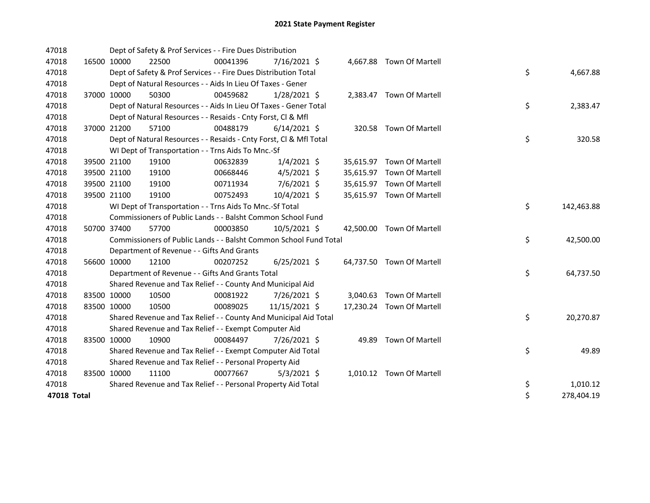| 47018       |             | Dept of Safety & Prof Services - - Fire Dues Distribution          |          |                |  |                           |    |            |
|-------------|-------------|--------------------------------------------------------------------|----------|----------------|--|---------------------------|----|------------|
| 47018       | 16500 10000 | 22500                                                              | 00041396 | $7/16/2021$ \$ |  | 4,667.88 Town Of Martell  |    |            |
| 47018       |             | Dept of Safety & Prof Services - - Fire Dues Distribution Total    |          |                |  |                           | \$ | 4,667.88   |
| 47018       |             | Dept of Natural Resources - - Aids In Lieu Of Taxes - Gener        |          |                |  |                           |    |            |
| 47018       | 37000 10000 | 50300                                                              | 00459682 | $1/28/2021$ \$ |  | 2,383.47 Town Of Martell  |    |            |
| 47018       |             | Dept of Natural Resources - - Aids In Lieu Of Taxes - Gener Total  |          |                |  |                           | \$ | 2,383.47   |
| 47018       |             | Dept of Natural Resources - - Resaids - Cnty Forst, Cl & Mfl       |          |                |  |                           |    |            |
| 47018       | 37000 21200 | 57100                                                              | 00488179 | $6/14/2021$ \$ |  | 320.58 Town Of Martell    |    |            |
| 47018       |             | Dept of Natural Resources - - Resaids - Cnty Forst, Cl & Mfl Total |          |                |  |                           | \$ | 320.58     |
| 47018       |             | WI Dept of Transportation - - Trns Aids To Mnc.-Sf                 |          |                |  |                           |    |            |
| 47018       | 39500 21100 | 19100                                                              | 00632839 | $1/4/2021$ \$  |  | 35,615.97 Town Of Martell |    |            |
| 47018       | 39500 21100 | 19100                                                              | 00668446 | $4/5/2021$ \$  |  | 35,615.97 Town Of Martell |    |            |
| 47018       | 39500 21100 | 19100                                                              | 00711934 | 7/6/2021 \$    |  | 35,615.97 Town Of Martell |    |            |
| 47018       | 39500 21100 | 19100                                                              | 00752493 | 10/4/2021 \$   |  | 35,615.97 Town Of Martell |    |            |
| 47018       |             | WI Dept of Transportation - - Trns Aids To Mnc.-Sf Total           |          |                |  |                           | \$ | 142,463.88 |
| 47018       |             | Commissioners of Public Lands - - Balsht Common School Fund        |          |                |  |                           |    |            |
| 47018       | 50700 37400 | 57700                                                              | 00003850 | 10/5/2021 \$   |  | 42,500.00 Town Of Martell |    |            |
| 47018       |             | Commissioners of Public Lands - - Balsht Common School Fund Total  |          |                |  |                           | \$ | 42,500.00  |
| 47018       |             | Department of Revenue - - Gifts And Grants                         |          |                |  |                           |    |            |
| 47018       | 56600 10000 | 12100                                                              | 00207252 | $6/25/2021$ \$ |  | 64,737.50 Town Of Martell |    |            |
| 47018       |             | Department of Revenue - - Gifts And Grants Total                   |          |                |  |                           | \$ | 64,737.50  |
| 47018       |             | Shared Revenue and Tax Relief - - County And Municipal Aid         |          |                |  |                           |    |            |
| 47018       | 83500 10000 | 10500                                                              | 00081922 | 7/26/2021 \$   |  | 3,040.63 Town Of Martell  |    |            |
| 47018       | 83500 10000 | 10500                                                              | 00089025 | 11/15/2021 \$  |  | 17,230.24 Town Of Martell |    |            |
| 47018       |             | Shared Revenue and Tax Relief - - County And Municipal Aid Total   |          |                |  |                           | \$ | 20,270.87  |
| 47018       |             | Shared Revenue and Tax Relief - - Exempt Computer Aid              |          |                |  |                           |    |            |
| 47018       | 83500 10000 | 10900                                                              | 00084497 | 7/26/2021 \$   |  | 49.89 Town Of Martell     |    |            |
| 47018       |             | Shared Revenue and Tax Relief - - Exempt Computer Aid Total        |          |                |  |                           | \$ | 49.89      |
| 47018       |             | Shared Revenue and Tax Relief - - Personal Property Aid            |          |                |  |                           |    |            |
| 47018       | 83500 10000 | 11100                                                              | 00077667 | $5/3/2021$ \$  |  | 1,010.12 Town Of Martell  |    |            |
| 47018       |             | Shared Revenue and Tax Relief - - Personal Property Aid Total      |          |                |  |                           | \$ | 1,010.12   |
| 47018 Total |             |                                                                    |          |                |  |                           | \$ | 278,404.19 |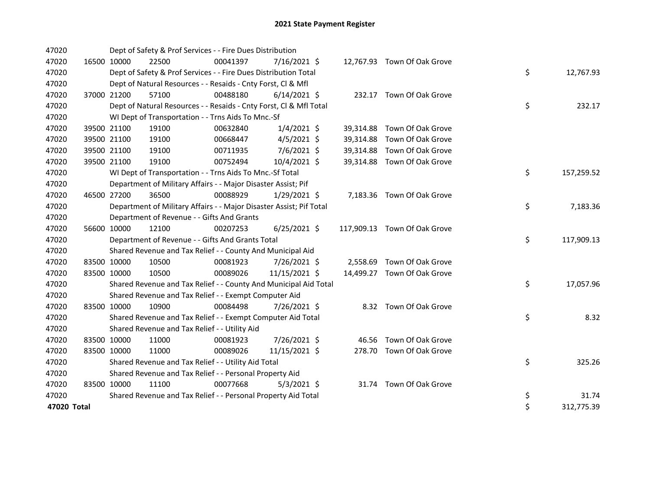| 47020       |             | Dept of Safety & Prof Services - - Fire Dues Distribution           |          |                |  |                              |    |            |
|-------------|-------------|---------------------------------------------------------------------|----------|----------------|--|------------------------------|----|------------|
| 47020       | 16500 10000 | 22500                                                               | 00041397 | 7/16/2021 \$   |  | 12,767.93 Town Of Oak Grove  |    |            |
| 47020       |             | Dept of Safety & Prof Services - - Fire Dues Distribution Total     |          |                |  |                              | \$ | 12,767.93  |
| 47020       |             | Dept of Natural Resources - - Resaids - Cnty Forst, Cl & Mfl        |          |                |  |                              |    |            |
| 47020       | 37000 21200 | 57100                                                               | 00488180 | $6/14/2021$ \$ |  | 232.17 Town Of Oak Grove     |    |            |
| 47020       |             | Dept of Natural Resources - - Resaids - Cnty Forst, CI & Mfl Total  |          |                |  |                              | \$ | 232.17     |
| 47020       |             | WI Dept of Transportation - - Trns Aids To Mnc.-Sf                  |          |                |  |                              |    |            |
| 47020       | 39500 21100 | 19100                                                               | 00632840 | $1/4/2021$ \$  |  | 39,314.88 Town Of Oak Grove  |    |            |
| 47020       | 39500 21100 | 19100                                                               | 00668447 | $4/5/2021$ \$  |  | 39,314.88 Town Of Oak Grove  |    |            |
| 47020       | 39500 21100 | 19100                                                               | 00711935 | 7/6/2021 \$    |  | 39,314.88 Town Of Oak Grove  |    |            |
| 47020       | 39500 21100 | 19100                                                               | 00752494 | 10/4/2021 \$   |  | 39,314.88 Town Of Oak Grove  |    |            |
| 47020       |             | WI Dept of Transportation - - Trns Aids To Mnc.-Sf Total            |          |                |  |                              | \$ | 157,259.52 |
| 47020       |             | Department of Military Affairs - - Major Disaster Assist; Pif       |          |                |  |                              |    |            |
| 47020       | 46500 27200 | 36500                                                               | 00088929 | $1/29/2021$ \$ |  | 7,183.36 Town Of Oak Grove   |    |            |
| 47020       |             | Department of Military Affairs - - Major Disaster Assist; Pif Total |          |                |  |                              | \$ | 7,183.36   |
| 47020       |             | Department of Revenue - - Gifts And Grants                          |          |                |  |                              |    |            |
| 47020       | 56600 10000 | 12100                                                               | 00207253 | $6/25/2021$ \$ |  | 117,909.13 Town Of Oak Grove |    |            |
| 47020       |             | Department of Revenue - - Gifts And Grants Total                    |          |                |  |                              | \$ | 117,909.13 |
| 47020       |             | Shared Revenue and Tax Relief - - County And Municipal Aid          |          |                |  |                              |    |            |
| 47020       | 83500 10000 | 10500                                                               | 00081923 | 7/26/2021 \$   |  | 2,558.69 Town Of Oak Grove   |    |            |
| 47020       | 83500 10000 | 10500                                                               | 00089026 | 11/15/2021 \$  |  | 14,499.27 Town Of Oak Grove  |    |            |
| 47020       |             | Shared Revenue and Tax Relief - - County And Municipal Aid Total    |          |                |  |                              | \$ | 17,057.96  |
| 47020       |             | Shared Revenue and Tax Relief - - Exempt Computer Aid               |          |                |  |                              |    |            |
| 47020       | 83500 10000 | 10900                                                               | 00084498 | 7/26/2021 \$   |  | 8.32 Town Of Oak Grove       |    |            |
| 47020       |             | Shared Revenue and Tax Relief - - Exempt Computer Aid Total         |          |                |  |                              | \$ | 8.32       |
| 47020       |             | Shared Revenue and Tax Relief - - Utility Aid                       |          |                |  |                              |    |            |
| 47020       | 83500 10000 | 11000                                                               | 00081923 | 7/26/2021 \$   |  | 46.56 Town Of Oak Grove      |    |            |
| 47020       | 83500 10000 | 11000                                                               | 00089026 | 11/15/2021 \$  |  | 278.70 Town Of Oak Grove     |    |            |
| 47020       |             | Shared Revenue and Tax Relief - - Utility Aid Total                 |          |                |  |                              | \$ | 325.26     |
| 47020       |             | Shared Revenue and Tax Relief - - Personal Property Aid             |          |                |  |                              |    |            |
| 47020       | 83500 10000 | 11100                                                               | 00077668 | $5/3/2021$ \$  |  | 31.74 Town Of Oak Grove      |    |            |
| 47020       |             | Shared Revenue and Tax Relief - - Personal Property Aid Total       |          |                |  |                              | \$ | 31.74      |
| 47020 Total |             |                                                                     |          |                |  |                              | \$ | 312,775.39 |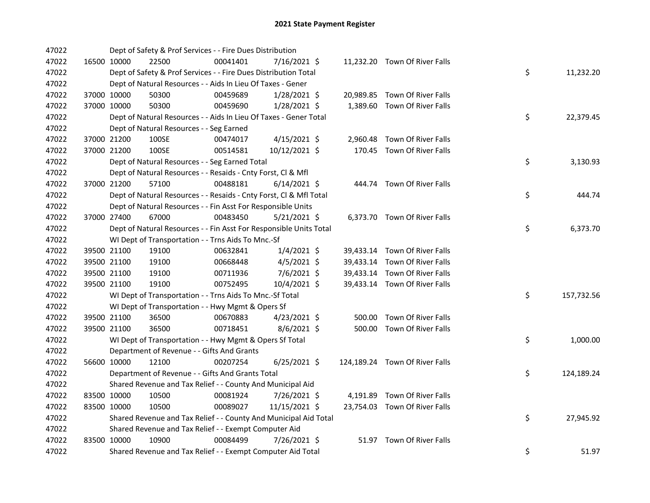| 47022 |             | Dept of Safety & Prof Services - - Fire Dues Distribution          |          |                |  |                                |    |            |
|-------|-------------|--------------------------------------------------------------------|----------|----------------|--|--------------------------------|----|------------|
| 47022 |             | 16500 10000<br>22500                                               | 00041401 | 7/16/2021 \$   |  | 11,232.20 Town Of River Falls  |    |            |
| 47022 |             | Dept of Safety & Prof Services - - Fire Dues Distribution Total    |          |                |  |                                | \$ | 11,232.20  |
| 47022 |             | Dept of Natural Resources - - Aids In Lieu Of Taxes - Gener        |          |                |  |                                |    |            |
| 47022 |             | 37000 10000<br>50300                                               | 00459689 | $1/28/2021$ \$ |  | 20,989.85 Town Of River Falls  |    |            |
| 47022 | 37000 10000 | 50300                                                              | 00459690 | $1/28/2021$ \$ |  | 1,389.60 Town Of River Falls   |    |            |
| 47022 |             | Dept of Natural Resources - - Aids In Lieu Of Taxes - Gener Total  |          |                |  |                                | \$ | 22,379.45  |
| 47022 |             | Dept of Natural Resources - - Seg Earned                           |          |                |  |                                |    |            |
| 47022 |             | 37000 21200<br>100SE                                               | 00474017 | $4/15/2021$ \$ |  | 2,960.48 Town Of River Falls   |    |            |
| 47022 |             | 37000 21200<br>100SE                                               | 00514581 | 10/12/2021 \$  |  | 170.45 Town Of River Falls     |    |            |
| 47022 |             | Dept of Natural Resources - - Seg Earned Total                     |          |                |  |                                | \$ | 3,130.93   |
| 47022 |             | Dept of Natural Resources - - Resaids - Cnty Forst, Cl & Mfl       |          |                |  |                                |    |            |
| 47022 |             | 37000 21200<br>57100                                               | 00488181 | $6/14/2021$ \$ |  | 444.74 Town Of River Falls     |    |            |
| 47022 |             | Dept of Natural Resources - - Resaids - Cnty Forst, Cl & Mfl Total |          |                |  |                                | \$ | 444.74     |
| 47022 |             | Dept of Natural Resources - - Fin Asst For Responsible Units       |          |                |  |                                |    |            |
| 47022 |             | 37000 27400<br>67000                                               | 00483450 | $5/21/2021$ \$ |  | 6,373.70 Town Of River Falls   |    |            |
| 47022 |             | Dept of Natural Resources - - Fin Asst For Responsible Units Total |          |                |  |                                | \$ | 6,373.70   |
| 47022 |             | WI Dept of Transportation - - Trns Aids To Mnc.-Sf                 |          |                |  |                                |    |            |
| 47022 |             | 39500 21100<br>19100                                               | 00632841 | $1/4/2021$ \$  |  | 39,433.14 Town Of River Falls  |    |            |
| 47022 |             | 39500 21100<br>19100                                               | 00668448 | $4/5/2021$ \$  |  | 39,433.14 Town Of River Falls  |    |            |
| 47022 |             | 39500 21100<br>19100                                               | 00711936 | $7/6/2021$ \$  |  | 39,433.14 Town Of River Falls  |    |            |
| 47022 |             | 39500 21100<br>19100                                               | 00752495 | 10/4/2021 \$   |  | 39,433.14 Town Of River Falls  |    |            |
| 47022 |             | WI Dept of Transportation - - Trns Aids To Mnc.-Sf Total           |          |                |  |                                | \$ | 157,732.56 |
| 47022 |             | WI Dept of Transportation - - Hwy Mgmt & Opers Sf                  |          |                |  |                                |    |            |
| 47022 |             | 39500 21100<br>36500                                               | 00670883 | $4/23/2021$ \$ |  | 500.00 Town Of River Falls     |    |            |
| 47022 |             | 39500 21100<br>36500                                               | 00718451 | $8/6/2021$ \$  |  | 500.00 Town Of River Falls     |    |            |
| 47022 |             | WI Dept of Transportation - - Hwy Mgmt & Opers Sf Total            |          |                |  |                                | \$ | 1,000.00   |
| 47022 |             | Department of Revenue - - Gifts And Grants                         |          |                |  |                                |    |            |
| 47022 |             | 56600 10000<br>12100                                               | 00207254 | $6/25/2021$ \$ |  | 124,189.24 Town Of River Falls |    |            |
| 47022 |             | Department of Revenue - - Gifts And Grants Total                   |          |                |  |                                | \$ | 124,189.24 |
| 47022 |             | Shared Revenue and Tax Relief - - County And Municipal Aid         |          |                |  |                                |    |            |
| 47022 |             | 83500 10000<br>10500                                               | 00081924 | 7/26/2021 \$   |  | 4,191.89 Town Of River Falls   |    |            |
| 47022 | 83500 10000 | 10500                                                              | 00089027 | 11/15/2021 \$  |  | 23,754.03 Town Of River Falls  |    |            |
| 47022 |             | Shared Revenue and Tax Relief - - County And Municipal Aid Total   |          |                |  |                                | \$ | 27,945.92  |
| 47022 |             | Shared Revenue and Tax Relief - - Exempt Computer Aid              |          |                |  |                                |    |            |
| 47022 | 83500 10000 | 10900                                                              | 00084499 | 7/26/2021 \$   |  | 51.97 Town Of River Falls      |    |            |
| 47022 |             | Shared Revenue and Tax Relief - - Exempt Computer Aid Total        |          |                |  |                                | \$ | 51.97      |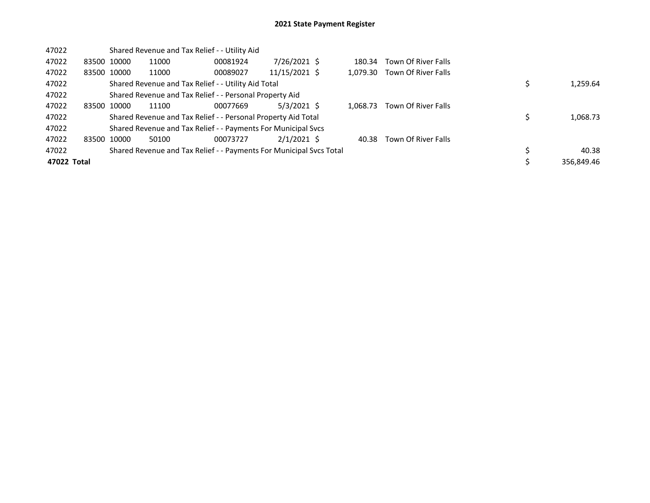| 47022       |             |             |       | Shared Revenue and Tax Relief - - Utility Aid                       |               |          |                     |            |
|-------------|-------------|-------------|-------|---------------------------------------------------------------------|---------------|----------|---------------------|------------|
| 47022       | 83500 10000 |             | 11000 | 00081924                                                            | 7/26/2021 \$  | 180.34   | Town Of River Falls |            |
| 47022       |             | 83500 10000 | 11000 | 00089027                                                            | 11/15/2021 \$ | 1.079.30 | Town Of River Falls |            |
| 47022       |             |             |       | Shared Revenue and Tax Relief - - Utility Aid Total                 |               | 1,259.64 |                     |            |
| 47022       |             |             |       | Shared Revenue and Tax Relief - - Personal Property Aid             |               |          |                     |            |
| 47022       |             | 83500 10000 | 11100 | 00077669                                                            | 5/3/2021 \$   | 1.068.73 | Town Of River Falls |            |
| 47022       |             |             |       | Shared Revenue and Tax Relief - - Personal Property Aid Total       |               |          |                     | 1,068.73   |
| 47022       |             |             |       | Shared Revenue and Tax Relief - - Payments For Municipal Svcs       |               |          |                     |            |
| 47022       |             | 83500 10000 | 50100 | 00073727                                                            | $2/1/2021$ \$ | 40.38    | Town Of River Falls |            |
| 47022       |             |             |       | Shared Revenue and Tax Relief - - Payments For Municipal Svcs Total |               |          |                     | 40.38      |
| 47022 Total |             |             |       |                                                                     |               |          |                     | 356.849.46 |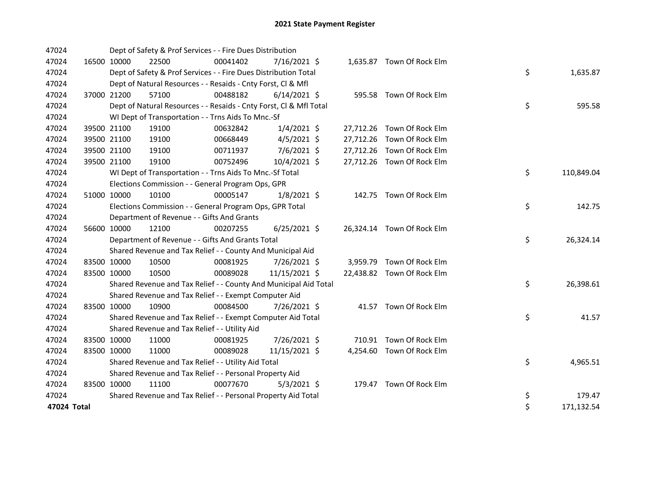| 47024       |             | Dept of Safety & Prof Services - - Fire Dues Distribution          |          |                |  |                            |    |            |
|-------------|-------------|--------------------------------------------------------------------|----------|----------------|--|----------------------------|----|------------|
| 47024       | 16500 10000 | 22500                                                              | 00041402 | 7/16/2021 \$   |  | 1,635.87 Town Of Rock Elm  |    |            |
| 47024       |             | Dept of Safety & Prof Services - - Fire Dues Distribution Total    |          |                |  |                            | \$ | 1,635.87   |
| 47024       |             | Dept of Natural Resources - - Resaids - Cnty Forst, Cl & Mfl       |          |                |  |                            |    |            |
| 47024       | 37000 21200 | 57100                                                              | 00488182 | $6/14/2021$ \$ |  | 595.58 Town Of Rock Elm    |    |            |
| 47024       |             | Dept of Natural Resources - - Resaids - Cnty Forst, Cl & Mfl Total |          |                |  |                            | \$ | 595.58     |
| 47024       |             | WI Dept of Transportation - - Trns Aids To Mnc.-Sf                 |          |                |  |                            |    |            |
| 47024       | 39500 21100 | 19100                                                              | 00632842 | $1/4/2021$ \$  |  | 27,712.26 Town Of Rock Elm |    |            |
| 47024       | 39500 21100 | 19100                                                              | 00668449 | $4/5/2021$ \$  |  | 27,712.26 Town Of Rock Elm |    |            |
| 47024       | 39500 21100 | 19100                                                              | 00711937 | 7/6/2021 \$    |  | 27,712.26 Town Of Rock Elm |    |            |
| 47024       | 39500 21100 | 19100                                                              | 00752496 | 10/4/2021 \$   |  | 27,712.26 Town Of Rock Elm |    |            |
| 47024       |             | WI Dept of Transportation - - Trns Aids To Mnc.-Sf Total           |          |                |  |                            | \$ | 110,849.04 |
| 47024       |             | Elections Commission - - General Program Ops, GPR                  |          |                |  |                            |    |            |
| 47024       | 51000 10000 | 10100                                                              | 00005147 | $1/8/2021$ \$  |  | 142.75 Town Of Rock Elm    |    |            |
| 47024       |             | Elections Commission - - General Program Ops, GPR Total            |          |                |  |                            | \$ | 142.75     |
| 47024       |             | Department of Revenue - - Gifts And Grants                         |          |                |  |                            |    |            |
| 47024       | 56600 10000 | 12100                                                              | 00207255 | $6/25/2021$ \$ |  | 26,324.14 Town Of Rock Elm |    |            |
| 47024       |             | Department of Revenue - - Gifts And Grants Total                   |          |                |  |                            | \$ | 26,324.14  |
| 47024       |             | Shared Revenue and Tax Relief - - County And Municipal Aid         |          |                |  |                            |    |            |
| 47024       | 83500 10000 | 10500                                                              | 00081925 | 7/26/2021 \$   |  | 3,959.79 Town Of Rock Elm  |    |            |
| 47024       | 83500 10000 | 10500                                                              | 00089028 | 11/15/2021 \$  |  | 22,438.82 Town Of Rock Elm |    |            |
| 47024       |             | Shared Revenue and Tax Relief - - County And Municipal Aid Total   |          |                |  |                            | \$ | 26,398.61  |
| 47024       |             | Shared Revenue and Tax Relief - - Exempt Computer Aid              |          |                |  |                            |    |            |
| 47024       | 83500 10000 | 10900                                                              | 00084500 | 7/26/2021 \$   |  | 41.57 Town Of Rock Elm     |    |            |
| 47024       |             | Shared Revenue and Tax Relief - - Exempt Computer Aid Total        |          |                |  |                            | \$ | 41.57      |
| 47024       |             | Shared Revenue and Tax Relief - - Utility Aid                      |          |                |  |                            |    |            |
| 47024       | 83500 10000 | 11000                                                              | 00081925 | 7/26/2021 \$   |  | 710.91 Town Of Rock Elm    |    |            |
| 47024       | 83500 10000 | 11000                                                              | 00089028 | 11/15/2021 \$  |  | 4,254.60 Town Of Rock Elm  |    |            |
| 47024       |             | Shared Revenue and Tax Relief - - Utility Aid Total                |          |                |  |                            | \$ | 4,965.51   |
| 47024       |             | Shared Revenue and Tax Relief - - Personal Property Aid            |          |                |  |                            |    |            |
| 47024       | 83500 10000 | 11100                                                              | 00077670 | $5/3/2021$ \$  |  | 179.47 Town Of Rock Elm    |    |            |
| 47024       |             | Shared Revenue and Tax Relief - - Personal Property Aid Total      |          |                |  |                            | \$ | 179.47     |
| 47024 Total |             |                                                                    |          |                |  |                            | \$ | 171,132.54 |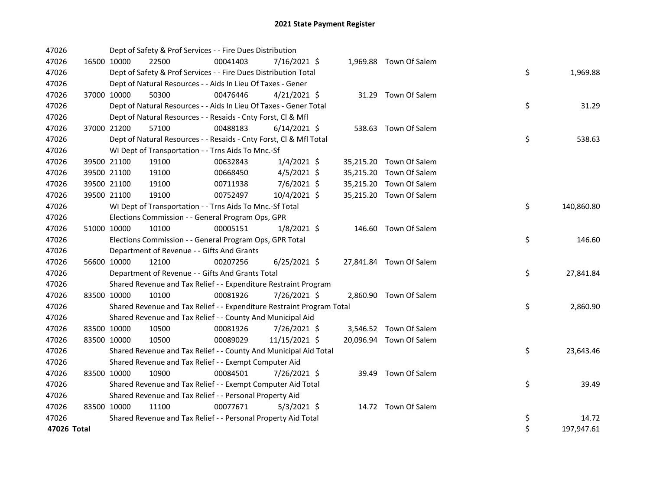| 47026       |             | Dept of Safety & Prof Services - - Fire Dues Distribution             |          |                |  |                         |    |            |
|-------------|-------------|-----------------------------------------------------------------------|----------|----------------|--|-------------------------|----|------------|
| 47026       | 16500 10000 | 22500                                                                 | 00041403 | 7/16/2021 \$   |  | 1,969.88 Town Of Salem  |    |            |
| 47026       |             | Dept of Safety & Prof Services - - Fire Dues Distribution Total       |          |                |  |                         | \$ | 1,969.88   |
| 47026       |             | Dept of Natural Resources - - Aids In Lieu Of Taxes - Gener           |          |                |  |                         |    |            |
| 47026       | 37000 10000 | 50300                                                                 | 00476446 | $4/21/2021$ \$ |  | 31.29 Town Of Salem     |    |            |
| 47026       |             | Dept of Natural Resources - - Aids In Lieu Of Taxes - Gener Total     |          |                |  |                         | \$ | 31.29      |
| 47026       |             | Dept of Natural Resources - - Resaids - Cnty Forst, Cl & Mfl          |          |                |  |                         |    |            |
| 47026       | 37000 21200 | 57100                                                                 | 00488183 | $6/14/2021$ \$ |  | 538.63 Town Of Salem    |    |            |
| 47026       |             | Dept of Natural Resources - - Resaids - Cnty Forst, Cl & Mfl Total    |          |                |  |                         | \$ | 538.63     |
| 47026       |             | WI Dept of Transportation - - Trns Aids To Mnc.-Sf                    |          |                |  |                         |    |            |
| 47026       | 39500 21100 | 19100                                                                 | 00632843 | $1/4/2021$ \$  |  | 35,215.20 Town Of Salem |    |            |
| 47026       | 39500 21100 | 19100                                                                 | 00668450 | $4/5/2021$ \$  |  | 35,215.20 Town Of Salem |    |            |
| 47026       | 39500 21100 | 19100                                                                 | 00711938 | $7/6/2021$ \$  |  | 35,215.20 Town Of Salem |    |            |
| 47026       | 39500 21100 | 19100                                                                 | 00752497 | 10/4/2021 \$   |  | 35,215.20 Town Of Salem |    |            |
| 47026       |             | WI Dept of Transportation - - Trns Aids To Mnc.-Sf Total              |          |                |  |                         | \$ | 140,860.80 |
| 47026       |             | Elections Commission - - General Program Ops, GPR                     |          |                |  |                         |    |            |
| 47026       | 51000 10000 | 10100                                                                 | 00005151 | $1/8/2021$ \$  |  | 146.60 Town Of Salem    |    |            |
| 47026       |             | Elections Commission - - General Program Ops, GPR Total               |          |                |  |                         | \$ | 146.60     |
| 47026       |             | Department of Revenue - - Gifts And Grants                            |          |                |  |                         |    |            |
| 47026       | 56600 10000 | 12100                                                                 | 00207256 | $6/25/2021$ \$ |  | 27,841.84 Town Of Salem |    |            |
| 47026       |             | Department of Revenue - - Gifts And Grants Total                      |          |                |  |                         | \$ | 27,841.84  |
| 47026       |             | Shared Revenue and Tax Relief - - Expenditure Restraint Program       |          |                |  |                         |    |            |
| 47026       | 83500 10000 | 10100                                                                 | 00081926 | 7/26/2021 \$   |  | 2,860.90 Town Of Salem  |    |            |
| 47026       |             | Shared Revenue and Tax Relief - - Expenditure Restraint Program Total |          |                |  |                         | \$ | 2,860.90   |
| 47026       |             | Shared Revenue and Tax Relief - - County And Municipal Aid            |          |                |  |                         |    |            |
| 47026       | 83500 10000 | 10500                                                                 | 00081926 | 7/26/2021 \$   |  | 3,546.52 Town Of Salem  |    |            |
| 47026       | 83500 10000 | 10500                                                                 | 00089029 | 11/15/2021 \$  |  | 20,096.94 Town Of Salem |    |            |
| 47026       |             | Shared Revenue and Tax Relief - - County And Municipal Aid Total      |          |                |  |                         | \$ | 23,643.46  |
| 47026       |             | Shared Revenue and Tax Relief - - Exempt Computer Aid                 |          |                |  |                         |    |            |
| 47026       | 83500 10000 | 10900                                                                 | 00084501 | 7/26/2021 \$   |  | 39.49 Town Of Salem     |    |            |
| 47026       |             | Shared Revenue and Tax Relief - - Exempt Computer Aid Total           |          |                |  |                         | \$ | 39.49      |
| 47026       |             | Shared Revenue and Tax Relief - - Personal Property Aid               |          |                |  |                         |    |            |
| 47026       | 83500 10000 | 11100                                                                 | 00077671 | $5/3/2021$ \$  |  | 14.72 Town Of Salem     |    |            |
| 47026       |             | Shared Revenue and Tax Relief - - Personal Property Aid Total         |          |                |  |                         | \$ | 14.72      |
| 47026 Total |             |                                                                       |          |                |  |                         | \$ | 197,947.61 |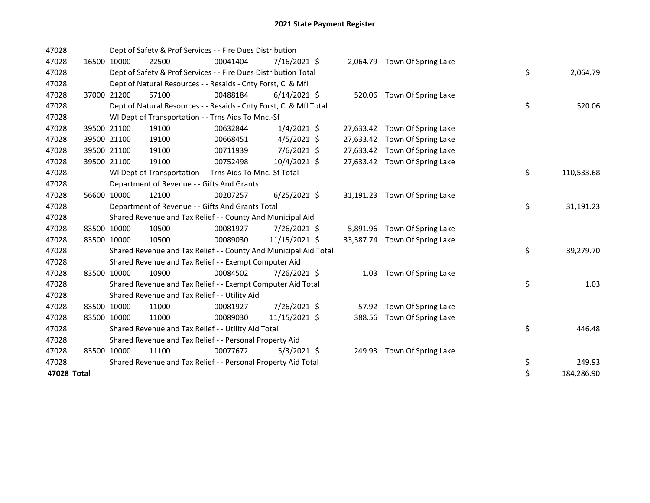| 47028       | Dept of Safety & Prof Services - - Fire Dues Distribution |                                                                    |          |                |  |           |                               |    |  |            |
|-------------|-----------------------------------------------------------|--------------------------------------------------------------------|----------|----------------|--|-----------|-------------------------------|----|--|------------|
| 47028       | 16500 10000                                               | 22500                                                              | 00041404 | $7/16/2021$ \$ |  |           | 2,064.79 Town Of Spring Lake  |    |  |            |
| 47028       |                                                           | Dept of Safety & Prof Services - - Fire Dues Distribution Total    |          |                |  |           |                               | \$ |  | 2,064.79   |
| 47028       |                                                           | Dept of Natural Resources - - Resaids - Cnty Forst, Cl & Mfl       |          |                |  |           |                               |    |  |            |
| 47028       | 37000 21200                                               | 57100                                                              | 00488184 | $6/14/2021$ \$ |  |           | 520.06 Town Of Spring Lake    |    |  |            |
| 47028       |                                                           | Dept of Natural Resources - - Resaids - Cnty Forst, Cl & Mfl Total |          |                |  |           |                               | \$ |  | 520.06     |
| 47028       |                                                           | WI Dept of Transportation - - Trns Aids To Mnc.-Sf                 |          |                |  |           |                               |    |  |            |
| 47028       | 39500 21100                                               | 19100                                                              | 00632844 | $1/4/2021$ \$  |  |           | 27,633.42 Town Of Spring Lake |    |  |            |
| 47028       | 39500 21100                                               | 19100                                                              | 00668451 | $4/5/2021$ \$  |  |           | 27,633.42 Town Of Spring Lake |    |  |            |
| 47028       | 39500 21100                                               | 19100                                                              | 00711939 | 7/6/2021 \$    |  |           | 27,633.42 Town Of Spring Lake |    |  |            |
| 47028       | 39500 21100                                               | 19100                                                              | 00752498 | 10/4/2021 \$   |  |           | 27,633.42 Town Of Spring Lake |    |  |            |
| 47028       |                                                           | WI Dept of Transportation - - Trns Aids To Mnc.-Sf Total           |          |                |  |           |                               | \$ |  | 110,533.68 |
| 47028       |                                                           | Department of Revenue - - Gifts And Grants                         |          |                |  |           |                               |    |  |            |
| 47028       | 56600 10000                                               | 12100                                                              | 00207257 | $6/25/2021$ \$ |  |           | 31,191.23 Town Of Spring Lake |    |  |            |
| 47028       |                                                           | Department of Revenue - - Gifts And Grants Total                   |          |                |  |           |                               | \$ |  | 31,191.23  |
| 47028       |                                                           | Shared Revenue and Tax Relief - - County And Municipal Aid         |          |                |  |           |                               |    |  |            |
| 47028       | 83500 10000                                               | 10500                                                              | 00081927 | 7/26/2021 \$   |  |           | 5,891.96 Town Of Spring Lake  |    |  |            |
| 47028       | 83500 10000                                               | 10500                                                              | 00089030 | 11/15/2021 \$  |  | 33,387.74 | Town Of Spring Lake           |    |  |            |
| 47028       |                                                           | Shared Revenue and Tax Relief - - County And Municipal Aid Total   |          |                |  |           |                               | \$ |  | 39,279.70  |
| 47028       |                                                           | Shared Revenue and Tax Relief - - Exempt Computer Aid              |          |                |  |           |                               |    |  |            |
| 47028       | 83500 10000                                               | 10900                                                              | 00084502 | 7/26/2021 \$   |  | 1.03      | Town Of Spring Lake           |    |  |            |
| 47028       |                                                           | Shared Revenue and Tax Relief - - Exempt Computer Aid Total        |          |                |  |           |                               | \$ |  | 1.03       |
| 47028       |                                                           | Shared Revenue and Tax Relief - - Utility Aid                      |          |                |  |           |                               |    |  |            |
| 47028       | 83500 10000                                               | 11000                                                              | 00081927 | 7/26/2021 \$   |  | 57.92     | Town Of Spring Lake           |    |  |            |
| 47028       | 83500 10000                                               | 11000                                                              | 00089030 | 11/15/2021 \$  |  | 388.56    | Town Of Spring Lake           |    |  |            |
| 47028       |                                                           | Shared Revenue and Tax Relief - - Utility Aid Total                |          |                |  |           |                               | \$ |  | 446.48     |
| 47028       |                                                           | Shared Revenue and Tax Relief - - Personal Property Aid            |          |                |  |           |                               |    |  |            |
| 47028       | 83500 10000                                               | 11100                                                              | 00077672 | $5/3/2021$ \$  |  |           | 249.93 Town Of Spring Lake    |    |  |            |
| 47028       |                                                           | Shared Revenue and Tax Relief - - Personal Property Aid Total      |          |                |  |           |                               | \$ |  | 249.93     |
| 47028 Total |                                                           |                                                                    |          |                |  |           |                               | \$ |  | 184,286.90 |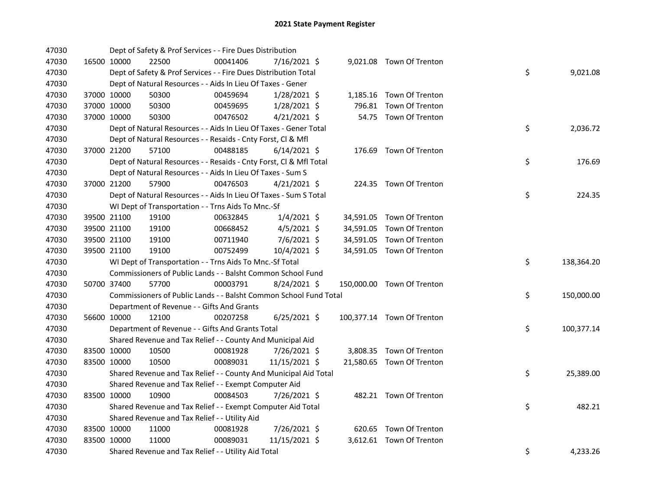| 47030 |             | Dept of Safety & Prof Services - - Fire Dues Distribution          |          |                |  |                            |    |            |
|-------|-------------|--------------------------------------------------------------------|----------|----------------|--|----------------------------|----|------------|
| 47030 | 16500 10000 | 22500                                                              | 00041406 | 7/16/2021 \$   |  | 9,021.08 Town Of Trenton   |    |            |
| 47030 |             | Dept of Safety & Prof Services - - Fire Dues Distribution Total    |          |                |  |                            | \$ | 9,021.08   |
| 47030 |             | Dept of Natural Resources - - Aids In Lieu Of Taxes - Gener        |          |                |  |                            |    |            |
| 47030 | 37000 10000 | 50300                                                              | 00459694 | 1/28/2021 \$   |  | 1,185.16 Town Of Trenton   |    |            |
| 47030 | 37000 10000 | 50300                                                              | 00459695 | $1/28/2021$ \$ |  | 796.81 Town Of Trenton     |    |            |
| 47030 | 37000 10000 | 50300                                                              | 00476502 | $4/21/2021$ \$ |  | 54.75 Town Of Trenton      |    |            |
| 47030 |             | Dept of Natural Resources - - Aids In Lieu Of Taxes - Gener Total  |          |                |  |                            | \$ | 2,036.72   |
| 47030 |             | Dept of Natural Resources - - Resaids - Cnty Forst, Cl & Mfl       |          |                |  |                            |    |            |
| 47030 | 37000 21200 | 57100                                                              | 00488185 | $6/14/2021$ \$ |  | 176.69 Town Of Trenton     |    |            |
| 47030 |             | Dept of Natural Resources - - Resaids - Cnty Forst, Cl & Mfl Total |          |                |  |                            | \$ | 176.69     |
| 47030 |             | Dept of Natural Resources - - Aids In Lieu Of Taxes - Sum S        |          |                |  |                            |    |            |
| 47030 | 37000 21200 | 57900                                                              | 00476503 | $4/21/2021$ \$ |  | 224.35 Town Of Trenton     |    |            |
| 47030 |             | Dept of Natural Resources - - Aids In Lieu Of Taxes - Sum S Total  |          |                |  |                            | \$ | 224.35     |
| 47030 |             | WI Dept of Transportation - - Trns Aids To Mnc.-Sf                 |          |                |  |                            |    |            |
| 47030 | 39500 21100 | 19100                                                              | 00632845 | $1/4/2021$ \$  |  | 34,591.05 Town Of Trenton  |    |            |
| 47030 | 39500 21100 | 19100                                                              | 00668452 | $4/5/2021$ \$  |  | 34,591.05 Town Of Trenton  |    |            |
| 47030 | 39500 21100 | 19100                                                              | 00711940 | 7/6/2021 \$    |  | 34,591.05 Town Of Trenton  |    |            |
| 47030 | 39500 21100 | 19100                                                              | 00752499 | 10/4/2021 \$   |  | 34,591.05 Town Of Trenton  |    |            |
| 47030 |             | WI Dept of Transportation - - Trns Aids To Mnc.-Sf Total           |          |                |  |                            | \$ | 138,364.20 |
| 47030 |             | Commissioners of Public Lands - - Balsht Common School Fund        |          |                |  |                            |    |            |
| 47030 | 50700 37400 | 57700                                                              | 00003791 | 8/24/2021 \$   |  | 150,000.00 Town Of Trenton |    |            |
| 47030 |             | Commissioners of Public Lands - - Balsht Common School Fund Total  |          |                |  |                            | \$ | 150,000.00 |
| 47030 |             | Department of Revenue - - Gifts And Grants                         |          |                |  |                            |    |            |
| 47030 | 56600 10000 | 12100                                                              | 00207258 | $6/25/2021$ \$ |  | 100,377.14 Town Of Trenton |    |            |
| 47030 |             | Department of Revenue - - Gifts And Grants Total                   |          |                |  |                            | \$ | 100,377.14 |
| 47030 |             | Shared Revenue and Tax Relief - - County And Municipal Aid         |          |                |  |                            |    |            |
| 47030 | 83500 10000 | 10500                                                              | 00081928 | 7/26/2021 \$   |  | 3,808.35 Town Of Trenton   |    |            |
| 47030 | 83500 10000 | 10500                                                              | 00089031 | 11/15/2021 \$  |  | 21,580.65 Town Of Trenton  |    |            |
| 47030 |             | Shared Revenue and Tax Relief - - County And Municipal Aid Total   |          |                |  |                            | \$ | 25,389.00  |
| 47030 |             | Shared Revenue and Tax Relief - - Exempt Computer Aid              |          |                |  |                            |    |            |
| 47030 | 83500 10000 | 10900                                                              | 00084503 | 7/26/2021 \$   |  | 482.21 Town Of Trenton     |    |            |
| 47030 |             | Shared Revenue and Tax Relief - - Exempt Computer Aid Total        |          |                |  |                            | \$ | 482.21     |
| 47030 |             | Shared Revenue and Tax Relief - - Utility Aid                      |          |                |  |                            |    |            |
| 47030 | 83500 10000 | 11000                                                              | 00081928 | 7/26/2021 \$   |  | 620.65 Town Of Trenton     |    |            |
| 47030 | 83500 10000 | 11000                                                              | 00089031 | 11/15/2021 \$  |  | 3,612.61 Town Of Trenton   |    |            |
| 47030 |             | Shared Revenue and Tax Relief - - Utility Aid Total                |          |                |  |                            | \$ | 4,233.26   |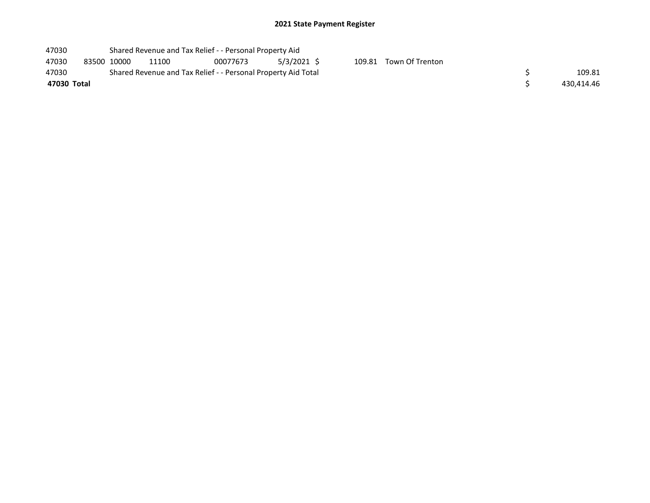## 2021 State Payment Register

| 47030       |             | Shared Revenue and Tax Relief - - Personal Property Aid |                                                               |          |             |  |                        |  |            |  |
|-------------|-------------|---------------------------------------------------------|---------------------------------------------------------------|----------|-------------|--|------------------------|--|------------|--|
| 47030       | 83500 10000 |                                                         | 11100                                                         | 00077673 | 5/3/2021 \$ |  | 109.81 Town Of Trenton |  |            |  |
| 47030       |             |                                                         | Shared Revenue and Tax Relief - - Personal Property Aid Total |          | 109.81      |  |                        |  |            |  |
| 47030 Total |             |                                                         |                                                               |          |             |  |                        |  | 430.414.46 |  |
|             |             |                                                         |                                                               |          |             |  |                        |  |            |  |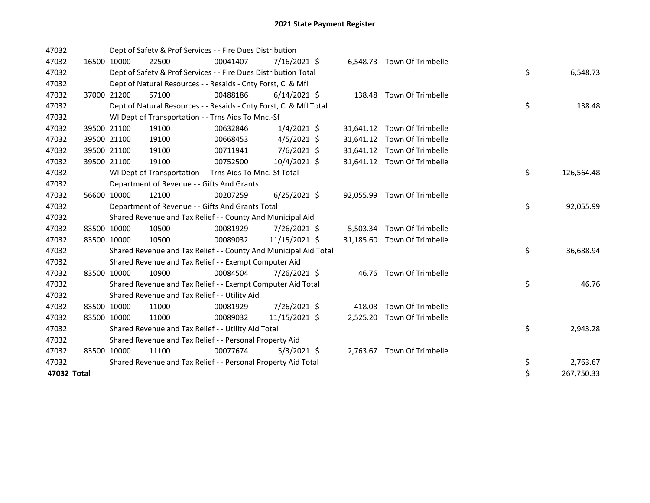| 47032       | Dept of Safety & Prof Services - - Fire Dues Distribution |                                                                    |          |                |  |          |                             |  |    |            |
|-------------|-----------------------------------------------------------|--------------------------------------------------------------------|----------|----------------|--|----------|-----------------------------|--|----|------------|
| 47032       | 16500 10000                                               | 22500                                                              | 00041407 | $7/16/2021$ \$ |  |          | 6,548.73 Town Of Trimbelle  |  |    |            |
| 47032       |                                                           | Dept of Safety & Prof Services - - Fire Dues Distribution Total    |          |                |  |          |                             |  | \$ | 6,548.73   |
| 47032       |                                                           | Dept of Natural Resources - - Resaids - Cnty Forst, Cl & Mfl       |          |                |  |          |                             |  |    |            |
| 47032       | 37000 21200                                               | 57100                                                              | 00488186 | $6/14/2021$ \$ |  |          | 138.48 Town Of Trimbelle    |  |    |            |
| 47032       |                                                           | Dept of Natural Resources - - Resaids - Cnty Forst, CI & Mfl Total |          |                |  |          |                             |  | \$ | 138.48     |
| 47032       |                                                           | WI Dept of Transportation - - Trns Aids To Mnc.-Sf                 |          |                |  |          |                             |  |    |            |
| 47032       | 39500 21100                                               | 19100                                                              | 00632846 | $1/4/2021$ \$  |  |          | 31,641.12 Town Of Trimbelle |  |    |            |
| 47032       | 39500 21100                                               | 19100                                                              | 00668453 | $4/5/2021$ \$  |  |          | 31,641.12 Town Of Trimbelle |  |    |            |
| 47032       | 39500 21100                                               | 19100                                                              | 00711941 | 7/6/2021 \$    |  |          | 31,641.12 Town Of Trimbelle |  |    |            |
| 47032       | 39500 21100                                               | 19100                                                              | 00752500 | 10/4/2021 \$   |  |          | 31,641.12 Town Of Trimbelle |  |    |            |
| 47032       |                                                           | WI Dept of Transportation - - Trns Aids To Mnc.-Sf Total           |          |                |  |          |                             |  | \$ | 126,564.48 |
| 47032       |                                                           | Department of Revenue - - Gifts And Grants                         |          |                |  |          |                             |  |    |            |
| 47032       | 56600 10000                                               | 12100                                                              | 00207259 | $6/25/2021$ \$ |  |          | 92,055.99 Town Of Trimbelle |  |    |            |
| 47032       |                                                           | Department of Revenue - - Gifts And Grants Total                   |          |                |  |          |                             |  | \$ | 92,055.99  |
| 47032       |                                                           | Shared Revenue and Tax Relief - - County And Municipal Aid         |          |                |  |          |                             |  |    |            |
| 47032       | 83500 10000                                               | 10500                                                              | 00081929 | 7/26/2021 \$   |  |          | 5,503.34 Town Of Trimbelle  |  |    |            |
| 47032       | 83500 10000                                               | 10500                                                              | 00089032 | 11/15/2021 \$  |  |          | 31,185.60 Town Of Trimbelle |  |    |            |
| 47032       |                                                           | Shared Revenue and Tax Relief - - County And Municipal Aid Total   |          |                |  |          |                             |  | \$ | 36,688.94  |
| 47032       |                                                           | Shared Revenue and Tax Relief - - Exempt Computer Aid              |          |                |  |          |                             |  |    |            |
| 47032       | 83500 10000                                               | 10900                                                              | 00084504 | 7/26/2021 \$   |  |          | 46.76 Town Of Trimbelle     |  |    |            |
| 47032       |                                                           | Shared Revenue and Tax Relief - - Exempt Computer Aid Total        |          |                |  |          |                             |  | \$ | 46.76      |
| 47032       |                                                           | Shared Revenue and Tax Relief - - Utility Aid                      |          |                |  |          |                             |  |    |            |
| 47032       | 83500 10000                                               | 11000                                                              | 00081929 | 7/26/2021 \$   |  | 418.08   | Town Of Trimbelle           |  |    |            |
| 47032       | 83500 10000                                               | 11000                                                              | 00089032 | 11/15/2021 \$  |  | 2,525.20 | Town Of Trimbelle           |  |    |            |
| 47032       |                                                           | Shared Revenue and Tax Relief - - Utility Aid Total                |          |                |  |          |                             |  | \$ | 2,943.28   |
| 47032       |                                                           | Shared Revenue and Tax Relief - - Personal Property Aid            |          |                |  |          |                             |  |    |            |
| 47032       | 83500 10000                                               | 11100                                                              | 00077674 | $5/3/2021$ \$  |  |          | 2,763.67 Town Of Trimbelle  |  |    |            |
| 47032       |                                                           | Shared Revenue and Tax Relief - - Personal Property Aid Total      |          |                |  |          |                             |  | \$ | 2,763.67   |
| 47032 Total |                                                           |                                                                    |          |                |  |          |                             |  | \$ | 267,750.33 |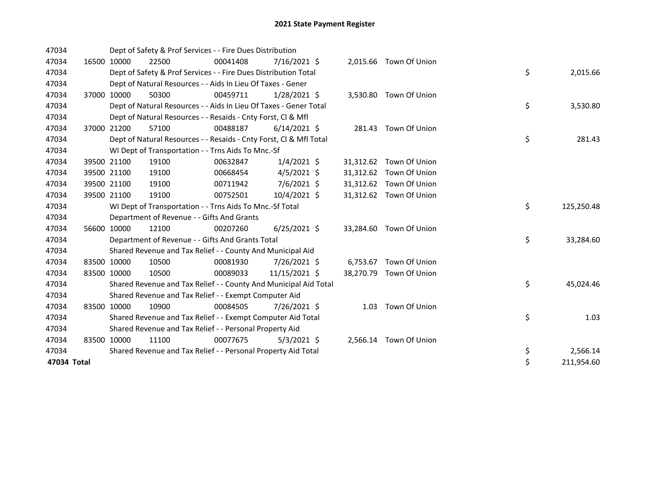| 47034       |             | Dept of Safety & Prof Services - - Fire Dues Distribution          |          |                |          |                         |    |            |
|-------------|-------------|--------------------------------------------------------------------|----------|----------------|----------|-------------------------|----|------------|
| 47034       | 16500 10000 | 22500                                                              | 00041408 | $7/16/2021$ \$ |          | 2,015.66 Town Of Union  |    |            |
| 47034       |             | Dept of Safety & Prof Services - - Fire Dues Distribution Total    |          |                |          |                         | \$ | 2,015.66   |
| 47034       |             | Dept of Natural Resources - - Aids In Lieu Of Taxes - Gener        |          |                |          |                         |    |            |
| 47034       | 37000 10000 | 50300                                                              | 00459711 | $1/28/2021$ \$ |          | 3,530.80 Town Of Union  |    |            |
| 47034       |             | Dept of Natural Resources - - Aids In Lieu Of Taxes - Gener Total  |          |                |          |                         | \$ | 3,530.80   |
| 47034       |             | Dept of Natural Resources - - Resaids - Cnty Forst, CI & Mfl       |          |                |          |                         |    |            |
| 47034       | 37000 21200 | 57100                                                              | 00488187 | $6/14/2021$ \$ |          | 281.43 Town Of Union    |    |            |
| 47034       |             | Dept of Natural Resources - - Resaids - Cnty Forst, CI & Mfl Total |          |                |          |                         | \$ | 281.43     |
| 47034       |             | WI Dept of Transportation - - Trns Aids To Mnc.-Sf                 |          |                |          |                         |    |            |
| 47034       | 39500 21100 | 19100                                                              | 00632847 | $1/4/2021$ \$  |          | 31,312.62 Town Of Union |    |            |
| 47034       | 39500 21100 | 19100                                                              | 00668454 | $4/5/2021$ \$  |          | 31,312.62 Town Of Union |    |            |
| 47034       | 39500 21100 | 19100                                                              | 00711942 | $7/6/2021$ \$  |          | 31,312.62 Town Of Union |    |            |
| 47034       | 39500 21100 | 19100                                                              | 00752501 | 10/4/2021 \$   |          | 31,312.62 Town Of Union |    |            |
| 47034       |             | WI Dept of Transportation - - Trns Aids To Mnc.-Sf Total           |          |                |          |                         | \$ | 125,250.48 |
| 47034       |             | Department of Revenue - - Gifts And Grants                         |          |                |          |                         |    |            |
| 47034       | 56600 10000 | 12100                                                              | 00207260 | $6/25/2021$ \$ |          | 33,284.60 Town Of Union |    |            |
| 47034       |             | Department of Revenue - - Gifts And Grants Total                   |          |                |          |                         | \$ | 33,284.60  |
| 47034       |             | Shared Revenue and Tax Relief - - County And Municipal Aid         |          |                |          |                         |    |            |
| 47034       | 83500 10000 | 10500                                                              | 00081930 | 7/26/2021 \$   | 6,753.67 | Town Of Union           |    |            |
| 47034       | 83500 10000 | 10500                                                              | 00089033 | 11/15/2021 \$  |          | 38,270.79 Town Of Union |    |            |
| 47034       |             | Shared Revenue and Tax Relief - - County And Municipal Aid Total   |          |                |          |                         | \$ | 45,024.46  |
| 47034       |             | Shared Revenue and Tax Relief - - Exempt Computer Aid              |          |                |          |                         |    |            |
| 47034       | 83500 10000 | 10900                                                              | 00084505 | 7/26/2021 \$   | 1.03     | Town Of Union           |    |            |
| 47034       |             | Shared Revenue and Tax Relief - - Exempt Computer Aid Total        |          |                |          |                         | \$ | 1.03       |
| 47034       |             | Shared Revenue and Tax Relief - - Personal Property Aid            |          |                |          |                         |    |            |
| 47034       | 83500 10000 | 11100                                                              | 00077675 | $5/3/2021$ \$  |          | 2,566.14 Town Of Union  |    |            |
| 47034       |             | Shared Revenue and Tax Relief - - Personal Property Aid Total      |          |                |          |                         | \$ | 2,566.14   |
| 47034 Total |             |                                                                    |          |                |          |                         | \$ | 211,954.60 |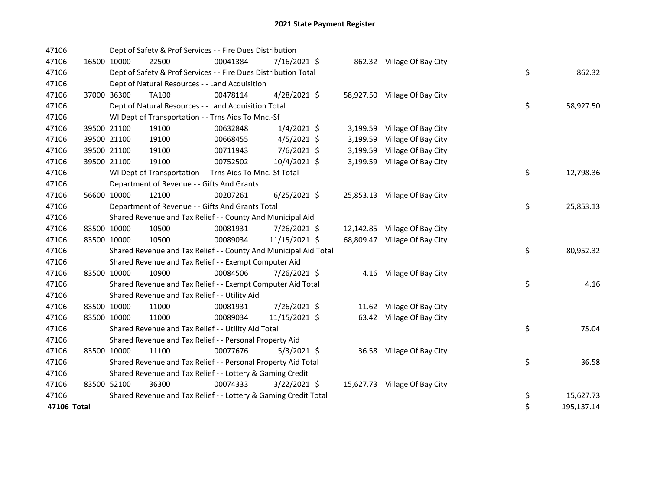| 47106       |             |             | Dept of Safety & Prof Services - - Fire Dues Distribution        |          |                |          |                               |    |            |
|-------------|-------------|-------------|------------------------------------------------------------------|----------|----------------|----------|-------------------------------|----|------------|
| 47106       | 16500 10000 |             | 22500                                                            | 00041384 | 7/16/2021 \$   |          | 862.32 Village Of Bay City    |    |            |
| 47106       |             |             | Dept of Safety & Prof Services - - Fire Dues Distribution Total  |          |                |          |                               | \$ | 862.32     |
| 47106       |             |             | Dept of Natural Resources - - Land Acquisition                   |          |                |          |                               |    |            |
| 47106       |             | 37000 36300 | TA100                                                            | 00478114 | $4/28/2021$ \$ |          | 58,927.50 Village Of Bay City |    |            |
| 47106       |             |             | Dept of Natural Resources - - Land Acquisition Total             |          |                |          |                               | \$ | 58,927.50  |
| 47106       |             |             | WI Dept of Transportation - - Trns Aids To Mnc.-Sf               |          |                |          |                               |    |            |
| 47106       |             | 39500 21100 | 19100                                                            | 00632848 | $1/4/2021$ \$  |          | 3,199.59 Village Of Bay City  |    |            |
| 47106       |             | 39500 21100 | 19100                                                            | 00668455 | $4/5/2021$ \$  | 3,199.59 | Village Of Bay City           |    |            |
| 47106       |             | 39500 21100 | 19100                                                            | 00711943 | 7/6/2021 \$    | 3,199.59 | Village Of Bay City           |    |            |
| 47106       |             | 39500 21100 | 19100                                                            | 00752502 | 10/4/2021 \$   |          | 3,199.59 Village Of Bay City  |    |            |
| 47106       |             |             | WI Dept of Transportation - - Trns Aids To Mnc.-Sf Total         |          |                |          |                               | \$ | 12,798.36  |
| 47106       |             |             | Department of Revenue - - Gifts And Grants                       |          |                |          |                               |    |            |
| 47106       |             | 56600 10000 | 12100                                                            | 00207261 | $6/25/2021$ \$ |          | 25,853.13 Village Of Bay City |    |            |
| 47106       |             |             | Department of Revenue - - Gifts And Grants Total                 |          |                |          |                               | \$ | 25,853.13  |
| 47106       |             |             | Shared Revenue and Tax Relief - - County And Municipal Aid       |          |                |          |                               |    |            |
| 47106       |             | 83500 10000 | 10500                                                            | 00081931 | 7/26/2021 \$   |          | 12,142.85 Village Of Bay City |    |            |
| 47106       |             | 83500 10000 | 10500                                                            | 00089034 | 11/15/2021 \$  |          | 68,809.47 Village Of Bay City |    |            |
| 47106       |             |             | Shared Revenue and Tax Relief - - County And Municipal Aid Total |          |                |          |                               | \$ | 80,952.32  |
| 47106       |             |             | Shared Revenue and Tax Relief - - Exempt Computer Aid            |          |                |          |                               |    |            |
| 47106       |             | 83500 10000 | 10900                                                            | 00084506 | 7/26/2021 \$   |          | 4.16 Village Of Bay City      |    |            |
| 47106       |             |             | Shared Revenue and Tax Relief - - Exempt Computer Aid Total      |          |                |          |                               | \$ | 4.16       |
| 47106       |             |             | Shared Revenue and Tax Relief - - Utility Aid                    |          |                |          |                               |    |            |
| 47106       | 83500 10000 |             | 11000                                                            | 00081931 | 7/26/2021 \$   |          | 11.62 Village Of Bay City     |    |            |
| 47106       |             | 83500 10000 | 11000                                                            | 00089034 | 11/15/2021 \$  |          | 63.42 Village Of Bay City     |    |            |
| 47106       |             |             | Shared Revenue and Tax Relief - - Utility Aid Total              |          |                |          |                               | \$ | 75.04      |
| 47106       |             |             | Shared Revenue and Tax Relief - - Personal Property Aid          |          |                |          |                               |    |            |
| 47106       |             | 83500 10000 | 11100                                                            | 00077676 | $5/3/2021$ \$  |          | 36.58 Village Of Bay City     |    |            |
| 47106       |             |             | Shared Revenue and Tax Relief - - Personal Property Aid Total    |          |                |          |                               | \$ | 36.58      |
| 47106       |             |             | Shared Revenue and Tax Relief - - Lottery & Gaming Credit        |          |                |          |                               |    |            |
| 47106       |             | 83500 52100 | 36300                                                            | 00074333 | $3/22/2021$ \$ |          | 15,627.73 Village Of Bay City |    |            |
| 47106       |             |             | Shared Revenue and Tax Relief - - Lottery & Gaming Credit Total  |          |                |          |                               | \$ | 15,627.73  |
| 47106 Total |             |             |                                                                  |          |                |          |                               | \$ | 195,137.14 |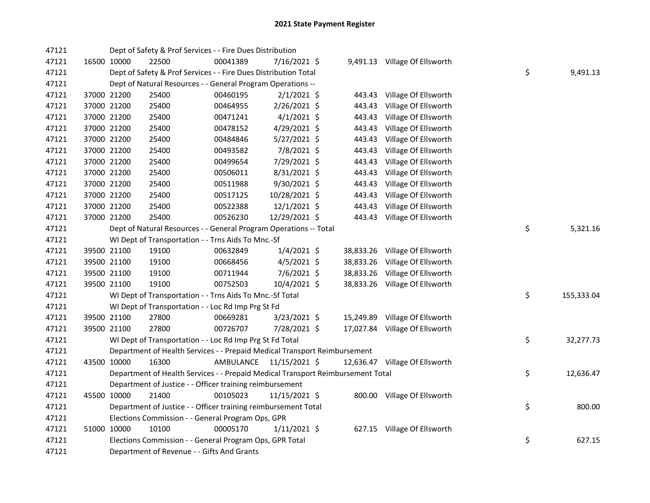| 47121 |             | Dept of Safety & Prof Services - - Fire Dues Distribution                       |           |                |           |                                |    |            |
|-------|-------------|---------------------------------------------------------------------------------|-----------|----------------|-----------|--------------------------------|----|------------|
| 47121 | 16500 10000 | 22500                                                                           | 00041389  | 7/16/2021 \$   |           | 9,491.13 Village Of Ellsworth  |    |            |
| 47121 |             | Dept of Safety & Prof Services - - Fire Dues Distribution Total                 |           |                |           |                                | \$ | 9,491.13   |
| 47121 |             | Dept of Natural Resources - - General Program Operations --                     |           |                |           |                                |    |            |
| 47121 | 37000 21200 | 25400                                                                           | 00460195  | $2/1/2021$ \$  | 443.43    | Village Of Ellsworth           |    |            |
| 47121 | 37000 21200 | 25400                                                                           | 00464955  | $2/26/2021$ \$ | 443.43    | Village Of Ellsworth           |    |            |
| 47121 | 37000 21200 | 25400                                                                           | 00471241  | $4/1/2021$ \$  | 443.43    | Village Of Ellsworth           |    |            |
| 47121 | 37000 21200 | 25400                                                                           | 00478152  | 4/29/2021 \$   | 443.43    | Village Of Ellsworth           |    |            |
| 47121 | 37000 21200 | 25400                                                                           | 00484846  | $5/27/2021$ \$ | 443.43    | Village Of Ellsworth           |    |            |
| 47121 | 37000 21200 | 25400                                                                           | 00493582  | 7/8/2021 \$    | 443.43    | Village Of Ellsworth           |    |            |
| 47121 | 37000 21200 | 25400                                                                           | 00499654  | 7/29/2021 \$   | 443.43    | Village Of Ellsworth           |    |            |
| 47121 | 37000 21200 | 25400                                                                           | 00506011  | 8/31/2021 \$   | 443.43    | Village Of Ellsworth           |    |            |
| 47121 | 37000 21200 | 25400                                                                           | 00511988  | 9/30/2021 \$   | 443.43    | Village Of Ellsworth           |    |            |
| 47121 | 37000 21200 | 25400                                                                           | 00517125  | 10/28/2021 \$  | 443.43    | Village Of Ellsworth           |    |            |
| 47121 | 37000 21200 | 25400                                                                           | 00522388  | $12/1/2021$ \$ | 443.43    | Village Of Ellsworth           |    |            |
| 47121 | 37000 21200 | 25400                                                                           | 00526230  | 12/29/2021 \$  |           | 443.43 Village Of Ellsworth    |    |            |
| 47121 |             | Dept of Natural Resources - - General Program Operations -- Total               |           |                |           |                                | \$ | 5,321.16   |
| 47121 |             | WI Dept of Transportation - - Trns Aids To Mnc.-Sf                              |           |                |           |                                |    |            |
| 47121 | 39500 21100 | 19100                                                                           | 00632849  | $1/4/2021$ \$  |           | 38,833.26 Village Of Ellsworth |    |            |
| 47121 | 39500 21100 | 19100                                                                           | 00668456  | $4/5/2021$ \$  | 38,833.26 | Village Of Ellsworth           |    |            |
| 47121 | 39500 21100 | 19100                                                                           | 00711944  | $7/6/2021$ \$  | 38,833.26 | Village Of Ellsworth           |    |            |
| 47121 | 39500 21100 | 19100                                                                           | 00752503  | 10/4/2021 \$   |           | 38,833.26 Village Of Ellsworth |    |            |
| 47121 |             | WI Dept of Transportation - - Trns Aids To Mnc.-Sf Total                        |           |                |           |                                | \$ | 155,333.04 |
| 47121 |             | WI Dept of Transportation - - Loc Rd Imp Prg St Fd                              |           |                |           |                                |    |            |
| 47121 | 39500 21100 | 27800                                                                           | 00669281  | $3/23/2021$ \$ | 15,249.89 | Village Of Ellsworth           |    |            |
| 47121 | 39500 21100 | 27800                                                                           | 00726707  | 7/28/2021 \$   |           | 17,027.84 Village Of Ellsworth |    |            |
| 47121 |             | WI Dept of Transportation - - Loc Rd Imp Prg St Fd Total                        |           |                |           |                                | \$ | 32,277.73  |
| 47121 |             | Department of Health Services - - Prepaid Medical Transport Reimbursement       |           |                |           |                                |    |            |
| 47121 | 43500 10000 | 16300                                                                           | AMBULANCE | 11/15/2021 \$  |           | 12,636.47 Village Of Ellsworth |    |            |
| 47121 |             | Department of Health Services - - Prepaid Medical Transport Reimbursement Total |           |                |           |                                | \$ | 12,636.47  |
| 47121 |             | Department of Justice - - Officer training reimbursement                        |           |                |           |                                |    |            |
| 47121 | 45500 10000 | 21400                                                                           | 00105023  | 11/15/2021 \$  |           | 800.00 Village Of Ellsworth    |    |            |
| 47121 |             | Department of Justice - - Officer training reimbursement Total                  |           |                |           |                                | \$ | 800.00     |
| 47121 |             | Elections Commission - - General Program Ops, GPR                               |           |                |           |                                |    |            |
| 47121 | 51000 10000 | 10100                                                                           | 00005170  | $1/11/2021$ \$ |           | 627.15 Village Of Ellsworth    |    |            |
| 47121 |             | Elections Commission - - General Program Ops, GPR Total                         |           |                |           |                                | \$ | 627.15     |
| 47121 |             | Department of Revenue - - Gifts And Grants                                      |           |                |           |                                |    |            |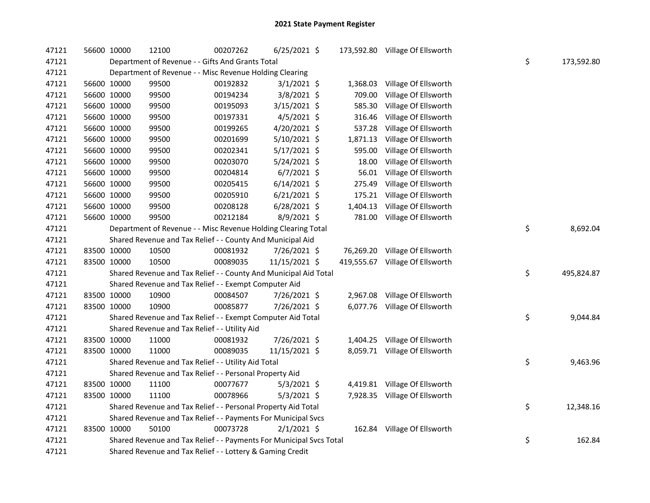| 47121 | 56600 10000 |             | 12100                                                               | 00207262 | 6/25/2021 \$   |            | 173,592.80 Village Of Ellsworth |    |            |
|-------|-------------|-------------|---------------------------------------------------------------------|----------|----------------|------------|---------------------------------|----|------------|
| 47121 |             |             | Department of Revenue - - Gifts And Grants Total                    |          |                |            |                                 | \$ | 173,592.80 |
| 47121 |             |             | Department of Revenue - - Misc Revenue Holding Clearing             |          |                |            |                                 |    |            |
| 47121 |             | 56600 10000 | 99500                                                               | 00192832 | $3/1/2021$ \$  | 1,368.03   | Village Of Ellsworth            |    |            |
| 47121 |             | 56600 10000 | 99500                                                               | 00194234 | $3/8/2021$ \$  | 709.00     | Village Of Ellsworth            |    |            |
| 47121 |             | 56600 10000 | 99500                                                               | 00195093 | 3/15/2021 \$   | 585.30     | Village Of Ellsworth            |    |            |
| 47121 |             | 56600 10000 | 99500                                                               | 00197331 | $4/5/2021$ \$  | 316.46     | Village Of Ellsworth            |    |            |
| 47121 |             | 56600 10000 | 99500                                                               | 00199265 | 4/20/2021 \$   | 537.28     | Village Of Ellsworth            |    |            |
| 47121 |             | 56600 10000 | 99500                                                               | 00201699 | 5/10/2021 \$   | 1,871.13   | Village Of Ellsworth            |    |            |
| 47121 |             | 56600 10000 | 99500                                                               | 00202341 | 5/17/2021 \$   | 595.00     | Village Of Ellsworth            |    |            |
| 47121 | 56600 10000 |             | 99500                                                               | 00203070 | 5/24/2021 \$   | 18.00      | Village Of Ellsworth            |    |            |
| 47121 |             | 56600 10000 | 99500                                                               | 00204814 | $6/7/2021$ \$  | 56.01      | Village Of Ellsworth            |    |            |
| 47121 |             | 56600 10000 | 99500                                                               | 00205415 | $6/14/2021$ \$ | 275.49     | Village Of Ellsworth            |    |            |
| 47121 |             | 56600 10000 | 99500                                                               | 00205910 | $6/21/2021$ \$ | 175.21     | Village Of Ellsworth            |    |            |
| 47121 |             | 56600 10000 | 99500                                                               | 00208128 | $6/28/2021$ \$ | 1,404.13   | Village Of Ellsworth            |    |            |
| 47121 |             | 56600 10000 | 99500                                                               | 00212184 | $8/9/2021$ \$  | 781.00     | Village Of Ellsworth            |    |            |
| 47121 |             |             | Department of Revenue - - Misc Revenue Holding Clearing Total       |          |                |            |                                 | \$ | 8,692.04   |
| 47121 |             |             | Shared Revenue and Tax Relief - - County And Municipal Aid          |          |                |            |                                 |    |            |
| 47121 |             | 83500 10000 | 10500                                                               | 00081932 | 7/26/2021 \$   |            | 76,269.20 Village Of Ellsworth  |    |            |
| 47121 |             | 83500 10000 | 10500                                                               | 00089035 | 11/15/2021 \$  | 419,555.67 | Village Of Ellsworth            |    |            |
| 47121 |             |             | Shared Revenue and Tax Relief - - County And Municipal Aid Total    |          |                |            |                                 | \$ | 495,824.87 |
| 47121 |             |             | Shared Revenue and Tax Relief - - Exempt Computer Aid               |          |                |            |                                 |    |            |
| 47121 |             | 83500 10000 | 10900                                                               | 00084507 | 7/26/2021 \$   | 2,967.08   | Village Of Ellsworth            |    |            |
| 47121 | 83500 10000 |             | 10900                                                               | 00085877 | 7/26/2021 \$   |            | 6,077.76 Village Of Ellsworth   |    |            |
| 47121 |             |             | Shared Revenue and Tax Relief - - Exempt Computer Aid Total         |          |                |            |                                 | \$ | 9,044.84   |
| 47121 |             |             | Shared Revenue and Tax Relief - - Utility Aid                       |          |                |            |                                 |    |            |
| 47121 |             | 83500 10000 | 11000                                                               | 00081932 | 7/26/2021 \$   |            | 1,404.25 Village Of Ellsworth   |    |            |
| 47121 |             | 83500 10000 | 11000                                                               | 00089035 | 11/15/2021 \$  |            | 8,059.71 Village Of Ellsworth   |    |            |
| 47121 |             |             | Shared Revenue and Tax Relief - - Utility Aid Total                 |          |                |            |                                 | \$ | 9,463.96   |
| 47121 |             |             | Shared Revenue and Tax Relief - - Personal Property Aid             |          |                |            |                                 |    |            |
| 47121 |             | 83500 10000 | 11100                                                               | 00077677 | $5/3/2021$ \$  |            | 4,419.81 Village Of Ellsworth   |    |            |
| 47121 |             | 83500 10000 | 11100                                                               | 00078966 | $5/3/2021$ \$  |            | 7,928.35 Village Of Ellsworth   |    |            |
| 47121 |             |             | Shared Revenue and Tax Relief - - Personal Property Aid Total       |          |                |            |                                 | \$ | 12,348.16  |
| 47121 |             |             | Shared Revenue and Tax Relief - - Payments For Municipal Svcs       |          |                |            |                                 |    |            |
| 47121 |             | 83500 10000 | 50100                                                               | 00073728 | $2/1/2021$ \$  |            | 162.84 Village Of Ellsworth     |    |            |
| 47121 |             |             | Shared Revenue and Tax Relief - - Payments For Municipal Svcs Total |          |                |            |                                 | \$ | 162.84     |
| 47121 |             |             | Shared Revenue and Tax Relief - - Lottery & Gaming Credit           |          |                |            |                                 |    |            |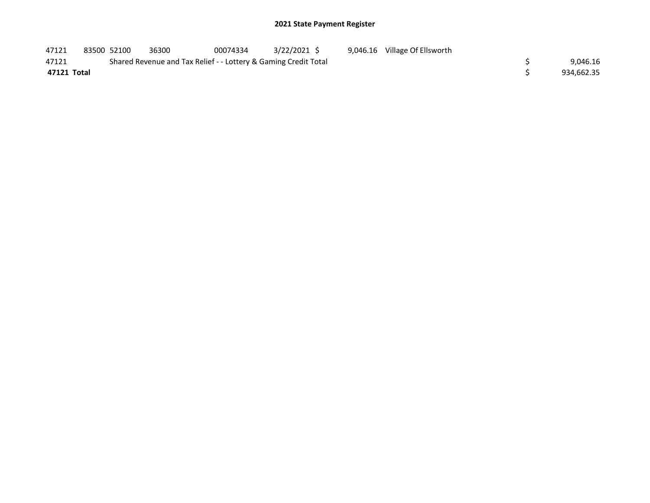| 47121       | 83500 52100 | 36300                                                           | 00074334 | 3/22/2021 \$ |  | 9,046.16 Village Of Ellsworth |  |            |
|-------------|-------------|-----------------------------------------------------------------|----------|--------------|--|-------------------------------|--|------------|
| 47121       |             | Shared Revenue and Tax Relief - - Lottery & Gaming Credit Total |          |              |  |                               |  | 9,046.16   |
| 47121 Total |             |                                                                 |          |              |  |                               |  | 934,662.35 |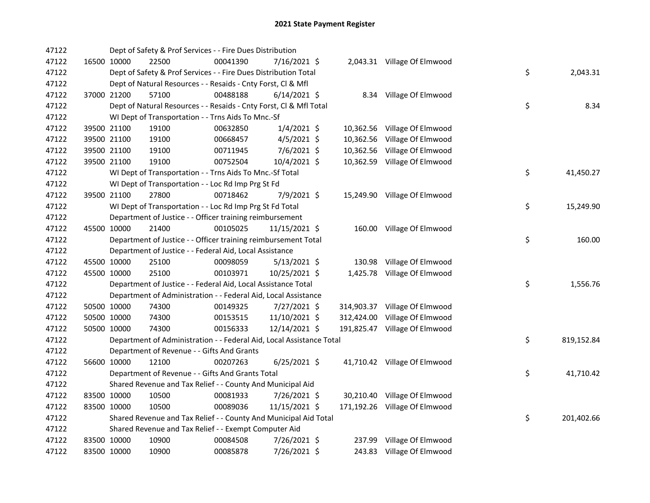| 47122 |             |             | Dept of Safety & Prof Services - - Fire Dues Distribution            |          |                |  |                               |    |            |
|-------|-------------|-------------|----------------------------------------------------------------------|----------|----------------|--|-------------------------------|----|------------|
| 47122 |             | 16500 10000 | 22500                                                                | 00041390 | 7/16/2021 \$   |  | 2,043.31 Village Of Elmwood   |    |            |
| 47122 |             |             | Dept of Safety & Prof Services - - Fire Dues Distribution Total      |          |                |  |                               | \$ | 2,043.31   |
| 47122 |             |             | Dept of Natural Resources - - Resaids - Cnty Forst, Cl & Mfl         |          |                |  |                               |    |            |
| 47122 |             | 37000 21200 | 57100                                                                | 00488188 | $6/14/2021$ \$ |  | 8.34 Village Of Elmwood       |    |            |
| 47122 |             |             | Dept of Natural Resources - - Resaids - Cnty Forst, Cl & Mfl Total   |          |                |  |                               | \$ | 8.34       |
| 47122 |             |             | WI Dept of Transportation - - Trns Aids To Mnc.-Sf                   |          |                |  |                               |    |            |
| 47122 |             | 39500 21100 | 19100                                                                | 00632850 | $1/4/2021$ \$  |  | 10,362.56 Village Of Elmwood  |    |            |
| 47122 |             | 39500 21100 | 19100                                                                | 00668457 | $4/5/2021$ \$  |  | 10,362.56 Village Of Elmwood  |    |            |
| 47122 |             | 39500 21100 | 19100                                                                | 00711945 | $7/6/2021$ \$  |  | 10,362.56 Village Of Elmwood  |    |            |
| 47122 |             | 39500 21100 | 19100                                                                | 00752504 | 10/4/2021 \$   |  | 10,362.59 Village Of Elmwood  |    |            |
| 47122 |             |             | WI Dept of Transportation - - Trns Aids To Mnc.-Sf Total             |          |                |  |                               | \$ | 41,450.27  |
| 47122 |             |             | WI Dept of Transportation - - Loc Rd Imp Prg St Fd                   |          |                |  |                               |    |            |
| 47122 |             | 39500 21100 | 27800                                                                | 00718462 | 7/9/2021 \$    |  | 15,249.90 Village Of Elmwood  |    |            |
| 47122 |             |             | WI Dept of Transportation - - Loc Rd Imp Prg St Fd Total             |          |                |  |                               | \$ | 15,249.90  |
| 47122 |             |             | Department of Justice - - Officer training reimbursement             |          |                |  |                               |    |            |
| 47122 |             | 45500 10000 | 21400                                                                | 00105025 | 11/15/2021 \$  |  | 160.00 Village Of Elmwood     |    |            |
| 47122 |             |             | Department of Justice - - Officer training reimbursement Total       |          |                |  |                               | \$ | 160.00     |
| 47122 |             |             | Department of Justice - - Federal Aid, Local Assistance              |          |                |  |                               |    |            |
| 47122 |             | 45500 10000 | 25100                                                                | 00098059 | $5/13/2021$ \$ |  | 130.98 Village Of Elmwood     |    |            |
| 47122 |             | 45500 10000 | 25100                                                                | 00103971 | 10/25/2021 \$  |  | 1,425.78 Village Of Elmwood   |    |            |
| 47122 |             |             | Department of Justice - - Federal Aid, Local Assistance Total        |          |                |  |                               | \$ | 1,556.76   |
| 47122 |             |             | Department of Administration - - Federal Aid, Local Assistance       |          |                |  |                               |    |            |
| 47122 |             | 50500 10000 | 74300                                                                | 00149325 | 7/27/2021 \$   |  | 314,903.37 Village Of Elmwood |    |            |
| 47122 |             | 50500 10000 | 74300                                                                | 00153515 | 11/10/2021 \$  |  | 312,424.00 Village Of Elmwood |    |            |
| 47122 |             | 50500 10000 | 74300                                                                | 00156333 | 12/14/2021 \$  |  | 191,825.47 Village Of Elmwood |    |            |
| 47122 |             |             | Department of Administration - - Federal Aid, Local Assistance Total |          |                |  |                               | \$ | 819,152.84 |
| 47122 |             |             | Department of Revenue - - Gifts And Grants                           |          |                |  |                               |    |            |
| 47122 |             | 56600 10000 | 12100                                                                | 00207263 | $6/25/2021$ \$ |  | 41,710.42 Village Of Elmwood  |    |            |
| 47122 |             |             | Department of Revenue - - Gifts And Grants Total                     |          |                |  |                               | \$ | 41,710.42  |
| 47122 |             |             | Shared Revenue and Tax Relief - - County And Municipal Aid           |          |                |  |                               |    |            |
| 47122 | 83500 10000 |             | 10500                                                                | 00081933 | 7/26/2021 \$   |  | 30,210.40 Village Of Elmwood  |    |            |
| 47122 |             | 83500 10000 | 10500                                                                | 00089036 | 11/15/2021 \$  |  | 171,192.26 Village Of Elmwood |    |            |
| 47122 |             |             | Shared Revenue and Tax Relief - - County And Municipal Aid Total     |          |                |  |                               | \$ | 201,402.66 |
| 47122 |             |             | Shared Revenue and Tax Relief - - Exempt Computer Aid                |          |                |  |                               |    |            |
| 47122 |             | 83500 10000 | 10900                                                                | 00084508 | 7/26/2021 \$   |  | 237.99 Village Of Elmwood     |    |            |
| 47122 |             | 83500 10000 | 10900                                                                | 00085878 | 7/26/2021 \$   |  | 243.83 Village Of Elmwood     |    |            |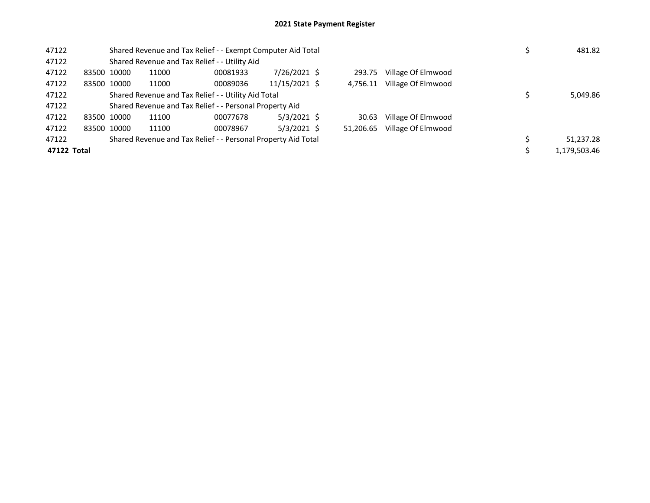| 47122 |             |                                                               | Shared Revenue and Tax Relief - - Exempt Computer Aid Total |                                               | 481.82        |  |           |                    |  |              |
|-------|-------------|---------------------------------------------------------------|-------------------------------------------------------------|-----------------------------------------------|---------------|--|-----------|--------------------|--|--------------|
| 47122 |             |                                                               |                                                             | Shared Revenue and Tax Relief - - Utility Aid |               |  |           |                    |  |              |
| 47122 |             | 83500 10000                                                   | 11000                                                       | 00081933                                      | 7/26/2021 \$  |  | 293.75    | Village Of Elmwood |  |              |
| 47122 |             | 83500 10000                                                   | 11000                                                       | 00089036                                      | 11/15/2021 \$ |  | 4.756.11  | Village Of Elmwood |  |              |
| 47122 |             | Shared Revenue and Tax Relief - - Utility Aid Total           |                                                             | 5,049.86                                      |               |  |           |                    |  |              |
| 47122 |             | Shared Revenue and Tax Relief - - Personal Property Aid       |                                                             |                                               |               |  |           |                    |  |              |
| 47122 |             | 83500 10000                                                   | 11100                                                       | 00077678                                      | $5/3/2021$ \$ |  | 30.63     | Village Of Elmwood |  |              |
| 47122 |             | 83500 10000                                                   | 11100                                                       | 00078967                                      | $5/3/2021$ \$ |  | 51,206.65 | Village Of Elmwood |  |              |
| 47122 |             | Shared Revenue and Tax Relief - - Personal Property Aid Total |                                                             | 51,237.28                                     |               |  |           |                    |  |              |
|       | 47122 Total |                                                               |                                                             |                                               |               |  |           |                    |  | 1,179,503.46 |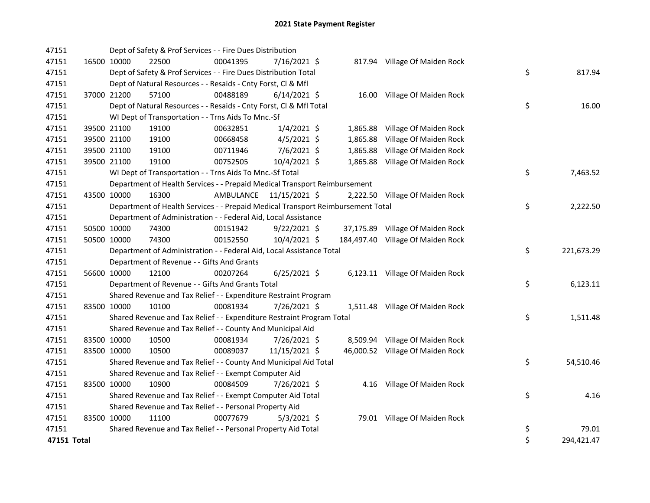| 47151 |             | Dept of Safety & Prof Services - - Fire Dues Distribution                       |           |                |          |                                   |          |            |
|-------|-------------|---------------------------------------------------------------------------------|-----------|----------------|----------|-----------------------------------|----------|------------|
| 47151 | 16500 10000 | 22500                                                                           | 00041395  | 7/16/2021 \$   |          | 817.94 Village Of Maiden Rock     |          |            |
| 47151 |             | Dept of Safety & Prof Services - - Fire Dues Distribution Total                 |           |                |          |                                   | \$       | 817.94     |
| 47151 |             | Dept of Natural Resources - - Resaids - Cnty Forst, Cl & Mfl                    |           |                |          |                                   |          |            |
| 47151 | 37000 21200 | 57100                                                                           | 00488189  | $6/14/2021$ \$ |          | 16.00 Village Of Maiden Rock      |          |            |
| 47151 |             | Dept of Natural Resources - - Resaids - Cnty Forst, Cl & Mfl Total              |           |                |          |                                   | \$       | 16.00      |
| 47151 |             | WI Dept of Transportation - - Trns Aids To Mnc.-Sf                              |           |                |          |                                   |          |            |
| 47151 | 39500 21100 | 19100                                                                           | 00632851  | $1/4/2021$ \$  |          | 1,865.88 Village Of Maiden Rock   |          |            |
| 47151 | 39500 21100 | 19100                                                                           | 00668458  | $4/5/2021$ \$  | 1,865.88 | Village Of Maiden Rock            |          |            |
| 47151 | 39500 21100 | 19100                                                                           | 00711946  | 7/6/2021 \$    |          | 1,865.88 Village Of Maiden Rock   |          |            |
| 47151 | 39500 21100 | 19100                                                                           | 00752505  | 10/4/2021 \$   |          | 1,865.88 Village Of Maiden Rock   |          |            |
| 47151 |             | WI Dept of Transportation - - Trns Aids To Mnc.-Sf Total                        |           |                |          |                                   | \$       | 7,463.52   |
| 47151 |             | Department of Health Services - - Prepaid Medical Transport Reimbursement       |           |                |          |                                   |          |            |
| 47151 | 43500 10000 | 16300                                                                           | AMBULANCE | 11/15/2021 \$  |          | 2,222.50 Village Of Maiden Rock   |          |            |
| 47151 |             | Department of Health Services - - Prepaid Medical Transport Reimbursement Total |           |                |          |                                   | \$       | 2,222.50   |
| 47151 |             | Department of Administration - - Federal Aid, Local Assistance                  |           |                |          |                                   |          |            |
| 47151 | 50500 10000 | 74300                                                                           | 00151942  | $9/22/2021$ \$ |          | 37,175.89 Village Of Maiden Rock  |          |            |
| 47151 | 50500 10000 | 74300                                                                           | 00152550  | 10/4/2021 \$   |          | 184,497.40 Village Of Maiden Rock |          |            |
| 47151 |             | Department of Administration - - Federal Aid, Local Assistance Total            |           |                |          |                                   | \$       | 221,673.29 |
| 47151 |             | Department of Revenue - - Gifts And Grants                                      |           |                |          |                                   |          |            |
| 47151 | 56600 10000 | 12100                                                                           | 00207264  | $6/25/2021$ \$ |          | 6,123.11 Village Of Maiden Rock   |          |            |
| 47151 |             | Department of Revenue - - Gifts And Grants Total                                |           |                |          |                                   | \$       | 6,123.11   |
| 47151 |             | Shared Revenue and Tax Relief - - Expenditure Restraint Program                 |           |                |          |                                   |          |            |
| 47151 | 83500 10000 | 10100                                                                           | 00081934  | 7/26/2021 \$   |          | 1,511.48 Village Of Maiden Rock   |          |            |
| 47151 |             | Shared Revenue and Tax Relief - - Expenditure Restraint Program Total           |           |                |          |                                   | \$       | 1,511.48   |
| 47151 |             | Shared Revenue and Tax Relief - - County And Municipal Aid                      |           |                |          |                                   |          |            |
| 47151 | 83500 10000 | 10500                                                                           | 00081934  | 7/26/2021 \$   |          | 8,509.94 Village Of Maiden Rock   |          |            |
| 47151 | 83500 10000 | 10500                                                                           | 00089037  | 11/15/2021 \$  |          | 46,000.52 Village Of Maiden Rock  |          |            |
| 47151 |             | Shared Revenue and Tax Relief - - County And Municipal Aid Total                |           |                |          |                                   | \$       | 54,510.46  |
| 47151 |             | Shared Revenue and Tax Relief - - Exempt Computer Aid                           |           |                |          |                                   |          |            |
| 47151 | 83500 10000 | 10900                                                                           | 00084509  | 7/26/2021 \$   |          | 4.16 Village Of Maiden Rock       |          |            |
| 47151 |             | Shared Revenue and Tax Relief - - Exempt Computer Aid Total                     |           |                |          |                                   | \$       | 4.16       |
| 47151 |             | Shared Revenue and Tax Relief - - Personal Property Aid                         |           |                |          |                                   |          |            |
|       |             |                                                                                 |           |                |          |                                   |          |            |
| 47151 | 83500 10000 | 11100                                                                           | 00077679  | $5/3/2021$ \$  |          | 79.01 Village Of Maiden Rock      |          |            |
| 47151 |             | Shared Revenue and Tax Relief - - Personal Property Aid Total                   |           |                |          |                                   | \$<br>\$ | 79.01      |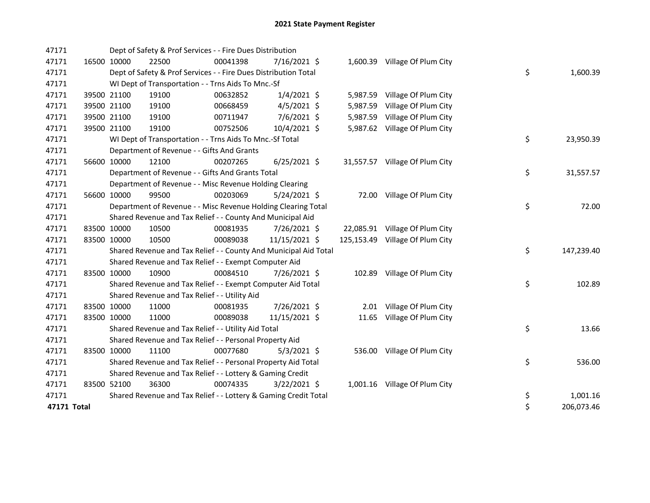| 47171       |             | Dept of Safety & Prof Services - - Fire Dues Distribution        |          |                |          |                                 |    |            |
|-------------|-------------|------------------------------------------------------------------|----------|----------------|----------|---------------------------------|----|------------|
| 47171       | 16500 10000 | 22500                                                            | 00041398 | 7/16/2021 \$   |          | 1,600.39 Village Of Plum City   |    |            |
| 47171       |             | Dept of Safety & Prof Services - - Fire Dues Distribution Total  |          |                |          |                                 | \$ | 1,600.39   |
| 47171       |             | WI Dept of Transportation - - Trns Aids To Mnc.-Sf               |          |                |          |                                 |    |            |
| 47171       | 39500 21100 | 19100                                                            | 00632852 | $1/4/2021$ \$  |          | 5,987.59 Village Of Plum City   |    |            |
| 47171       | 39500 21100 | 19100                                                            | 00668459 | $4/5/2021$ \$  | 5,987.59 | Village Of Plum City            |    |            |
| 47171       | 39500 21100 | 19100                                                            | 00711947 | 7/6/2021 \$    |          | 5,987.59 Village Of Plum City   |    |            |
| 47171       | 39500 21100 | 19100                                                            | 00752506 | 10/4/2021 \$   |          | 5,987.62 Village Of Plum City   |    |            |
| 47171       |             | WI Dept of Transportation - - Trns Aids To Mnc.-Sf Total         |          |                |          |                                 | \$ | 23,950.39  |
| 47171       |             | Department of Revenue - - Gifts And Grants                       |          |                |          |                                 |    |            |
| 47171       | 56600 10000 | 12100                                                            | 00207265 | $6/25/2021$ \$ |          | 31,557.57 Village Of Plum City  |    |            |
| 47171       |             | Department of Revenue - - Gifts And Grants Total                 |          |                |          |                                 | \$ | 31,557.57  |
| 47171       |             | Department of Revenue - - Misc Revenue Holding Clearing          |          |                |          |                                 |    |            |
| 47171       | 56600 10000 | 99500                                                            | 00203069 | 5/24/2021 \$   |          | 72.00 Village Of Plum City      |    |            |
| 47171       |             | Department of Revenue - - Misc Revenue Holding Clearing Total    |          |                |          |                                 | \$ | 72.00      |
| 47171       |             | Shared Revenue and Tax Relief - - County And Municipal Aid       |          |                |          |                                 |    |            |
| 47171       | 83500 10000 | 10500                                                            | 00081935 | 7/26/2021 \$   |          | 22,085.91 Village Of Plum City  |    |            |
| 47171       | 83500 10000 | 10500                                                            | 00089038 | 11/15/2021 \$  |          | 125,153.49 Village Of Plum City |    |            |
| 47171       |             | Shared Revenue and Tax Relief - - County And Municipal Aid Total |          |                |          |                                 | \$ | 147,239.40 |
| 47171       |             | Shared Revenue and Tax Relief - - Exempt Computer Aid            |          |                |          |                                 |    |            |
| 47171       | 83500 10000 | 10900                                                            | 00084510 | 7/26/2021 \$   |          | 102.89 Village Of Plum City     |    |            |
| 47171       |             | Shared Revenue and Tax Relief - - Exempt Computer Aid Total      |          |                |          |                                 | \$ | 102.89     |
| 47171       |             | Shared Revenue and Tax Relief - - Utility Aid                    |          |                |          |                                 |    |            |
| 47171       | 83500 10000 | 11000                                                            | 00081935 | 7/26/2021 \$   |          | 2.01 Village Of Plum City       |    |            |
| 47171       | 83500 10000 | 11000                                                            | 00089038 | 11/15/2021 \$  | 11.65    | Village Of Plum City            |    |            |
| 47171       |             | Shared Revenue and Tax Relief - - Utility Aid Total              |          |                |          |                                 | \$ | 13.66      |
| 47171       |             | Shared Revenue and Tax Relief - - Personal Property Aid          |          |                |          |                                 |    |            |
| 47171       | 83500 10000 | 11100                                                            | 00077680 | $5/3/2021$ \$  |          | 536.00 Village Of Plum City     |    |            |
| 47171       |             | Shared Revenue and Tax Relief - - Personal Property Aid Total    |          |                |          |                                 | \$ | 536.00     |
| 47171       |             | Shared Revenue and Tax Relief - - Lottery & Gaming Credit        |          |                |          |                                 |    |            |
| 47171       | 83500 52100 | 36300                                                            | 00074335 | $3/22/2021$ \$ |          | 1,001.16 Village Of Plum City   |    |            |
| 47171       |             | Shared Revenue and Tax Relief - - Lottery & Gaming Credit Total  |          |                |          |                                 | \$ | 1,001.16   |
| 47171 Total |             |                                                                  |          |                |          |                                 | \$ | 206,073.46 |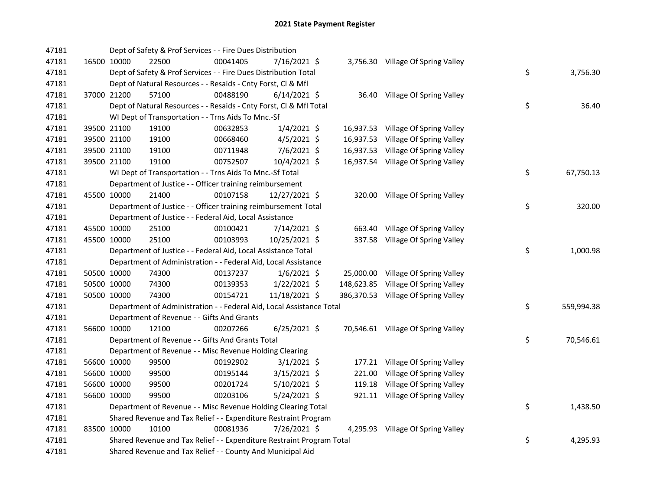| 47181 |             | Dept of Safety & Prof Services - - Fire Dues Distribution             |          |                |        |                                     |    |            |
|-------|-------------|-----------------------------------------------------------------------|----------|----------------|--------|-------------------------------------|----|------------|
| 47181 | 16500 10000 | 22500                                                                 | 00041405 | 7/16/2021 \$   |        | 3,756.30 Village Of Spring Valley   |    |            |
| 47181 |             | Dept of Safety & Prof Services - - Fire Dues Distribution Total       |          |                |        |                                     | \$ | 3,756.30   |
| 47181 |             | Dept of Natural Resources - - Resaids - Cnty Forst, Cl & Mfl          |          |                |        |                                     |    |            |
| 47181 | 37000 21200 | 57100                                                                 | 00488190 | $6/14/2021$ \$ |        | 36.40 Village Of Spring Valley      |    |            |
| 47181 |             | Dept of Natural Resources - - Resaids - Cnty Forst, Cl & Mfl Total    |          |                |        |                                     | \$ | 36.40      |
| 47181 |             | WI Dept of Transportation - - Trns Aids To Mnc.-Sf                    |          |                |        |                                     |    |            |
| 47181 | 39500 21100 | 19100                                                                 | 00632853 | $1/4/2021$ \$  |        | 16,937.53 Village Of Spring Valley  |    |            |
| 47181 | 39500 21100 | 19100                                                                 | 00668460 | $4/5/2021$ \$  |        | 16,937.53 Village Of Spring Valley  |    |            |
| 47181 | 39500 21100 | 19100                                                                 | 00711948 | $7/6/2021$ \$  |        | 16,937.53 Village Of Spring Valley  |    |            |
| 47181 | 39500 21100 | 19100                                                                 | 00752507 | $10/4/2021$ \$ |        | 16,937.54 Village Of Spring Valley  |    |            |
| 47181 |             | WI Dept of Transportation - - Trns Aids To Mnc.-Sf Total              |          |                |        |                                     | \$ | 67,750.13  |
| 47181 |             | Department of Justice - - Officer training reimbursement              |          |                |        |                                     |    |            |
| 47181 | 45500 10000 | 21400                                                                 | 00107158 | 12/27/2021 \$  |        | 320.00 Village Of Spring Valley     |    |            |
| 47181 |             | Department of Justice - - Officer training reimbursement Total        |          |                |        |                                     | \$ | 320.00     |
| 47181 |             | Department of Justice - - Federal Aid, Local Assistance               |          |                |        |                                     |    |            |
| 47181 | 45500 10000 | 25100                                                                 | 00100421 | 7/14/2021 \$   | 663.40 | Village Of Spring Valley            |    |            |
| 47181 | 45500 10000 | 25100                                                                 | 00103993 | 10/25/2021 \$  |        | 337.58 Village Of Spring Valley     |    |            |
| 47181 |             | Department of Justice - - Federal Aid, Local Assistance Total         |          |                |        |                                     | \$ | 1,000.98   |
| 47181 |             | Department of Administration - - Federal Aid, Local Assistance        |          |                |        |                                     |    |            |
| 47181 | 50500 10000 | 74300                                                                 | 00137237 | $1/6/2021$ \$  |        | 25,000.00 Village Of Spring Valley  |    |            |
| 47181 | 50500 10000 | 74300                                                                 | 00139353 | $1/22/2021$ \$ |        | 148,623.85 Village Of Spring Valley |    |            |
| 47181 | 50500 10000 | 74300                                                                 | 00154721 | 11/18/2021 \$  |        | 386,370.53 Village Of Spring Valley |    |            |
| 47181 |             | Department of Administration - - Federal Aid, Local Assistance Total  |          |                |        |                                     | \$ | 559,994.38 |
| 47181 |             | Department of Revenue - - Gifts And Grants                            |          |                |        |                                     |    |            |
| 47181 | 56600 10000 | 12100                                                                 | 00207266 | $6/25/2021$ \$ |        | 70,546.61 Village Of Spring Valley  |    |            |
| 47181 |             | Department of Revenue - - Gifts And Grants Total                      |          |                |        |                                     | \$ | 70,546.61  |
| 47181 |             | Department of Revenue - - Misc Revenue Holding Clearing               |          |                |        |                                     |    |            |
| 47181 | 56600 10000 | 99500                                                                 | 00192902 | $3/1/2021$ \$  |        | 177.21 Village Of Spring Valley     |    |            |
| 47181 | 56600 10000 | 99500                                                                 | 00195144 | $3/15/2021$ \$ |        | 221.00 Village Of Spring Valley     |    |            |
| 47181 | 56600 10000 | 99500                                                                 | 00201724 | $5/10/2021$ \$ |        | 119.18 Village Of Spring Valley     |    |            |
| 47181 | 56600 10000 | 99500                                                                 | 00203106 | $5/24/2021$ \$ |        | 921.11 Village Of Spring Valley     |    |            |
| 47181 |             | Department of Revenue - - Misc Revenue Holding Clearing Total         |          |                |        |                                     | \$ | 1,438.50   |
| 47181 |             | Shared Revenue and Tax Relief - - Expenditure Restraint Program       |          |                |        |                                     |    |            |
| 47181 | 83500 10000 | 10100                                                                 | 00081936 | 7/26/2021 \$   |        | 4,295.93 Village Of Spring Valley   |    |            |
| 47181 |             | Shared Revenue and Tax Relief - - Expenditure Restraint Program Total |          |                |        |                                     | \$ | 4,295.93   |
| 47181 |             | Shared Revenue and Tax Relief - - County And Municipal Aid            |          |                |        |                                     |    |            |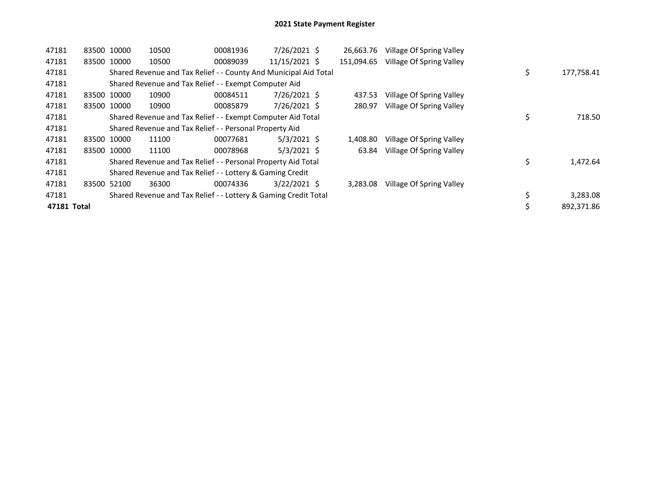| 47181       |             | 83500 10000 | 10500                                                            | 00081936 | 7/26/2021 \$   | 26,663.76  | Village Of Spring Valley |                  |
|-------------|-------------|-------------|------------------------------------------------------------------|----------|----------------|------------|--------------------------|------------------|
| 47181       |             | 83500 10000 | 10500                                                            | 00089039 | 11/15/2021 \$  | 151.094.65 | Village Of Spring Valley |                  |
| 47181       |             |             | Shared Revenue and Tax Relief - - County And Municipal Aid Total |          |                |            |                          | \$<br>177,758.41 |
| 47181       |             |             | Shared Revenue and Tax Relief - - Exempt Computer Aid            |          |                |            |                          |                  |
| 47181       |             | 83500 10000 | 10900                                                            | 00084511 | 7/26/2021 \$   | 437.53     | Village Of Spring Valley |                  |
| 47181       |             | 83500 10000 | 10900                                                            | 00085879 | 7/26/2021 \$   | 280.97     | Village Of Spring Valley |                  |
| 47181       |             |             | Shared Revenue and Tax Relief - - Exempt Computer Aid Total      |          |                |            |                          | \$<br>718.50     |
| 47181       |             |             | Shared Revenue and Tax Relief - - Personal Property Aid          |          |                |            |                          |                  |
| 47181       | 83500 10000 |             | 11100                                                            | 00077681 | $5/3/2021$ \$  | 1.408.80   | Village Of Spring Valley |                  |
| 47181       |             | 83500 10000 | 11100                                                            | 00078968 | $5/3/2021$ \$  | 63.84      | Village Of Spring Valley |                  |
| 47181       |             |             | Shared Revenue and Tax Relief - - Personal Property Aid Total    |          |                |            |                          | \$<br>1,472.64   |
| 47181       |             |             | Shared Revenue and Tax Relief - - Lottery & Gaming Credit        |          |                |            |                          |                  |
| 47181       | 83500       | 52100       | 36300                                                            | 00074336 | $3/22/2021$ \$ | 3.283.08   | Village Of Spring Valley |                  |
| 47181       |             |             | Shared Revenue and Tax Relief - - Lottery & Gaming Credit Total  |          |                |            |                          | 3,283.08         |
| 47181 Total |             |             |                                                                  |          |                |            |                          | 892.371.86       |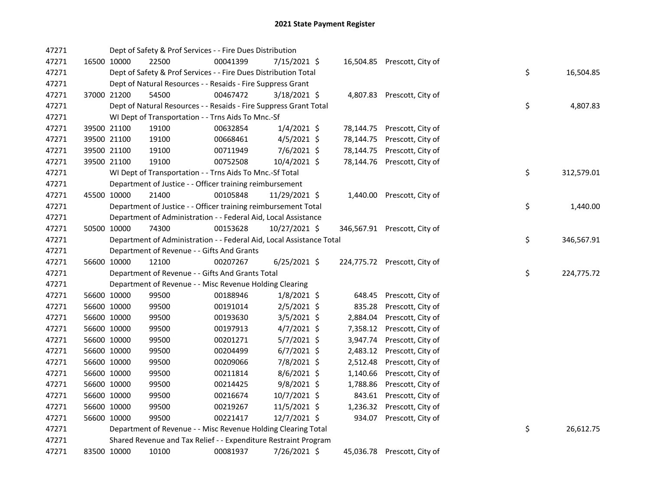| 47271 |             | Dept of Safety & Prof Services - - Fire Dues Distribution            |          |                |          |                              |    |            |
|-------|-------------|----------------------------------------------------------------------|----------|----------------|----------|------------------------------|----|------------|
| 47271 | 16500 10000 | 22500                                                                | 00041399 | 7/15/2021 \$   |          | 16,504.85 Prescott, City of  |    |            |
| 47271 |             | Dept of Safety & Prof Services - - Fire Dues Distribution Total      |          |                |          |                              | \$ | 16,504.85  |
| 47271 |             | Dept of Natural Resources - - Resaids - Fire Suppress Grant          |          |                |          |                              |    |            |
| 47271 | 37000 21200 | 54500                                                                | 00467472 | 3/18/2021 \$   |          | 4,807.83 Prescott, City of   |    |            |
| 47271 |             | Dept of Natural Resources - - Resaids - Fire Suppress Grant Total    |          |                |          |                              | \$ | 4,807.83   |
| 47271 |             | WI Dept of Transportation - - Trns Aids To Mnc.-Sf                   |          |                |          |                              |    |            |
| 47271 | 39500 21100 | 19100                                                                | 00632854 | $1/4/2021$ \$  |          | 78,144.75 Prescott, City of  |    |            |
| 47271 | 39500 21100 | 19100                                                                | 00668461 | $4/5/2021$ \$  |          | 78,144.75 Prescott, City of  |    |            |
| 47271 | 39500 21100 | 19100                                                                | 00711949 | $7/6/2021$ \$  |          | 78,144.75 Prescott, City of  |    |            |
| 47271 | 39500 21100 | 19100                                                                | 00752508 | 10/4/2021 \$   |          | 78,144.76 Prescott, City of  |    |            |
| 47271 |             | WI Dept of Transportation - - Trns Aids To Mnc.-Sf Total             |          |                |          |                              | \$ | 312,579.01 |
| 47271 |             | Department of Justice - - Officer training reimbursement             |          |                |          |                              |    |            |
| 47271 | 45500 10000 | 21400                                                                | 00105848 | 11/29/2021 \$  |          | 1,440.00 Prescott, City of   |    |            |
| 47271 |             | Department of Justice - - Officer training reimbursement Total       |          |                |          |                              | \$ | 1,440.00   |
| 47271 |             | Department of Administration - - Federal Aid, Local Assistance       |          |                |          |                              |    |            |
| 47271 | 50500 10000 | 74300                                                                | 00153628 | 10/27/2021 \$  |          | 346,567.91 Prescott, City of |    |            |
| 47271 |             | Department of Administration - - Federal Aid, Local Assistance Total |          |                |          |                              | \$ | 346,567.91 |
| 47271 |             | Department of Revenue - - Gifts And Grants                           |          |                |          |                              |    |            |
| 47271 | 56600 10000 | 12100                                                                | 00207267 | $6/25/2021$ \$ |          | 224,775.72 Prescott, City of |    |            |
| 47271 |             | Department of Revenue - - Gifts And Grants Total                     |          |                |          |                              | \$ | 224,775.72 |
| 47271 |             | Department of Revenue - - Misc Revenue Holding Clearing              |          |                |          |                              |    |            |
| 47271 | 56600 10000 | 99500                                                                | 00188946 | $1/8/2021$ \$  |          | 648.45 Prescott, City of     |    |            |
| 47271 | 56600 10000 | 99500                                                                | 00191014 | $2/5/2021$ \$  | 835.28   | Prescott, City of            |    |            |
| 47271 | 56600 10000 | 99500                                                                | 00193630 | $3/5/2021$ \$  | 2,884.04 | Prescott, City of            |    |            |
| 47271 | 56600 10000 | 99500                                                                | 00197913 | $4/7/2021$ \$  |          | 7,358.12 Prescott, City of   |    |            |
| 47271 | 56600 10000 | 99500                                                                | 00201271 | $5/7/2021$ \$  |          | 3,947.74 Prescott, City of   |    |            |
| 47271 | 56600 10000 | 99500                                                                | 00204499 | $6/7/2021$ \$  |          | 2,483.12 Prescott, City of   |    |            |
| 47271 | 56600 10000 | 99500                                                                | 00209066 | 7/8/2021 \$    |          | 2,512.48 Prescott, City of   |    |            |
| 47271 | 56600 10000 | 99500                                                                | 00211814 | $8/6/2021$ \$  |          | 1,140.66 Prescott, City of   |    |            |
| 47271 | 56600 10000 | 99500                                                                | 00214425 | $9/8/2021$ \$  | 1,788.86 | Prescott, City of            |    |            |
| 47271 | 56600 10000 | 99500                                                                | 00216674 | 10/7/2021 \$   |          | 843.61 Prescott, City of     |    |            |
| 47271 | 56600 10000 | 99500                                                                | 00219267 | 11/5/2021 \$   |          | 1,236.32 Prescott, City of   |    |            |
| 47271 | 56600 10000 | 99500                                                                | 00221417 | 12/7/2021 \$   |          | 934.07 Prescott, City of     |    |            |
| 47271 |             | Department of Revenue - - Misc Revenue Holding Clearing Total        |          |                |          |                              | \$ | 26,612.75  |
| 47271 |             | Shared Revenue and Tax Relief - - Expenditure Restraint Program      |          |                |          |                              |    |            |
| 47271 | 83500 10000 | 10100                                                                | 00081937 | 7/26/2021 \$   |          | 45,036.78 Prescott, City of  |    |            |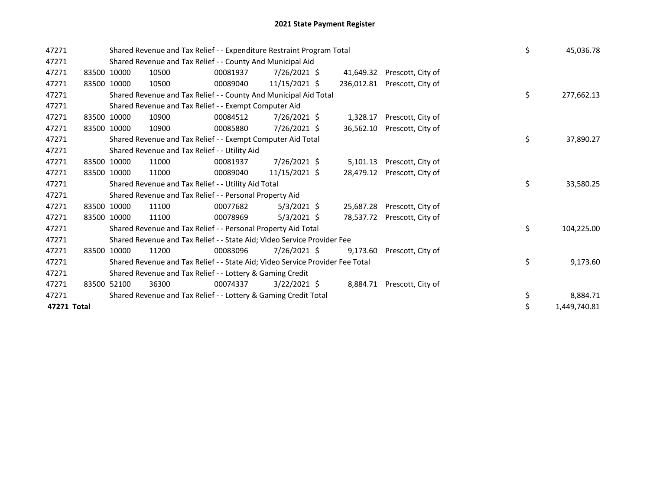| 47271       |  |             | Shared Revenue and Tax Relief - - Expenditure Restraint Program Total         | \$       | 45,036.78      |           |                              |    |            |
|-------------|--|-------------|-------------------------------------------------------------------------------|----------|----------------|-----------|------------------------------|----|------------|
| 47271       |  |             | Shared Revenue and Tax Relief - - County And Municipal Aid                    |          |                |           |                              |    |            |
| 47271       |  | 83500 10000 | 10500                                                                         | 00081937 | 7/26/2021 \$   | 41,649.32 | Prescott, City of            |    |            |
| 47271       |  | 83500 10000 | 10500                                                                         | 00089040 | 11/15/2021 \$  |           | 236,012.81 Prescott, City of |    |            |
| 47271       |  |             | Shared Revenue and Tax Relief - - County And Municipal Aid Total              |          |                |           |                              | \$ | 277,662.13 |
| 47271       |  |             | Shared Revenue and Tax Relief - - Exempt Computer Aid                         |          |                |           |                              |    |            |
| 47271       |  | 83500 10000 | 10900                                                                         | 00084512 | 7/26/2021 \$   | 1,328.17  | Prescott, City of            |    |            |
| 47271       |  | 83500 10000 | 10900                                                                         | 00085880 | 7/26/2021 \$   | 36,562.10 | Prescott, City of            |    |            |
| 47271       |  |             | Shared Revenue and Tax Relief - - Exempt Computer Aid Total                   |          |                |           |                              | \$ | 37,890.27  |
| 47271       |  |             | Shared Revenue and Tax Relief - - Utility Aid                                 |          |                |           |                              |    |            |
| 47271       |  | 83500 10000 | 11000                                                                         |          |                |           |                              |    |            |
| 47271       |  | 83500 10000 | 11000                                                                         | 00089040 | 11/15/2021 \$  | 28,479.12 | Prescott, City of            |    |            |
| 47271       |  |             | Shared Revenue and Tax Relief - - Utility Aid Total                           |          |                |           |                              | \$ | 33,580.25  |
| 47271       |  |             | Shared Revenue and Tax Relief - - Personal Property Aid                       |          |                |           |                              |    |            |
| 47271       |  | 83500 10000 | 11100                                                                         | 00077682 | $5/3/2021$ \$  | 25,687.28 | Prescott, City of            |    |            |
| 47271       |  | 83500 10000 | 11100                                                                         | 00078969 | $5/3/2021$ \$  | 78,537.72 | Prescott, City of            |    |            |
| 47271       |  |             | Shared Revenue and Tax Relief - - Personal Property Aid Total                 |          |                |           |                              | \$ | 104,225.00 |
| 47271       |  |             | Shared Revenue and Tax Relief - - State Aid; Video Service Provider Fee       |          |                |           |                              |    |            |
| 47271       |  | 83500 10000 | 11200                                                                         | 00083096 | $7/26/2021$ \$ | 9,173.60  | Prescott, City of            |    |            |
| 47271       |  |             | Shared Revenue and Tax Relief - - State Aid; Video Service Provider Fee Total | \$       | 9,173.60       |           |                              |    |            |
| 47271       |  |             | Shared Revenue and Tax Relief - - Lottery & Gaming Credit                     |          |                |           |                              |    |            |
| 47271       |  | 83500 52100 | 36300                                                                         | 00074337 | $3/22/2021$ \$ |           | 8,884.71 Prescott, City of   |    |            |
| 47271       |  |             | Shared Revenue and Tax Relief - - Lottery & Gaming Credit Total               | \$       | 8,884.71       |           |                              |    |            |
| 47271 Total |  | \$          | 1,449,740.81                                                                  |          |                |           |                              |    |            |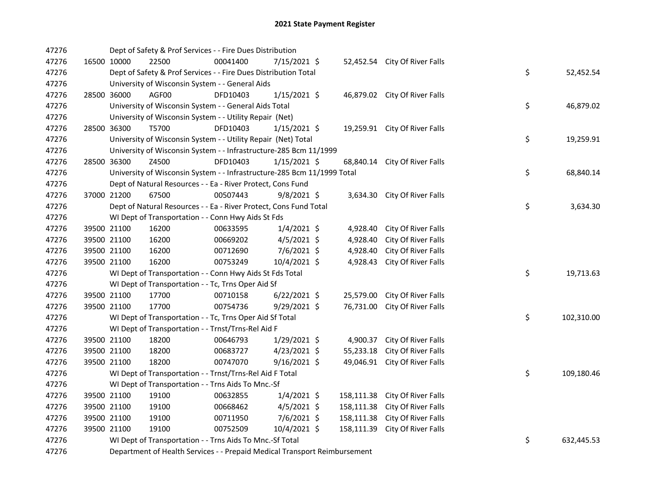| 47276 |             | Dept of Safety & Prof Services - - Fire Dues Distribution                 |          |                |            |                               |    |            |
|-------|-------------|---------------------------------------------------------------------------|----------|----------------|------------|-------------------------------|----|------------|
| 47276 | 16500 10000 | 22500                                                                     | 00041400 | 7/15/2021 \$   |            | 52,452.54 City Of River Falls |    |            |
| 47276 |             | Dept of Safety & Prof Services - - Fire Dues Distribution Total           |          |                |            |                               | \$ | 52,452.54  |
| 47276 |             | University of Wisconsin System - - General Aids                           |          |                |            |                               |    |            |
| 47276 | 28500 36000 | AGF00                                                                     | DFD10403 | $1/15/2021$ \$ |            | 46,879.02 City Of River Falls |    |            |
| 47276 |             | University of Wisconsin System - - General Aids Total                     |          |                |            |                               | \$ | 46,879.02  |
| 47276 |             | University of Wisconsin System - - Utility Repair (Net)                   |          |                |            |                               |    |            |
| 47276 | 28500 36300 | T5700                                                                     | DFD10403 | $1/15/2021$ \$ |            | 19,259.91 City Of River Falls |    |            |
| 47276 |             | University of Wisconsin System - - Utility Repair (Net) Total             |          |                |            |                               | \$ | 19,259.91  |
| 47276 |             | University of Wisconsin System - - Infrastructure-285 Bcm 11/1999         |          |                |            |                               |    |            |
| 47276 | 28500 36300 | Z4500                                                                     | DFD10403 | $1/15/2021$ \$ | 68,840.14  | City Of River Falls           |    |            |
| 47276 |             | University of Wisconsin System - - Infrastructure-285 Bcm 11/1999 Total   |          |                |            |                               | \$ | 68,840.14  |
| 47276 |             | Dept of Natural Resources - - Ea - River Protect, Cons Fund               |          |                |            |                               |    |            |
| 47276 | 37000 21200 | 67500                                                                     | 00507443 | $9/8/2021$ \$  |            | 3,634.30 City Of River Falls  |    |            |
| 47276 |             | Dept of Natural Resources - - Ea - River Protect, Cons Fund Total         |          |                |            |                               | \$ | 3,634.30   |
| 47276 |             | WI Dept of Transportation - - Conn Hwy Aids St Fds                        |          |                |            |                               |    |            |
| 47276 | 39500 21100 | 16200                                                                     | 00633595 | $1/4/2021$ \$  | 4,928.40   | City Of River Falls           |    |            |
| 47276 | 39500 21100 | 16200                                                                     | 00669202 | $4/5/2021$ \$  | 4,928.40   | City Of River Falls           |    |            |
| 47276 | 39500 21100 | 16200                                                                     | 00712690 | 7/6/2021 \$    | 4,928.40   | City Of River Falls           |    |            |
| 47276 | 39500 21100 | 16200                                                                     | 00753249 | 10/4/2021 \$   | 4,928.43   | City Of River Falls           |    |            |
| 47276 |             | WI Dept of Transportation - - Conn Hwy Aids St Fds Total                  |          |                |            |                               | \$ | 19,713.63  |
| 47276 |             | WI Dept of Transportation - - Tc, Trns Oper Aid Sf                        |          |                |            |                               |    |            |
| 47276 | 39500 21100 | 17700                                                                     | 00710158 | $6/22/2021$ \$ | 25,579.00  | City Of River Falls           |    |            |
| 47276 | 39500 21100 | 17700                                                                     | 00754736 | 9/29/2021 \$   | 76,731.00  | City Of River Falls           |    |            |
| 47276 |             | WI Dept of Transportation - - Tc, Trns Oper Aid Sf Total                  |          |                |            |                               | \$ | 102,310.00 |
| 47276 |             | WI Dept of Transportation - - Trnst/Trns-Rel Aid F                        |          |                |            |                               |    |            |
| 47276 | 39500 21100 | 18200                                                                     | 00646793 | 1/29/2021 \$   | 4,900.37   | City Of River Falls           |    |            |
| 47276 | 39500 21100 | 18200                                                                     | 00683727 | $4/23/2021$ \$ | 55,233.18  | City Of River Falls           |    |            |
| 47276 | 39500 21100 | 18200                                                                     | 00747070 | $9/16/2021$ \$ |            | 49,046.91 City Of River Falls |    |            |
| 47276 |             | WI Dept of Transportation - - Trnst/Trns-Rel Aid F Total                  |          |                |            |                               | \$ | 109,180.46 |
| 47276 |             | WI Dept of Transportation - - Trns Aids To Mnc.-Sf                        |          |                |            |                               |    |            |
| 47276 | 39500 21100 | 19100                                                                     | 00632855 | $1/4/2021$ \$  | 158,111.38 | City Of River Falls           |    |            |
| 47276 | 39500 21100 | 19100                                                                     | 00668462 | $4/5/2021$ \$  | 158,111.38 | City Of River Falls           |    |            |
| 47276 | 39500 21100 | 19100                                                                     | 00711950 | 7/6/2021 \$    | 158,111.38 | City Of River Falls           |    |            |
| 47276 | 39500 21100 | 19100                                                                     | 00752509 | 10/4/2021 \$   | 158,111.39 | City Of River Falls           |    |            |
| 47276 |             | WI Dept of Transportation - - Trns Aids To Mnc.-Sf Total                  |          |                |            |                               | \$ | 632,445.53 |
| 47276 |             | Department of Health Services - - Prepaid Medical Transport Reimbursement |          |                |            |                               |    |            |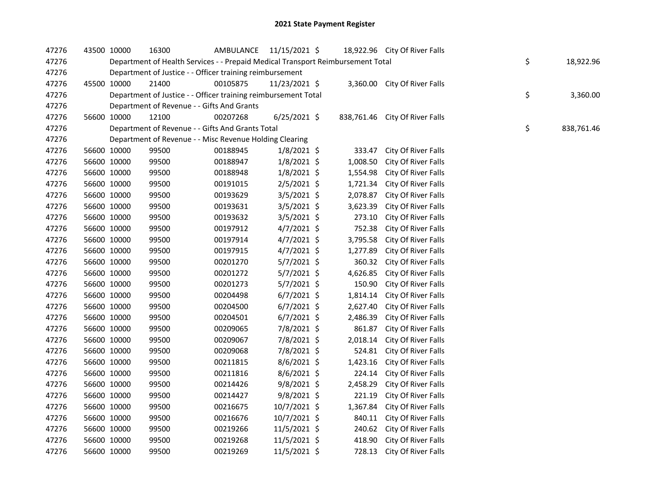| 47276 | 43500 10000 |             | 16300                                                                           | AMBULANCE 11/15/2021 \$ |                |          | 18,922.96 City Of River Falls  |    |            |
|-------|-------------|-------------|---------------------------------------------------------------------------------|-------------------------|----------------|----------|--------------------------------|----|------------|
| 47276 |             |             | Department of Health Services - - Prepaid Medical Transport Reimbursement Total | \$                      | 18,922.96      |          |                                |    |            |
| 47276 |             |             | Department of Justice - - Officer training reimbursement                        |                         |                |          |                                |    |            |
| 47276 | 45500 10000 |             | 21400                                                                           | 00105875                | 11/23/2021 \$  |          | 3,360.00 City Of River Falls   |    |            |
| 47276 |             |             | Department of Justice - - Officer training reimbursement Total                  |                         |                |          |                                | \$ | 3,360.00   |
| 47276 |             |             | Department of Revenue - - Gifts And Grants                                      |                         |                |          |                                |    |            |
| 47276 | 56600 10000 |             | 12100                                                                           | 00207268                | $6/25/2021$ \$ |          | 838,761.46 City Of River Falls |    |            |
| 47276 |             |             | Department of Revenue - - Gifts And Grants Total                                |                         |                |          |                                | \$ | 838,761.46 |
| 47276 |             |             | Department of Revenue - - Misc Revenue Holding Clearing                         |                         |                |          |                                |    |            |
| 47276 | 56600 10000 |             | 99500                                                                           | 00188945                | $1/8/2021$ \$  | 333.47   | City Of River Falls            |    |            |
| 47276 |             | 56600 10000 | 99500                                                                           | 00188947                | $1/8/2021$ \$  | 1,008.50 | City Of River Falls            |    |            |
| 47276 | 56600 10000 |             | 99500                                                                           | 00188948                | $1/8/2021$ \$  | 1,554.98 | City Of River Falls            |    |            |
| 47276 | 56600 10000 |             | 99500                                                                           | 00191015                | $2/5/2021$ \$  | 1,721.34 | City Of River Falls            |    |            |
| 47276 | 56600 10000 |             | 99500                                                                           | 00193629                | $3/5/2021$ \$  | 2,078.87 | City Of River Falls            |    |            |
| 47276 | 56600 10000 |             | 99500                                                                           | 00193631                | $3/5/2021$ \$  | 3,623.39 | City Of River Falls            |    |            |
| 47276 | 56600 10000 |             | 99500                                                                           | 00193632                | 3/5/2021 \$    | 273.10   | City Of River Falls            |    |            |
| 47276 | 56600 10000 |             | 99500                                                                           | 00197912                | $4/7/2021$ \$  | 752.38   | City Of River Falls            |    |            |
| 47276 | 56600 10000 |             | 99500                                                                           | 00197914                | $4/7/2021$ \$  | 3,795.58 | City Of River Falls            |    |            |
| 47276 | 56600 10000 |             | 99500                                                                           | 00197915                | $4/7/2021$ \$  | 1,277.89 | City Of River Falls            |    |            |
| 47276 | 56600 10000 |             | 99500                                                                           | 00201270                | $5/7/2021$ \$  | 360.32   | City Of River Falls            |    |            |
| 47276 | 56600 10000 |             | 99500                                                                           | 00201272                | $5/7/2021$ \$  | 4,626.85 | City Of River Falls            |    |            |
| 47276 | 56600 10000 |             | 99500                                                                           | 00201273                | $5/7/2021$ \$  | 150.90   | City Of River Falls            |    |            |
| 47276 | 56600 10000 |             | 99500                                                                           | 00204498                | $6/7/2021$ \$  | 1,814.14 | City Of River Falls            |    |            |
| 47276 | 56600 10000 |             | 99500                                                                           | 00204500                | $6/7/2021$ \$  | 2,627.40 | City Of River Falls            |    |            |
| 47276 | 56600 10000 |             | 99500                                                                           | 00204501                | $6/7/2021$ \$  | 2,486.39 | City Of River Falls            |    |            |
| 47276 | 56600 10000 |             | 99500                                                                           | 00209065                | 7/8/2021 \$    | 861.87   | City Of River Falls            |    |            |
| 47276 | 56600 10000 |             | 99500                                                                           | 00209067                | 7/8/2021 \$    | 2,018.14 | City Of River Falls            |    |            |
| 47276 | 56600 10000 |             | 99500                                                                           | 00209068                | 7/8/2021 \$    |          | 524.81 City Of River Falls     |    |            |
| 47276 | 56600 10000 |             | 99500                                                                           | 00211815                | $8/6/2021$ \$  | 1,423.16 | City Of River Falls            |    |            |
| 47276 | 56600 10000 |             | 99500                                                                           | 00211816                | $8/6/2021$ \$  | 224.14   | City Of River Falls            |    |            |
| 47276 | 56600 10000 |             | 99500                                                                           | 00214426                | $9/8/2021$ \$  | 2,458.29 | City Of River Falls            |    |            |
| 47276 | 56600 10000 |             | 99500                                                                           | 00214427                | $9/8/2021$ \$  | 221.19   | City Of River Falls            |    |            |
| 47276 | 56600 10000 |             | 99500                                                                           | 00216675                | 10/7/2021 \$   | 1,367.84 | City Of River Falls            |    |            |
| 47276 | 56600 10000 |             | 99500                                                                           | 00216676                | 10/7/2021 \$   |          | 840.11 City Of River Falls     |    |            |
| 47276 | 56600 10000 |             | 99500                                                                           | 00219266                | 11/5/2021 \$   |          | 240.62 City Of River Falls     |    |            |
| 47276 | 56600 10000 |             | 99500                                                                           | 00219268                | 11/5/2021 \$   | 418.90   | City Of River Falls            |    |            |
| 47276 |             | 56600 10000 | 99500                                                                           | 00219269                | 11/5/2021 \$   |          | 728.13 City Of River Falls     |    |            |